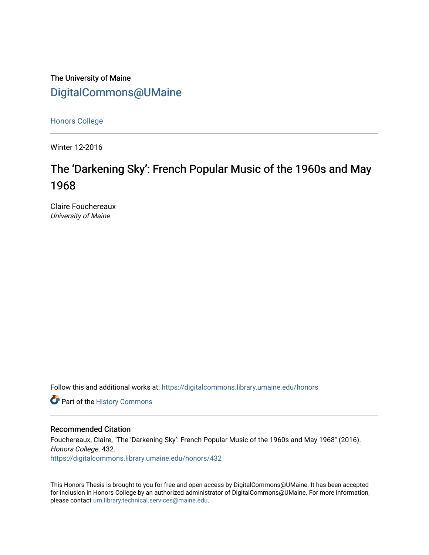The University of Maine [DigitalCommons@UMaine](https://digitalcommons.library.umaine.edu/)

[Honors College](https://digitalcommons.library.umaine.edu/honors)

Winter 12-2016

# The 'Darkening Sky': French Popular Music of the 1960s and May 1968

Claire Fouchereaux University of Maine

Follow this and additional works at: [https://digitalcommons.library.umaine.edu/honors](https://digitalcommons.library.umaine.edu/honors?utm_source=digitalcommons.library.umaine.edu%2Fhonors%2F432&utm_medium=PDF&utm_campaign=PDFCoverPages) 

Part of the [History Commons](http://network.bepress.com/hgg/discipline/489?utm_source=digitalcommons.library.umaine.edu%2Fhonors%2F432&utm_medium=PDF&utm_campaign=PDFCoverPages) 

#### Recommended Citation

Fouchereaux, Claire, "The 'Darkening Sky': French Popular Music of the 1960s and May 1968" (2016). Honors College. 432.

[https://digitalcommons.library.umaine.edu/honors/432](https://digitalcommons.library.umaine.edu/honors/432?utm_source=digitalcommons.library.umaine.edu%2Fhonors%2F432&utm_medium=PDF&utm_campaign=PDFCoverPages) 

This Honors Thesis is brought to you for free and open access by DigitalCommons@UMaine. It has been accepted for inclusion in Honors College by an authorized administrator of DigitalCommons@UMaine. For more information, please contact [um.library.technical.services@maine.edu.](mailto:um.library.technical.services@maine.edu)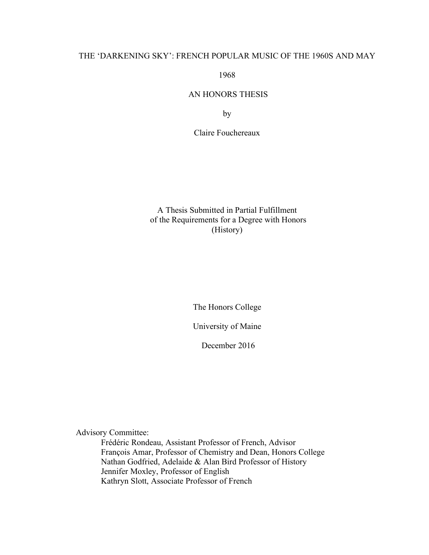#### THE 'DARKENING SKY': FRENCH POPULAR MUSIC OF THE 1960S AND MAY

1968

#### AN HONORS THESIS

by

Claire Fouchereaux

### A Thesis Submitted in Partial Fulfillment of the Requirements for a Degree with Honors (History)

The Honors College

University of Maine

December 2016

Advisory Committee:

Frédéric Rondeau, Assistant Professor of French, Advisor François Amar, Professor of Chemistry and Dean, Honors College Nathan Godfried, Adelaide & Alan Bird Professor of History Jennifer Moxley, Professor of English Kathryn Slott, Associate Professor of French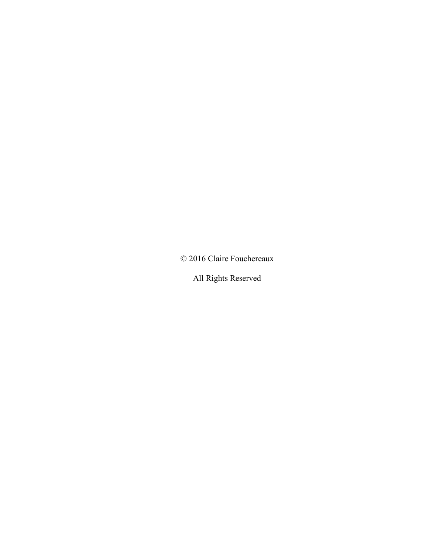© 2016 Claire Fouchereaux

All Rights Reserved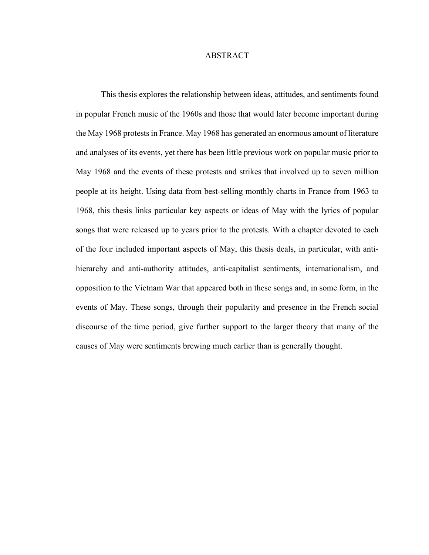#### ABSTRACT

This thesis explores the relationship between ideas, attitudes, and sentiments found in popular French music of the 1960s and those that would later become important during the May 1968 protests in France. May 1968 has generated an enormous amount of literature and analyses of its events, yet there has been little previous work on popular music prior to May 1968 and the events of these protests and strikes that involved up to seven million people at its height. Using data from best-selling monthly charts in France from 1963 to 1968, this thesis links particular key aspects or ideas of May with the lyrics of popular songs that were released up to years prior to the protests. With a chapter devoted to each of the four included important aspects of May, this thesis deals, in particular, with antihierarchy and anti-authority attitudes, anti-capitalist sentiments, internationalism, and opposition to the Vietnam War that appeared both in these songs and, in some form, in the events of May. These songs, through their popularity and presence in the French social discourse of the time period, give further support to the larger theory that many of the causes of May were sentiments brewing much earlier than is generally thought.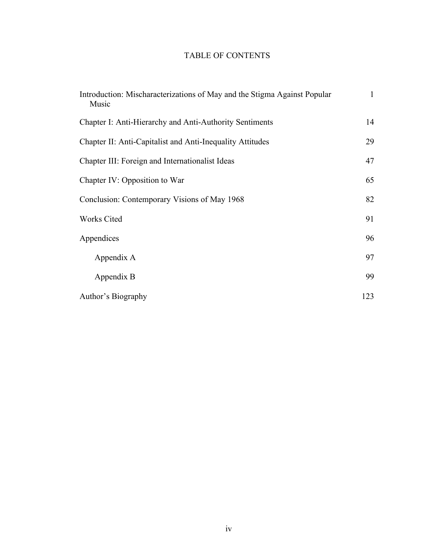# TABLE OF CONTENTS

| Introduction: Mischaracterizations of May and the Stigma Against Popular<br>Music | $\mathbf{1}$ |
|-----------------------------------------------------------------------------------|--------------|
| Chapter I: Anti-Hierarchy and Anti-Authority Sentiments                           | 14           |
| Chapter II: Anti-Capitalist and Anti-Inequality Attitudes                         | 29           |
| Chapter III: Foreign and Internationalist Ideas                                   | 47           |
| Chapter IV: Opposition to War                                                     | 65           |
| Conclusion: Contemporary Visions of May 1968                                      | 82           |
| <b>Works Cited</b>                                                                | 91           |
| Appendices                                                                        | 96           |
| Appendix A                                                                        | 97           |
| Appendix B                                                                        | 99           |
| Author's Biography                                                                | 123          |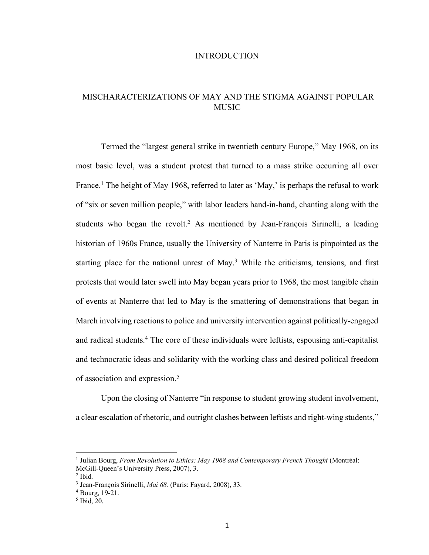#### INTRODUCTION

## MISCHARACTERIZATIONS OF MAY AND THE STIGMA AGAINST POPULAR MUSIC

Termed the "largest general strike in twentieth century Europe," May 1968, on its most basic level, was a student protest that turned to a mass strike occurring all over France.<sup>1</sup> The height of May 1968, referred to later as 'May,' is perhaps the refusal to work of "six or seven million people," with labor leaders hand-in-hand, chanting along with the students who began the revolt.<sup>2</sup> As mentioned by Jean-François Sirinelli, a leading historian of 1960s France, usually the University of Nanterre in Paris is pinpointed as the starting place for the national unrest of May.<sup>3</sup> While the criticisms, tensions, and first protests that would later swell into May began years prior to 1968, the most tangible chain of events at Nanterre that led to May is the smattering of demonstrations that began in March involving reactions to police and university intervention against politically-engaged and radical students.4 The core of these individuals were leftists, espousing anti-capitalist and technocratic ideas and solidarity with the working class and desired political freedom of association and expression.5

Upon the closing of Nanterre "in response to student growing student involvement, a clear escalation of rhetoric, and outright clashes between leftists and right-wing students,"

<sup>1</sup> Julian Bourg, *From Revolution to Ethics: May 1968 and Contemporary French Thought* (Montréal: McGill-Queen's University Press, 2007), 3.

 $<sup>2</sup>$  Ibid.</sup>

<sup>3</sup> Jean-François Sirinelli, *Mai 68.* (Paris: Fayard, 2008), 33.

<sup>4</sup> Bourg, 19-21.

<sup>5</sup> Ibid, 20.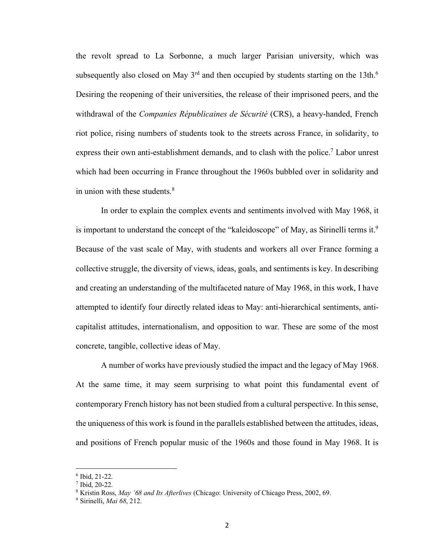the revolt spread to La Sorbonne, a much larger Parisian university, which was subsequently also closed on May  $3<sup>rd</sup>$  and then occupied by students starting on the 13th.<sup>6</sup> Desiring the reopening of their universities, the release of their imprisoned peers, and the withdrawal of the *Companies Républicaines de Sécurité* (CRS), a heavy-handed, French riot police, rising numbers of students took to the streets across France, in solidarity, to express their own anti-establishment demands, and to clash with the police.<sup>7</sup> Labor unrest which had been occurring in France throughout the 1960s bubbled over in solidarity and in union with these students.<sup>8</sup>

In order to explain the complex events and sentiments involved with May 1968, it is important to understand the concept of the "kaleidoscope" of May, as Sirinelli terms it.<sup>9</sup> Because of the vast scale of May, with students and workers all over France forming a collective struggle, the diversity of views, ideas, goals, and sentiments is key. In describing and creating an understanding of the multifaceted nature of May 1968, in this work, I have attempted to identify four directly related ideas to May: anti-hierarchical sentiments, anticapitalist attitudes, internationalism, and opposition to war. These are some of the most concrete, tangible, collective ideas of May.

A number of works have previously studied the impact and the legacy of May 1968. At the same time, it may seem surprising to what point this fundamental event of contemporary French history has not been studied from a cultural perspective. In this sense, the uniqueness of this work is found in the parallels established between the attitudes, ideas, and positions of French popular music of the 1960s and those found in May 1968. It is

<sup>6</sup> Ibid, 21-22.

<sup>7</sup> Ibid, 20-22.

<sup>8</sup> Kristin Ross, *May '68 and Its Afterlives* (Chicago: University of Chicago Press, 2002, 69.

<sup>9</sup> Sirinelli, *Mai 68*, 212.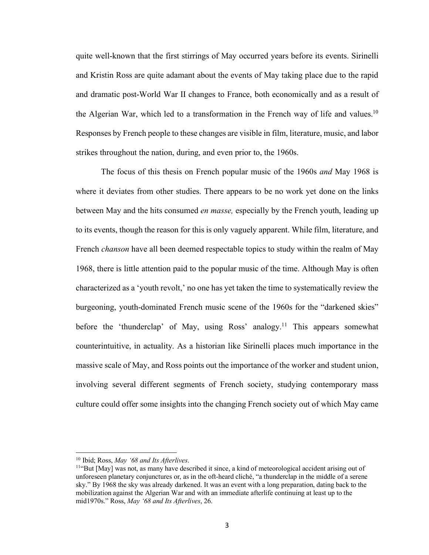quite well-known that the first stirrings of May occurred years before its events. Sirinelli and Kristin Ross are quite adamant about the events of May taking place due to the rapid and dramatic post-World War II changes to France, both economically and as a result of the Algerian War, which led to a transformation in the French way of life and values.<sup>10</sup> Responses by French people to these changes are visible in film, literature, music, and labor strikes throughout the nation, during, and even prior to, the 1960s.

The focus of this thesis on French popular music of the 1960s *and* May 1968 is where it deviates from other studies. There appears to be no work yet done on the links between May and the hits consumed *en masse,* especially by the French youth, leading up to its events, though the reason for this is only vaguely apparent. While film, literature, and French *chanson* have all been deemed respectable topics to study within the realm of May 1968, there is little attention paid to the popular music of the time. Although May is often characterized as a 'youth revolt,' no one has yet taken the time to systematically review the burgeoning, youth-dominated French music scene of the 1960s for the "darkened skies" before the 'thunderclap' of May, using Ross' analogy.<sup>11</sup> This appears somewhat counterintuitive, in actuality. As a historian like Sirinelli places much importance in the massive scale of May, and Ross points out the importance of the worker and student union, involving several different segments of French society, studying contemporary mass culture could offer some insights into the changing French society out of which May came

<sup>10</sup> Ibid; Ross, *May '68 and Its Afterlives*.

 $11\text{°}$ But [May] was not, as many have described it since, a kind of meteorological accident arising out of unforeseen planetary conjunctures or, as in the oft-heard cliché, "a thunderclap in the middle of a serene sky." By 1968 the sky was already darkened. It was an event with a long preparation, dating back to the mobilization against the Algerian War and with an immediate afterlife continuing at least up to the mid1970s." Ross, *May '68 and Its Afterlives*, 26.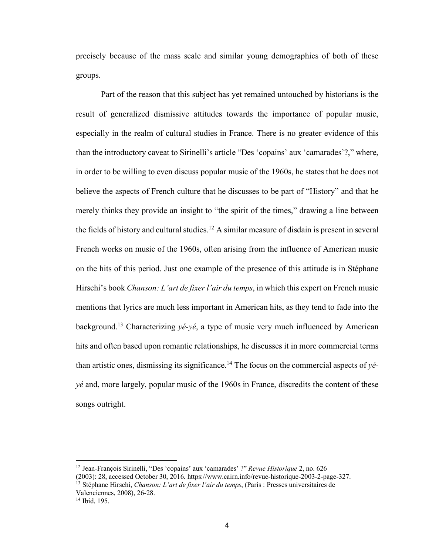precisely because of the mass scale and similar young demographics of both of these groups.

Part of the reason that this subject has yet remained untouched by historians is the result of generalized dismissive attitudes towards the importance of popular music, especially in the realm of cultural studies in France. There is no greater evidence of this than the introductory caveat to Sirinelli's article "Des 'copains' aux 'camarades'?," where, in order to be willing to even discuss popular music of the 1960s, he states that he does not believe the aspects of French culture that he discusses to be part of "History" and that he merely thinks they provide an insight to "the spirit of the times," drawing a line between the fields of history and cultural studies.<sup>12</sup> A similar measure of disdain is present in several French works on music of the 1960s, often arising from the influence of American music on the hits of this period. Just one example of the presence of this attitude is in Stéphane Hirschi's book *Chanson: L'art de fixer l'air du temps*, in which this expert on French music mentions that lyrics are much less important in American hits, as they tend to fade into the background.13 Characterizing *yé-yé*, a type of music very much influenced by American hits and often based upon romantic relationships, he discusses it in more commercial terms than artistic ones, dismissing its significance.14 The focus on the commercial aspects of *yéyé* and, more largely, popular music of the 1960s in France, discredits the content of these songs outright.

<sup>12</sup> Jean-François Sirinelli, "Des 'copains' aux 'camarades' ?" *Revue Historique* 2, no. 626

<sup>(2003): 28,</sup> accessed October 30, 2016. https://www.cairn.info/revue-historique-2003-2-page-327.

<sup>13</sup> Stéphane Hirschi, *Chanson: L'art de fixer l'air du temps*, (Paris : Presses universitaires de Valenciennes, 2008), 26-28.

<sup>14</sup> Ibid, 195.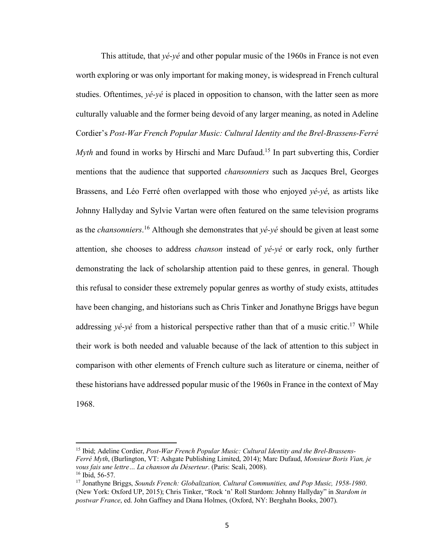This attitude, that *yé-yé* and other popular music of the 1960s in France is not even worth exploring or was only important for making money, is widespread in French cultural studies. Oftentimes, *yé-yé* is placed in opposition to chanson, with the latter seen as more culturally valuable and the former being devoid of any larger meaning, as noted in Adeline Cordier's *Post-War French Popular Music: Cultural Identity and the Brel-Brassens-Ferré Myth* and found in works by Hirschi and Marc Dufaud.<sup>15</sup> In part subverting this, Cordier mentions that the audience that supported *chansonniers* such as Jacques Brel, Georges Brassens, and Léo Ferré often overlapped with those who enjoyed *yé-yé*, as artists like Johnny Hallyday and Sylvie Vartan were often featured on the same television programs as the *chansonniers*. <sup>16</sup> Although she demonstrates that *yé-yé* should be given at least some attention, she chooses to address *chanson* instead of *yé-yé* or early rock, only further demonstrating the lack of scholarship attention paid to these genres, in general. Though this refusal to consider these extremely popular genres as worthy of study exists, attitudes have been changing, and historians such as Chris Tinker and Jonathyne Briggs have begun addressing *yé-yé* from a historical perspective rather than that of a music critic.<sup>17</sup> While their work is both needed and valuable because of the lack of attention to this subject in comparison with other elements of French culture such as literature or cinema, neither of these historians have addressed popular music of the 1960s in France in the context of May 1968.

<sup>15</sup> Ibid; Adeline Cordier, *Post-War French Popular Music: Cultural Identity and the Brel-Brassens-Ferré Myth*, (Burlington, VT: Ashgate Publishing Limited, 2014); Marc Dufaud, *Monsieur Boris Vian, je vous fais une lettre… La chanson du Déserteur*. (Paris: Scali, 2008). <sup>16</sup> Ibid, 56-57.

<sup>17</sup> Jonathyne Briggs, *Sounds French: Globalization, Cultural Communities, and Pop Music, 1958-1980*. (New York: Oxford UP, 2015); Chris Tinker, "Rock 'n' Roll Stardom: Johnny Hallyday" in *Stardom in postwar France*, ed. John Gaffney and Diana Holmes, (Oxford, NY: Berghahn Books, 2007).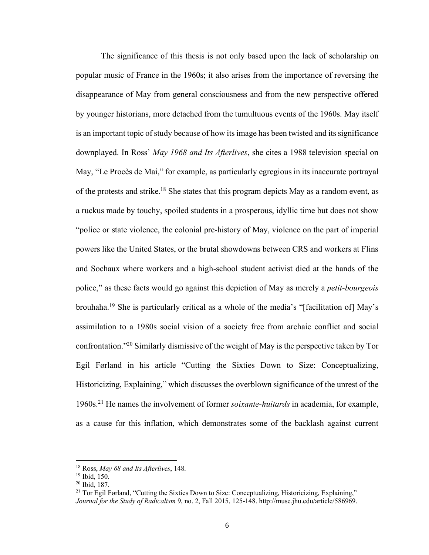The significance of this thesis is not only based upon the lack of scholarship on popular music of France in the 1960s; it also arises from the importance of reversing the disappearance of May from general consciousness and from the new perspective offered by younger historians, more detached from the tumultuous events of the 1960s. May itself is an important topic of study because of how its image has been twisted and its significance downplayed. In Ross' *May 1968 and Its Afterlives*, she cites a 1988 television special on May, "Le Procès de Mai," for example, as particularly egregious in its inaccurate portrayal of the protests and strike.<sup>18</sup> She states that this program depicts May as a random event, as a ruckus made by touchy, spoiled students in a prosperous, idyllic time but does not show "police or state violence, the colonial pre-history of May, violence on the part of imperial powers like the United States, or the brutal showdowns between CRS and workers at Flins and Sochaux where workers and a high-school student activist died at the hands of the police," as these facts would go against this depiction of May as merely a *petit-bourgeois* brouhaha.19 She is particularly critical as a whole of the media's "[facilitation of] May's assimilation to a 1980s social vision of a society free from archaic conflict and social confrontation."20 Similarly dismissive of the weight of May is the perspective taken by Tor Egil Førland in his article "Cutting the Sixties Down to Size: Conceptualizing, Historicizing, Explaining," which discusses the overblown significance of the unrest of the 1960s.21 He names the involvement of former *soixante-huitards* in academia, for example, as a cause for this inflation, which demonstrates some of the backlash against current

<sup>18</sup> Ross, *May 68 and Its Afterlives*, 148.

<sup>19</sup> Ibid, 150.

<sup>20</sup> Ibid, 187.

<sup>&</sup>lt;sup>21</sup> Tor Egil Førland, "Cutting the Sixties Down to Size: Conceptualizing, Historicizing, Explaining," *Journal for the Study of Radicalism* 9, no. 2, Fall 2015, 125-148. http://muse.jhu.edu/article/586969.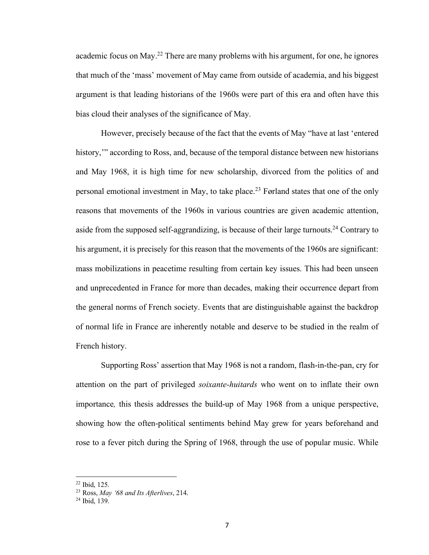academic focus on May.<sup>22</sup> There are many problems with his argument, for one, he ignores that much of the 'mass' movement of May came from outside of academia, and his biggest argument is that leading historians of the 1960s were part of this era and often have this bias cloud their analyses of the significance of May.

However, precisely because of the fact that the events of May "have at last 'entered history," according to Ross, and, because of the temporal distance between new historians and May 1968, it is high time for new scholarship, divorced from the politics of and personal emotional investment in May, to take place.<sup>23</sup> Førland states that one of the only reasons that movements of the 1960s in various countries are given academic attention, aside from the supposed self-aggrandizing, is because of their large turnouts.<sup>24</sup> Contrary to his argument, it is precisely for this reason that the movements of the 1960s are significant: mass mobilizations in peacetime resulting from certain key issues. This had been unseen and unprecedented in France for more than decades, making their occurrence depart from the general norms of French society. Events that are distinguishable against the backdrop of normal life in France are inherently notable and deserve to be studied in the realm of French history.

Supporting Ross' assertion that May 1968 is not a random, flash-in-the-pan, cry for attention on the part of privileged *soixante-huitards* who went on to inflate their own importance*,* this thesis addresses the build-up of May 1968 from a unique perspective, showing how the often-political sentiments behind May grew for years beforehand and rose to a fever pitch during the Spring of 1968, through the use of popular music. While

<sup>22</sup> Ibid, 125.

<sup>23</sup> Ross, *May '68 and Its Afterlives*, 214.

<sup>24</sup> Ibid, 139.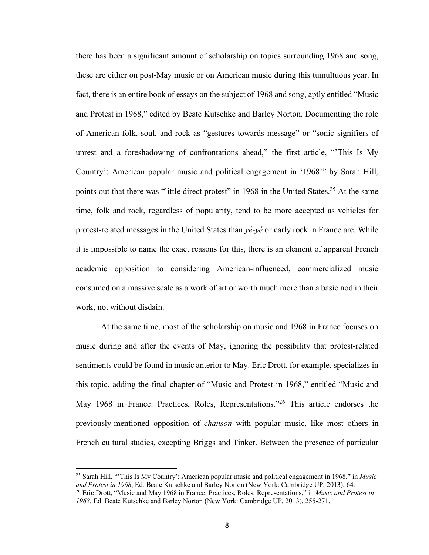there has been a significant amount of scholarship on topics surrounding 1968 and song, these are either on post-May music or on American music during this tumultuous year. In fact, there is an entire book of essays on the subject of 1968 and song, aptly entitled "Music and Protest in 1968," edited by Beate Kutschke and Barley Norton. Documenting the role of American folk, soul, and rock as "gestures towards message" or "sonic signifiers of unrest and a foreshadowing of confrontations ahead," the first article, "'This Is My Country': American popular music and political engagement in '1968'" by Sarah Hill, points out that there was "little direct protest" in 1968 in the United States.<sup>25</sup> At the same time, folk and rock, regardless of popularity, tend to be more accepted as vehicles for protest-related messages in the United States than *yé-yé* or early rock in France are. While it is impossible to name the exact reasons for this, there is an element of apparent French academic opposition to considering American-influenced, commercialized music consumed on a massive scale as a work of art or worth much more than a basic nod in their work, not without disdain.

At the same time, most of the scholarship on music and 1968 in France focuses on music during and after the events of May, ignoring the possibility that protest-related sentiments could be found in music anterior to May. Eric Drott, for example, specializes in this topic, adding the final chapter of "Music and Protest in 1968," entitled "Music and May 1968 in France: Practices, Roles, Representations."26 This article endorses the previously-mentioned opposition of *chanson* with popular music, like most others in French cultural studies, excepting Briggs and Tinker. Between the presence of particular

<sup>25</sup> Sarah Hill, "'This Is My Country': American popular music and political engagement in 1968," in *Music and Protest in 1968*, Ed. Beate Kutschke and Barley Norton (New York: Cambridge UP, 2013), 64. <sup>26</sup> Eric Drott, "Music and May 1968 in France: Practices, Roles, Representations," in *Music and Protest in* 

*<sup>1968</sup>*, Ed. Beate Kutschke and Barley Norton (New York: Cambridge UP, 2013), 255-271.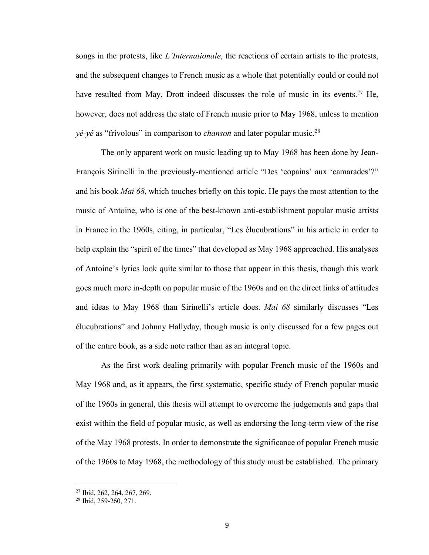songs in the protests, like *L'Internationale*, the reactions of certain artists to the protests, and the subsequent changes to French music as a whole that potentially could or could not have resulted from May, Drott indeed discusses the role of music in its events.<sup>27</sup> He, however, does not address the state of French music prior to May 1968, unless to mention *yé-yé* as "frivolous" in comparison to *chanson* and later popular music.28

The only apparent work on music leading up to May 1968 has been done by Jean-François Sirinelli in the previously-mentioned article "Des 'copains' aux 'camarades'?" and his book *Mai 68*, which touches briefly on this topic. He pays the most attention to the music of Antoine, who is one of the best-known anti-establishment popular music artists in France in the 1960s, citing, in particular, "Les élucubrations" in his article in order to help explain the "spirit of the times" that developed as May 1968 approached. His analyses of Antoine's lyrics look quite similar to those that appear in this thesis, though this work goes much more in-depth on popular music of the 1960s and on the direct links of attitudes and ideas to May 1968 than Sirinelli's article does. *Mai 68* similarly discusses "Les élucubrations" and Johnny Hallyday, though music is only discussed for a few pages out of the entire book, as a side note rather than as an integral topic.

As the first work dealing primarily with popular French music of the 1960s and May 1968 and, as it appears, the first systematic, specific study of French popular music of the 1960s in general, this thesis will attempt to overcome the judgements and gaps that exist within the field of popular music, as well as endorsing the long-term view of the rise of the May 1968 protests. In order to demonstrate the significance of popular French music of the 1960s to May 1968, the methodology of this study must be established. The primary

<sup>27</sup> Ibid, 262, 264, 267, 269.

<sup>28</sup> Ibid, 259-260, 271.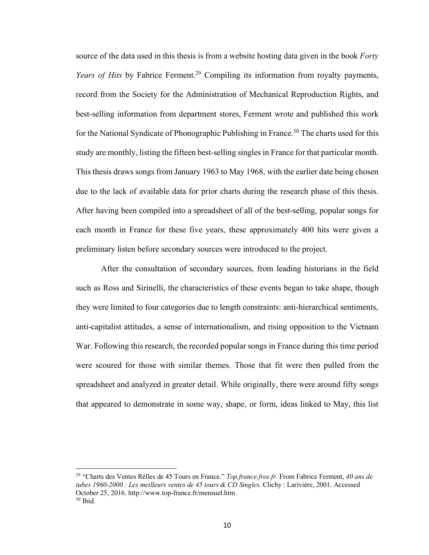source of the data used in this thesis is from a website hosting data given in the book *Forty Years of Hits* by Fabrice Ferment.<sup>29</sup> Compiling its information from royalty payments, record from the Society for the Administration of Mechanical Reproduction Rights, and best-selling information from department stores, Ferment wrote and published this work for the National Syndicate of Phonographic Publishing in France.<sup>30</sup> The charts used for this study are monthly, listing the fifteen best-selling singles in France for that particular month. This thesis draws songs from January 1963 to May 1968, with the earlier date being chosen due to the lack of available data for prior charts during the research phase of this thesis. After having been compiled into a spreadsheet of all of the best-selling, popular songs for each month in France for these five years, these approximately 400 hits were given a preliminary listen before secondary sources were introduced to the project.

After the consultation of secondary sources, from leading historians in the field such as Ross and Sirinelli, the characteristics of these events began to take shape, though they were limited to four categories due to length constraints: anti-hierarchical sentiments, anti-capitalist attitudes, a sense of internationalism, and rising opposition to the Vietnam War. Following this research, the recorded popular songs in France during this time period were scoured for those with similar themes. Those that fit were then pulled from the spreadsheet and analyzed in greater detail. While originally, there were around fifty songs that appeared to demonstrate in some way, shape, or form, ideas linked to May, this list

<sup>29</sup> "Charts des Ventes Rélles de 45 Tours en France." *Top.france.free.fr.* From Fabrice Ferment, *40 ans de tubes 1960-2000 : Les meilleurs ventes de 45 tours & CD Singles*. Clichy : Larivière, 2001. Accessed October 25, 2016. http://www.top-france.fr/mensuel.htm  $30$  Ibid.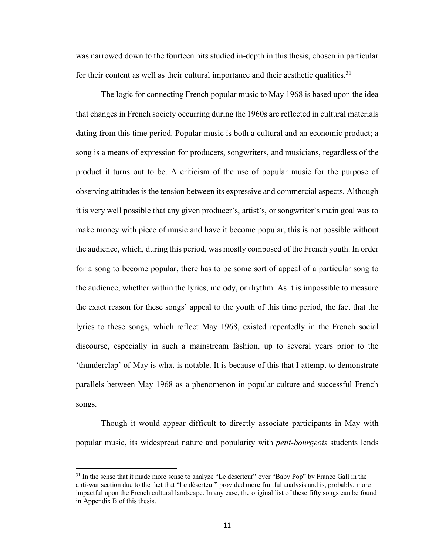was narrowed down to the fourteen hits studied in-depth in this thesis, chosen in particular for their content as well as their cultural importance and their aesthetic qualities.<sup>31</sup>

The logic for connecting French popular music to May 1968 is based upon the idea that changes in French society occurring during the 1960s are reflected in cultural materials dating from this time period. Popular music is both a cultural and an economic product; a song is a means of expression for producers, songwriters, and musicians, regardless of the product it turns out to be. A criticism of the use of popular music for the purpose of observing attitudes is the tension between its expressive and commercial aspects. Although it is very well possible that any given producer's, artist's, or songwriter's main goal was to make money with piece of music and have it become popular, this is not possible without the audience, which, during this period, was mostly composed of the French youth. In order for a song to become popular, there has to be some sort of appeal of a particular song to the audience, whether within the lyrics, melody, or rhythm. As it is impossible to measure the exact reason for these songs' appeal to the youth of this time period, the fact that the lyrics to these songs, which reflect May 1968, existed repeatedly in the French social discourse, especially in such a mainstream fashion, up to several years prior to the 'thunderclap' of May is what is notable. It is because of this that I attempt to demonstrate parallels between May 1968 as a phenomenon in popular culture and successful French songs.

Though it would appear difficult to directly associate participants in May with popular music, its widespread nature and popularity with *petit-bourgeois* students lends

<sup>&</sup>lt;sup>31</sup> In the sense that it made more sense to analyze "Le déserteur" over "Baby Pop" by France Gall in the anti-war section due to the fact that "Le déserteur" provided more fruitful analysis and is, probably, more impactful upon the French cultural landscape. In any case, the original list of these fifty songs can be found in Appendix B of this thesis.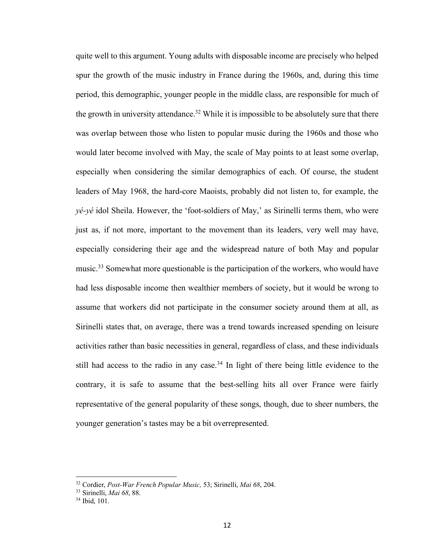quite well to this argument. Young adults with disposable income are precisely who helped spur the growth of the music industry in France during the 1960s, and, during this time period, this demographic, younger people in the middle class, are responsible for much of the growth in university attendance.<sup>32</sup> While it is impossible to be absolutely sure that there was overlap between those who listen to popular music during the 1960s and those who would later become involved with May, the scale of May points to at least some overlap, especially when considering the similar demographics of each. Of course, the student leaders of May 1968, the hard-core Maoists, probably did not listen to, for example, the *yé-yé* idol Sheila. However, the 'foot-soldiers of May,' as Sirinelli terms them, who were just as, if not more, important to the movement than its leaders, very well may have, especially considering their age and the widespread nature of both May and popular music.<sup>33</sup> Somewhat more questionable is the participation of the workers, who would have had less disposable income then wealthier members of society, but it would be wrong to assume that workers did not participate in the consumer society around them at all, as Sirinelli states that, on average, there was a trend towards increased spending on leisure activities rather than basic necessities in general, regardless of class, and these individuals still had access to the radio in any case.<sup>34</sup> In light of there being little evidence to the contrary, it is safe to assume that the best-selling hits all over France were fairly representative of the general popularity of these songs, though, due to sheer numbers, the younger generation's tastes may be a bit overrepresented.

<sup>32</sup> Cordier, *Post-War French Popular Music,* 53; Sirinelli, *Mai 68*, 204.

<sup>33</sup> Sirinelli, *Mai 68*, 88.

<sup>34</sup> Ibid, 101.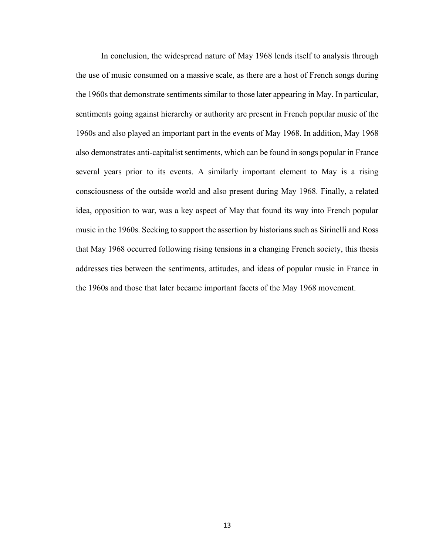In conclusion, the widespread nature of May 1968 lends itself to analysis through the use of music consumed on a massive scale, as there are a host of French songs during the 1960s that demonstrate sentiments similar to those later appearing in May. In particular, sentiments going against hierarchy or authority are present in French popular music of the 1960s and also played an important part in the events of May 1968. In addition, May 1968 also demonstrates anti-capitalist sentiments, which can be found in songs popular in France several years prior to its events. A similarly important element to May is a rising consciousness of the outside world and also present during May 1968. Finally, a related idea, opposition to war, was a key aspect of May that found its way into French popular music in the 1960s. Seeking to support the assertion by historians such as Sirinelli and Ross that May 1968 occurred following rising tensions in a changing French society, this thesis addresses ties between the sentiments, attitudes, and ideas of popular music in France in the 1960s and those that later became important facets of the May 1968 movement.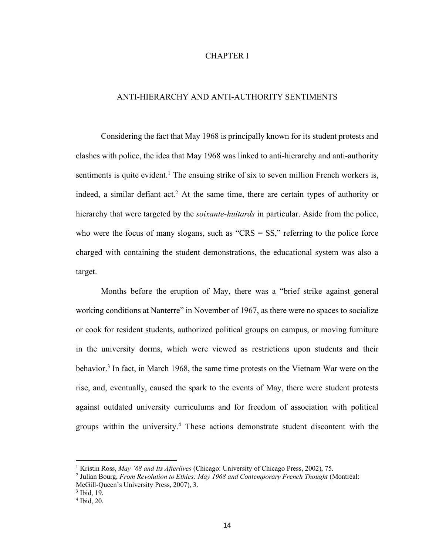#### CHAPTER I

#### ANTI-HIERARCHY AND ANTI-AUTHORITY SENTIMENTS

Considering the fact that May 1968 is principally known for its student protests and clashes with police, the idea that May 1968 was linked to anti-hierarchy and anti-authority sentiments is quite evident.<sup>1</sup> The ensuing strike of six to seven million French workers is, indeed, a similar defiant act. <sup>2</sup> At the same time, there are certain types of authority or hierarchy that were targeted by the *soixante-huitards* in particular. Aside from the police, who were the focus of many slogans, such as " $CRS = SS$ ," referring to the police force charged with containing the student demonstrations, the educational system was also a target.

Months before the eruption of May, there was a "brief strike against general working conditions at Nanterre" in November of 1967, as there were no spaces to socialize or cook for resident students, authorized political groups on campus, or moving furniture in the university dorms, which were viewed as restrictions upon students and their behavior.<sup>3</sup> In fact, in March 1968, the same time protests on the Vietnam War were on the rise, and, eventually, caused the spark to the events of May, there were student protests against outdated university curriculums and for freedom of association with political groups within the university.4 These actions demonstrate student discontent with the

<sup>1</sup> Kristin Ross, *May '68 and Its Afterlives* (Chicago: University of Chicago Press, 2002), 75.

<sup>2</sup> Julian Bourg, *From Revolution to Ethics: May 1968 and Contemporary French Thought* (Montréal: McGill-Queen's University Press, 2007), 3.

<sup>3</sup> Ibid, 19.

 $4$  Ibid, 20.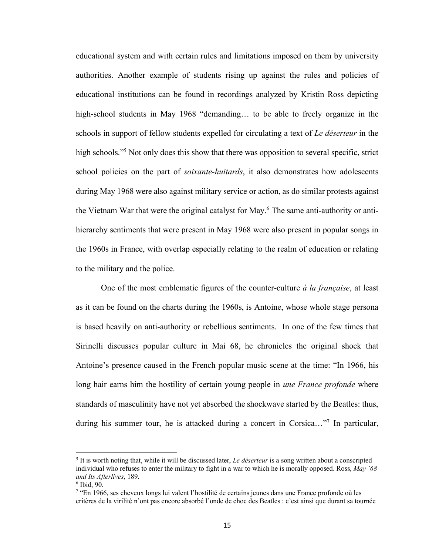educational system and with certain rules and limitations imposed on them by university authorities. Another example of students rising up against the rules and policies of educational institutions can be found in recordings analyzed by Kristin Ross depicting high-school students in May 1968 "demanding... to be able to freely organize in the schools in support of fellow students expelled for circulating a text of *Le déserteur* in the high schools."<sup>5</sup> Not only does this show that there was opposition to several specific, strict school policies on the part of *soixante-huitards*, it also demonstrates how adolescents during May 1968 were also against military service or action, as do similar protests against the Vietnam War that were the original catalyst for May.6 The same anti-authority or antihierarchy sentiments that were present in May 1968 were also present in popular songs in the 1960s in France, with overlap especially relating to the realm of education or relating to the military and the police.

One of the most emblematic figures of the counter-culture *à la française*, at least as it can be found on the charts during the 1960s, is Antoine, whose whole stage persona is based heavily on anti-authority or rebellious sentiments. In one of the few times that Sirinelli discusses popular culture in Mai 68, he chronicles the original shock that Antoine's presence caused in the French popular music scene at the time: "In 1966, his long hair earns him the hostility of certain young people in *une France profonde* where standards of masculinity have not yet absorbed the shockwave started by the Beatles: thus, during his summer tour, he is attacked during a concert in Corsica…"7 In particular,

<sup>5</sup> It is worth noting that, while it will be discussed later, *Le déserteur* is a song written about a conscripted individual who refuses to enter the military to fight in a war to which he is morally opposed. Ross, *May '68 and Its Afterlives*, 189.

<sup>6</sup> Ibid, 90.

<sup>7</sup> "En 1966, ses cheveux longs lui valent l'hostilité de certains jeunes dans une France profonde où les critères de la virilité n'ont pas encore absorbé l'onde de choc des Beatles : c'est ainsi que durant sa tournée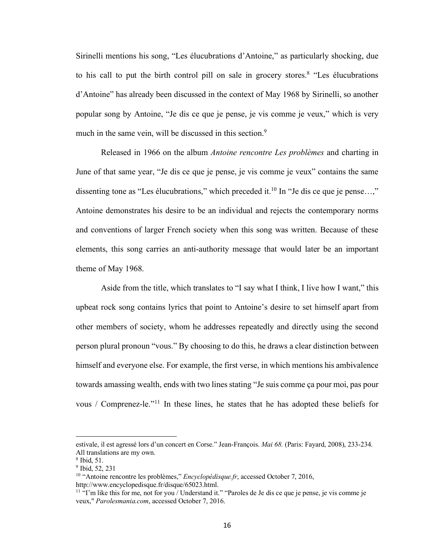Sirinelli mentions his song, "Les élucubrations d'Antoine," as particularly shocking, due to his call to put the birth control pill on sale in grocery stores.<sup>8</sup> "Les élucubrations" d'Antoine" has already been discussed in the context of May 1968 by Sirinelli, so another popular song by Antoine, "Je dis ce que je pense, je vis comme je veux," which is very much in the same vein, will be discussed in this section.<sup>9</sup>

Released in 1966 on the album *Antoine rencontre Les problèmes* and charting in June of that same year, "Je dis ce que je pense, je vis comme je veux" contains the same dissenting tone as "Les élucubrations," which preceded it.<sup>10</sup> In "Je dis ce que je pense...," Antoine demonstrates his desire to be an individual and rejects the contemporary norms and conventions of larger French society when this song was written. Because of these elements, this song carries an anti-authority message that would later be an important theme of May 1968.

Aside from the title, which translates to "I say what I think, I live how I want," this upbeat rock song contains lyrics that point to Antoine's desire to set himself apart from other members of society, whom he addresses repeatedly and directly using the second person plural pronoun "vous." By choosing to do this, he draws a clear distinction between himself and everyone else. For example, the first verse, in which mentions his ambivalence towards amassing wealth, ends with two lines stating "Je suis comme ça pour moi, pas pour vous / Comprenez-le."11 In these lines, he states that he has adopted these beliefs for

estivale, il est agressé lors d'un concert en Corse." Jean-François. *Mai 68.* (Paris: Fayard, 2008), 233-234. All translations are my own.

<sup>8</sup> Ibid, 51.

<sup>9</sup> Ibid, 52, 231

<sup>10</sup> "Antoine rencontre les problèmes," *Encyclopédisque.fr*, accessed October 7, 2016, http://www.encyclopedisque.fr/disque/65023.html.

<sup>11</sup> "I'm like this for me, not for you / Understand it." "Paroles de Je dis ce que je pense, je vis comme je veux," *Parolesmania.com*, accessed October 7, 2016.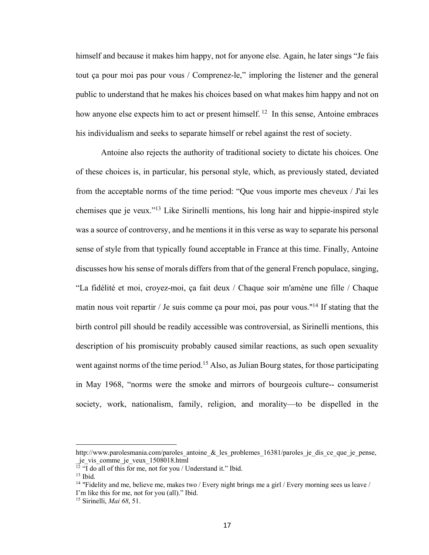himself and because it makes him happy, not for anyone else. Again, he later sings "Je fais tout ça pour moi pas pour vous / Comprenez-le," imploring the listener and the general public to understand that he makes his choices based on what makes him happy and not on how anyone else expects him to act or present himself.<sup>12</sup> In this sense, Antoine embraces his individualism and seeks to separate himself or rebel against the rest of society.

Antoine also rejects the authority of traditional society to dictate his choices. One of these choices is, in particular, his personal style, which, as previously stated, deviated from the acceptable norms of the time period: "Que vous importe mes cheveux / J'ai les chemises que je veux."13 Like Sirinelli mentions, his long hair and hippie-inspired style was a source of controversy, and he mentions it in this verse as way to separate his personal sense of style from that typically found acceptable in France at this time. Finally, Antoine discusses how his sense of morals differs from that of the general French populace, singing, "La fidélité et moi, croyez-moi, ça fait deux / Chaque soir m'amène une fille / Chaque matin nous voit repartir / Je suis comme ça pour moi, pas pour vous."14 If stating that the birth control pill should be readily accessible was controversial, as Sirinelli mentions, this description of his promiscuity probably caused similar reactions, as such open sexuality went against norms of the time period.<sup>15</sup> Also, as Julian Bourg states, for those participating in May 1968, "norms were the smoke and mirrors of bourgeois culture-- consumerist society, work, nationalism, family, religion, and morality—to be dispelled in the

http://www.parolesmania.com/paroles\_antoine\_&\_les\_problemes\_16381/paroles\_je\_dis\_ce\_que\_je\_pense, \_je\_vis\_comme\_je\_veux\_1508018.html

<sup>&</sup>lt;sup>12</sup> "I do all of this for me, not for you / Understand it." Ibid.  $13$  Ibid.

<sup>&</sup>lt;sup>14</sup> "Fidelity and me, believe me, makes two / Every night brings me a girl / Every morning sees us leave / I'm like this for me, not for you (all)." Ibid.

<sup>15</sup> Sirinelli, *Mai 68*, 51.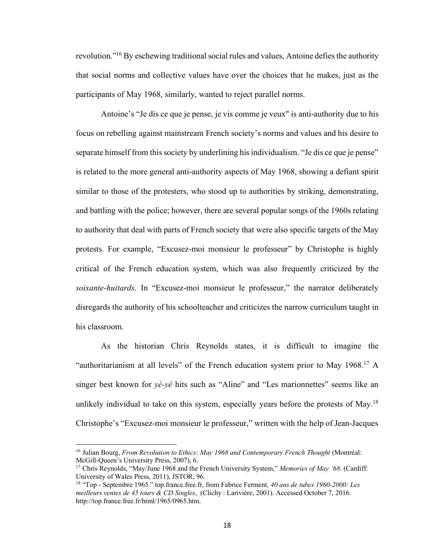revolution."16 By eschewing traditional social rules and values, Antoine defies the authority that social norms and collective values have over the choices that he makes, just as the participants of May 1968, similarly, wanted to reject parallel norms.

Antoine's "Je dis ce que je pense, je vis comme je veux" is anti-authority due to his focus on rebelling against mainstream French society's norms and values and his desire to separate himself from this society by underlining his individualism. "Je dis ce que je pense" is related to the more general anti-authority aspects of May 1968, showing a defiant spirit similar to those of the protesters, who stood up to authorities by striking, demonstrating, and battling with the police; however, there are several popular songs of the 1960s relating to authority that deal with parts of French society that were also specific targets of the May protests. For example, "Excusez-moi monsieur le professeur" by Christophe is highly critical of the French education system, which was also frequently criticized by the *soixante-huitards*. In "Excusez-moi monsieur le professeur," the narrator deliberately disregards the authority of his schoolteacher and criticizes the narrow curriculum taught in his classroom.

As the historian Chris Reynolds states, it is difficult to imagine the "authoritarianism at all levels" of the French education system prior to May 1968.17 A singer best known for *yé-yé* hits such as "Aline" and "Les marionnettes" seems like an unlikely individual to take on this system, especially years before the protests of May.<sup>18</sup> Christophe's "Excusez-moi monsieur le professeur," written with the help of Jean-Jacques

<sup>&</sup>lt;sup>16</sup> Julian Bourg, *From Revolution to Ethics: May 1968 and Contemporary French Thought* (Montréal: McGill-Queen's University Press, 2007), 6.

<sup>17</sup> Chris Reynolds, "May/June 1968 and the French University System," *Memories of May '68*. (Cardiff: University of Wales Press, 2011), JSTOR, 96.

<sup>18</sup> "Top - Septembre 1965." top.france.free.fr, from Fabrice Ferment*, 40 ans de tubes 1960-2000: Les meilleurs ventes de 45 tours & CD Singles*, (Clichy : Larivière, 2001). Accessed October 7, 2016. http://top.france.free.fr/html/1965/0965.htm.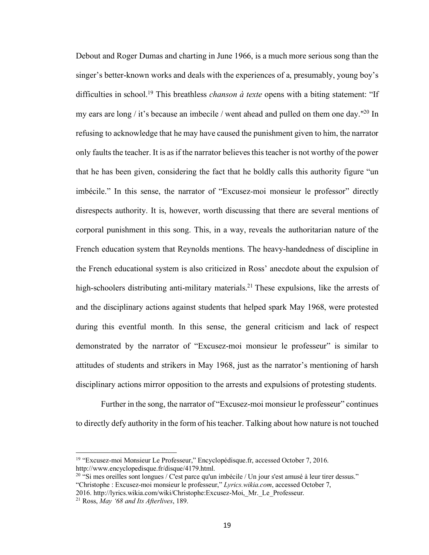Debout and Roger Dumas and charting in June 1966, is a much more serious song than the singer's better-known works and deals with the experiences of a, presumably, young boy's difficulties in school.19 This breathless *chanson à texte* opens with a biting statement: "If my ears are long / it's because an imbecile / went ahead and pulled on them one day."20 In refusing to acknowledge that he may have caused the punishment given to him, the narrator only faults the teacher. It is as if the narrator believes thisteacher is not worthy of the power that he has been given, considering the fact that he boldly calls this authority figure "un imbécile." In this sense, the narrator of "Excusez-moi monsieur le professor" directly disrespects authority. It is, however, worth discussing that there are several mentions of corporal punishment in this song. This, in a way, reveals the authoritarian nature of the French education system that Reynolds mentions. The heavy-handedness of discipline in the French educational system is also criticized in Ross' anecdote about the expulsion of high-schoolers distributing anti-military materials.<sup>21</sup> These expulsions, like the arrests of and the disciplinary actions against students that helped spark May 1968, were protested during this eventful month. In this sense, the general criticism and lack of respect demonstrated by the narrator of "Excusez-moi monsieur le professeur" is similar to attitudes of students and strikers in May 1968, just as the narrator's mentioning of harsh disciplinary actions mirror opposition to the arrests and expulsions of protesting students.

Further in the song, the narrator of "Excusez-moi monsieur le professeur" continues to directly defy authority in the form of his teacher. Talking about how nature is not touched

<sup>&</sup>lt;sup>19</sup> "Excusez-moi Monsieur Le Professeur," Encyclopédisque.fr, accessed October 7, 2016. http://www.encyclopedisque.fr/disque/4179.html.

<sup>&</sup>lt;sup>20 "</sup>Si mes oreilles sont longues / C'est parce qu'un imbécile / Un jour s'est amusé à leur tirer dessus." "Christophe : Excusez-moi monsieur le professeur," *Lyrics.wikia.com*, accessed October 7, 2016. http://lyrics.wikia.com/wiki/Christophe:Excusez-Moi,\_Mr.\_Le\_Professeur.

<sup>21</sup> Ross, *May '68 and Its Afterlives*, 189.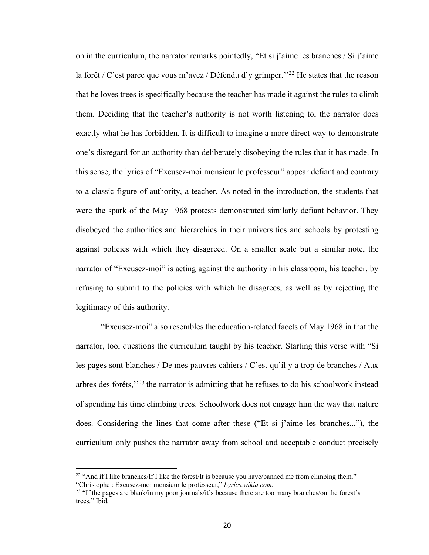on in the curriculum, the narrator remarks pointedly, "Et si j'aime les branches / Si j'aime la forêt / C'est parce que vous m'avez / Défendu d'y grimper."<sup>22</sup> He states that the reason that he loves trees is specifically because the teacher has made it against the rules to climb them. Deciding that the teacher's authority is not worth listening to, the narrator does exactly what he has forbidden. It is difficult to imagine a more direct way to demonstrate one's disregard for an authority than deliberately disobeying the rules that it has made. In this sense, the lyrics of "Excusez-moi monsieur le professeur" appear defiant and contrary to a classic figure of authority, a teacher. As noted in the introduction, the students that were the spark of the May 1968 protests demonstrated similarly defiant behavior. They disobeyed the authorities and hierarchies in their universities and schools by protesting against policies with which they disagreed. On a smaller scale but a similar note, the narrator of "Excusez-moi" is acting against the authority in his classroom, his teacher, by refusing to submit to the policies with which he disagrees, as well as by rejecting the legitimacy of this authority.

"Excusez-moi" also resembles the education-related facets of May 1968 in that the narrator, too, questions the curriculum taught by his teacher. Starting this verse with "Si les pages sont blanches / De mes pauvres cahiers / C'est qu'il y a trop de branches / Aux arbres des forêts,''23 the narrator is admitting that he refuses to do his schoolwork instead of spending his time climbing trees. Schoolwork does not engage him the way that nature does. Considering the lines that come after these ("Et si j'aime les branches..."), the curriculum only pushes the narrator away from school and acceptable conduct precisely

<sup>&</sup>lt;sup>22</sup> "And if I like branches/If I like the forest/It is because you have/banned me from climbing them."

<sup>&</sup>quot;Christophe : Excusez-moi monsieur le professeur," *Lyrics.wikia.com.*

<sup>&</sup>lt;sup>23</sup> "If the pages are blank/in my poor journals/it's because there are too many branches/on the forest's trees." Ibid.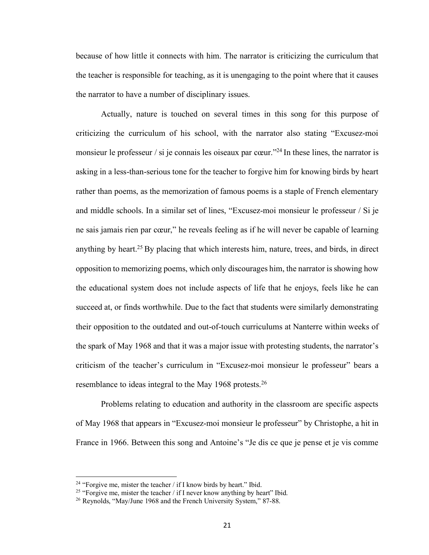because of how little it connects with him. The narrator is criticizing the curriculum that the teacher is responsible for teaching, as it is unengaging to the point where that it causes the narrator to have a number of disciplinary issues.

Actually, nature is touched on several times in this song for this purpose of criticizing the curriculum of his school, with the narrator also stating "Excusez-moi monsieur le professeur / si je connais les oiseaux par cœur."24 In these lines, the narrator is asking in a less-than-serious tone for the teacher to forgive him for knowing birds by heart rather than poems, as the memorization of famous poems is a staple of French elementary and middle schools. In a similar set of lines, "Excusez-moi monsieur le professeur / Si je ne sais jamais rien par cœur," he reveals feeling as if he will never be capable of learning anything by heart.<sup>25</sup> By placing that which interests him, nature, trees, and birds, in direct opposition to memorizing poems, which only discourages him, the narrator is showing how the educational system does not include aspects of life that he enjoys, feels like he can succeed at, or finds worthwhile. Due to the fact that students were similarly demonstrating their opposition to the outdated and out-of-touch curriculums at Nanterre within weeks of the spark of May 1968 and that it was a major issue with protesting students, the narrator's criticism of the teacher's curriculum in "Excusez-moi monsieur le professeur" bears a resemblance to ideas integral to the May 1968 protests.<sup>26</sup>

Problems relating to education and authority in the classroom are specific aspects of May 1968 that appears in "Excusez-moi monsieur le professeur" by Christophe, a hit in France in 1966. Between this song and Antoine's "Je dis ce que je pense et je vis comme

<sup>&</sup>lt;sup>24</sup> "Forgive me, mister the teacher / if I know birds by heart." Ibid.

<sup>&</sup>lt;sup>25</sup> "Forgive me, mister the teacher / if I never know anything by heart" Ibid.

<sup>&</sup>lt;sup>26</sup> Reynolds, "May/June 1968 and the French University System," 87-88.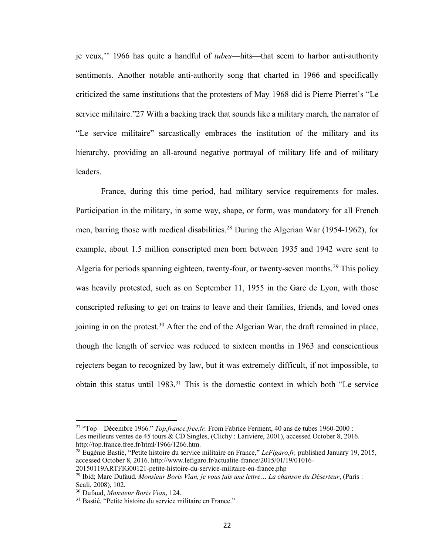je veux,'' 1966 has quite a handful of *tubes*—hits—that seem to harbor anti-authority sentiments. Another notable anti-authority song that charted in 1966 and specifically criticized the same institutions that the protesters of May 1968 did is Pierre Pierret's "Le service militaire."27 With a backing track that sounds like a military march, the narrator of "Le service militaire" sarcastically embraces the institution of the military and its hierarchy, providing an all-around negative portrayal of military life and of military leaders.

France, during this time period, had military service requirements for males. Participation in the military, in some way, shape, or form, was mandatory for all French men, barring those with medical disabilities.<sup>28</sup> During the Algerian War (1954-1962), for example, about 1.5 million conscripted men born between 1935 and 1942 were sent to Algeria for periods spanning eighteen, twenty-four, or twenty-seven months.<sup>29</sup> This policy was heavily protested, such as on September 11, 1955 in the Gare de Lyon, with those conscripted refusing to get on trains to leave and their families, friends, and loved ones joining in on the protest.30 After the end of the Algerian War, the draft remained in place, though the length of service was reduced to sixteen months in 1963 and conscientious rejecters began to recognized by law, but it was extremely difficult, if not impossible, to obtain this status until 1983.<sup>31</sup> This is the domestic context in which both "Le service

<sup>27</sup> "Top – Décembre 1966." *Top.france.free.fr.* From Fabrice Ferment, 40 ans de tubes 1960-2000 : Les meilleurs ventes de 45 tours & CD Singles, (Clichy : Larivière, 2001), accessed October 8, 2016. http://top.france.free.fr/html/1966/1266.htm.

<sup>28</sup> Eugénie Bastié, "Petite histoire du service militaire en France," *LeFigaro.fr,* published January 19, 2015, accessed October 8, 2016. http://www.lefigaro.fr/actualite-france/2015/01/19/01016- 20150119ARTFIG00121-petite-histoire-du-service-militaire-en-france.php

<sup>29</sup> Ibid; Marc Dufaud. *Monsieur Boris Vian, je vous fais une lettre… La chanson du Déserteur*, (Paris :

<sup>&</sup>lt;sup>30</sup> Dufaud, *Monsieur Boris Vian*, 124.

<sup>31</sup> Bastié, "Petite histoire du service militaire en France."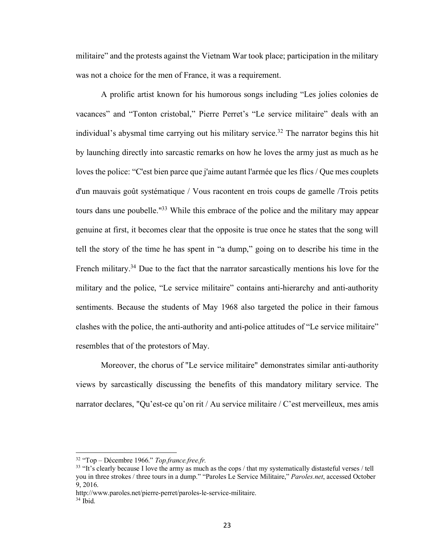militaire" and the protests against the Vietnam War took place; participation in the military was not a choice for the men of France, it was a requirement.

A prolific artist known for his humorous songs including "Les jolies colonies de vacances" and "Tonton cristobal," Pierre Perret's "Le service militaire" deals with an individual's abysmal time carrying out his military service.<sup>32</sup> The narrator begins this hit by launching directly into sarcastic remarks on how he loves the army just as much as he loves the police: "C'est bien parce que j'aime autant l'armée que les flics / Que mes couplets d'un mauvais goût systématique / Vous racontent en trois coups de gamelle /Trois petits tours dans une poubelle."33 While this embrace of the police and the military may appear genuine at first, it becomes clear that the opposite is true once he states that the song will tell the story of the time he has spent in "a dump," going on to describe his time in the French military.<sup>34</sup> Due to the fact that the narrator sarcastically mentions his love for the military and the police, "Le service militaire" contains anti-hierarchy and anti-authority sentiments. Because the students of May 1968 also targeted the police in their famous clashes with the police, the anti-authority and anti-police attitudes of "Le service militaire" resembles that of the protestors of May.

Moreover, the chorus of "Le service militaire" demonstrates similar anti-authority views by sarcastically discussing the benefits of this mandatory military service. The narrator declares, "Qu'est-ce qu'on rit / Au service militaire / C'est merveilleux, mes amis

<sup>32</sup> "Top – Décembre 1966." *Top.france.free.fr.*

 $33$  "It's clearly because I love the army as much as the cops / that my systematically distasteful verses / tell you in three strokes / three tours in a dump." "Paroles Le Service Militaire," *Paroles.net*, accessed October 9, 2016.

http://www.paroles.net/pierre-perret/paroles-le-service-militaire.  $34$  Ibid.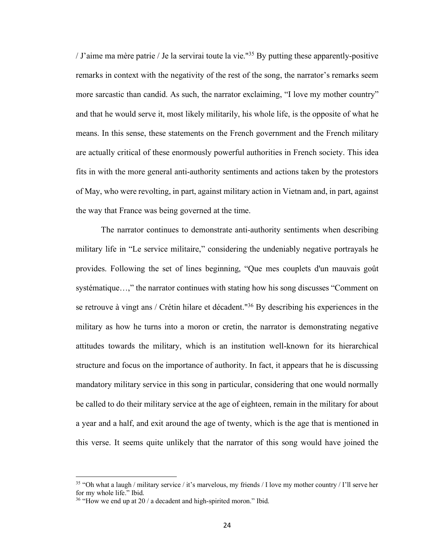/ J'aime ma mère patrie / Je la servirai toute la vie."35 By putting these apparently-positive remarks in context with the negativity of the rest of the song, the narrator's remarks seem more sarcastic than candid. As such, the narrator exclaiming, "I love my mother country" and that he would serve it, most likely militarily, his whole life, is the opposite of what he means. In this sense, these statements on the French government and the French military are actually critical of these enormously powerful authorities in French society. This idea fits in with the more general anti-authority sentiments and actions taken by the protestors of May, who were revolting, in part, against military action in Vietnam and, in part, against the way that France was being governed at the time.

The narrator continues to demonstrate anti-authority sentiments when describing military life in "Le service militaire," considering the undeniably negative portrayals he provides. Following the set of lines beginning, "Que mes couplets d'un mauvais goût systématique…," the narrator continues with stating how his song discusses "Comment on se retrouve à vingt ans / Crétin hilare et décadent."36 By describing his experiences in the military as how he turns into a moron or cretin, the narrator is demonstrating negative attitudes towards the military, which is an institution well-known for its hierarchical structure and focus on the importance of authority. In fact, it appears that he is discussing mandatory military service in this song in particular, considering that one would normally be called to do their military service at the age of eighteen, remain in the military for about a year and a half, and exit around the age of twenty, which is the age that is mentioned in this verse. It seems quite unlikely that the narrator of this song would have joined the

<sup>&</sup>lt;sup>35</sup> "Oh what a laugh / military service / it's marvelous, my friends / I love my mother country / I'll serve her for my whole life." Ibid.

<sup>&</sup>lt;sup>36</sup> "How we end up at 20 / a decadent and high-spirited moron." Ibid.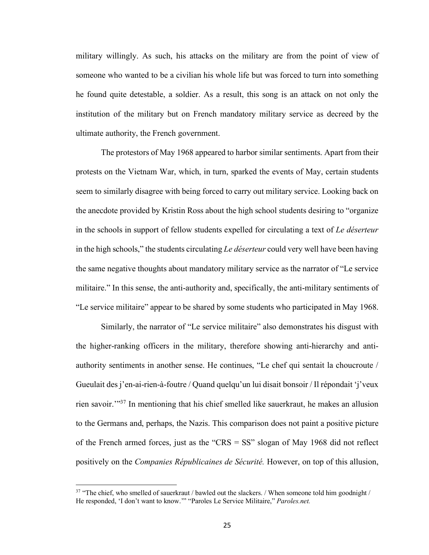military willingly. As such, his attacks on the military are from the point of view of someone who wanted to be a civilian his whole life but was forced to turn into something he found quite detestable, a soldier. As a result, this song is an attack on not only the institution of the military but on French mandatory military service as decreed by the ultimate authority, the French government.

The protestors of May 1968 appeared to harbor similar sentiments. Apart from their protests on the Vietnam War, which, in turn, sparked the events of May, certain students seem to similarly disagree with being forced to carry out military service. Looking back on the anecdote provided by Kristin Ross about the high school students desiring to "organize in the schools in support of fellow students expelled for circulating a text of *Le déserteur*  in the high schools," the students circulating *Le déserteur* could very well have been having the same negative thoughts about mandatory military service as the narrator of "Le service militaire." In this sense, the anti-authority and, specifically, the anti-military sentiments of "Le service militaire" appear to be shared by some students who participated in May 1968.

Similarly, the narrator of "Le service militaire" also demonstrates his disgust with the higher-ranking officers in the military, therefore showing anti-hierarchy and antiauthority sentiments in another sense. He continues, "Le chef qui sentait la choucroute / Gueulait des j'en-ai-rien-à-foutre / Quand quelqu'un lui disait bonsoir / Il répondait 'j'veux rien savoir.'"37 In mentioning that his chief smelled like sauerkraut, he makes an allusion to the Germans and, perhaps, the Nazis. This comparison does not paint a positive picture of the French armed forces, just as the "CRS = SS" slogan of May 1968 did not reflect positively on the *Companies Républicaines de Sécurité.* However, on top of this allusion,

<sup>&</sup>lt;sup>37</sup> "The chief, who smelled of sauerkraut / bawled out the slackers. / When someone told him goodnight / He responded, 'I don't want to know.'" "Paroles Le Service Militaire," *Paroles.net.*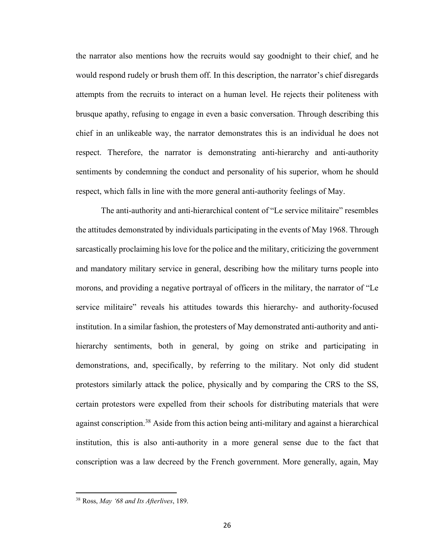the narrator also mentions how the recruits would say goodnight to their chief, and he would respond rudely or brush them off. In this description, the narrator's chief disregards attempts from the recruits to interact on a human level. He rejects their politeness with brusque apathy, refusing to engage in even a basic conversation. Through describing this chief in an unlikeable way, the narrator demonstrates this is an individual he does not respect. Therefore, the narrator is demonstrating anti-hierarchy and anti-authority sentiments by condemning the conduct and personality of his superior, whom he should respect, which falls in line with the more general anti-authority feelings of May.

The anti-authority and anti-hierarchical content of "Le service militaire" resembles the attitudes demonstrated by individuals participating in the events of May 1968. Through sarcastically proclaiming his love for the police and the military, criticizing the government and mandatory military service in general, describing how the military turns people into morons, and providing a negative portrayal of officers in the military, the narrator of "Le service militaire" reveals his attitudes towards this hierarchy- and authority-focused institution. In a similar fashion, the protesters of May demonstrated anti-authority and antihierarchy sentiments, both in general, by going on strike and participating in demonstrations, and, specifically, by referring to the military. Not only did student protestors similarly attack the police, physically and by comparing the CRS to the SS, certain protestors were expelled from their schools for distributing materials that were against conscription.38 Aside from this action being anti-military and against a hierarchical institution, this is also anti-authority in a more general sense due to the fact that conscription was a law decreed by the French government. More generally, again, May

<sup>38</sup> Ross, *May '68 and Its Afterlives*, 189.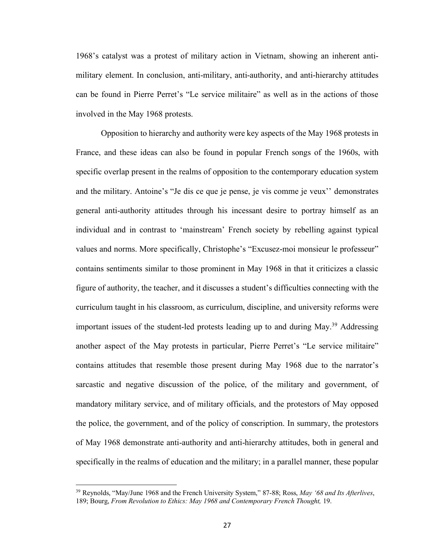1968's catalyst was a protest of military action in Vietnam, showing an inherent antimilitary element. In conclusion, anti-military, anti-authority, and anti-hierarchy attitudes can be found in Pierre Perret's "Le service militaire" as well as in the actions of those involved in the May 1968 protests.

Opposition to hierarchy and authority were key aspects of the May 1968 protests in France, and these ideas can also be found in popular French songs of the 1960s, with specific overlap present in the realms of opposition to the contemporary education system and the military. Antoine's "Je dis ce que je pense, je vis comme je veux'' demonstrates general anti-authority attitudes through his incessant desire to portray himself as an individual and in contrast to 'mainstream' French society by rebelling against typical values and norms. More specifically, Christophe's "Excusez-moi monsieur le professeur" contains sentiments similar to those prominent in May 1968 in that it criticizes a classic figure of authority, the teacher, and it discusses a student's difficulties connecting with the curriculum taught in his classroom, as curriculum, discipline, and university reforms were important issues of the student-led protests leading up to and during May.39 Addressing another aspect of the May protests in particular, Pierre Perret's "Le service militaire" contains attitudes that resemble those present during May 1968 due to the narrator's sarcastic and negative discussion of the police, of the military and government, of mandatory military service, and of military officials, and the protestors of May opposed the police, the government, and of the policy of conscription. In summary, the protestors of May 1968 demonstrate anti-authority and anti-hierarchy attitudes, both in general and specifically in the realms of education and the military; in a parallel manner, these popular

<sup>39</sup> Reynolds, "May/June 1968 and the French University System," 87-88; Ross, *May '68 and Its Afterlives*, 189; Bourg, *From Revolution to Ethics: May 1968 and Contemporary French Thought,* 19.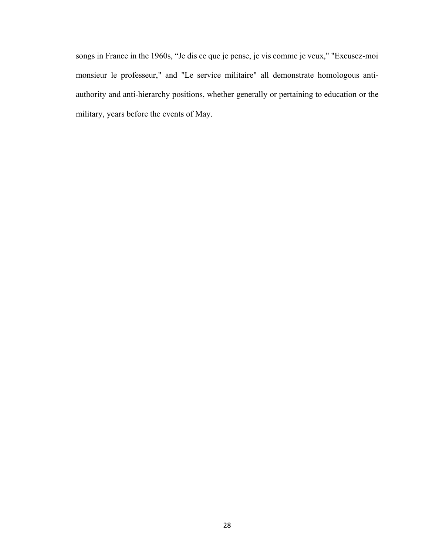songs in France in the 1960s, "Je dis ce que je pense, je vis comme je veux," "Excusez-moi monsieur le professeur," and "Le service militaire" all demonstrate homologous antiauthority and anti-hierarchy positions, whether generally or pertaining to education or the military, years before the events of May.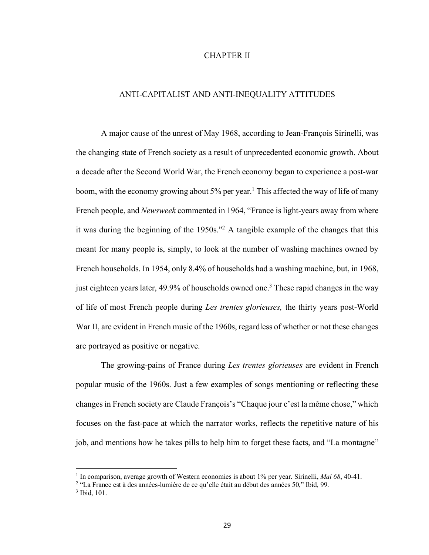#### CHAPTER II

#### ANTI-CAPITALIST AND ANTI-INEQUALITY ATTITUDES

A major cause of the unrest of May 1968, according to Jean-François Sirinelli, was the changing state of French society as a result of unprecedented economic growth. About a decade after the Second World War, the French economy began to experience a post-war boom, with the economy growing about 5% per year.<sup>1</sup> This affected the way of life of many French people, and *Newsweek* commented in 1964, "France is light-years away from where it was during the beginning of the 1950s."2 A tangible example of the changes that this meant for many people is, simply, to look at the number of washing machines owned by French households. In 1954, only 8.4% of households had a washing machine, but, in 1968, just eighteen years later, 49.9% of households owned one.3 These rapid changes in the way of life of most French people during *Les trentes glorieuses,* the thirty years post-World War II, are evident in French music of the 1960s, regardless of whether or not these changes are portrayed as positive or negative.

The growing-pains of France during *Les trentes glorieuses* are evident in French popular music of the 1960s. Just a few examples of songs mentioning or reflecting these changes in French society are Claude François's "Chaque jour c'est la même chose," which focuses on the fast-pace at which the narrator works, reflects the repetitive nature of his job, and mentions how he takes pills to help him to forget these facts, and "La montagne"

<sup>1</sup> In comparison, average growth of Western economies is about 1% per year. Sirinelli, *Mai 68*, 40-41.

<sup>2</sup> "La France est à des années-lumière de ce qu'elle était au début des années 50," Ibid*,* 99.

<sup>3</sup> Ibid, 101.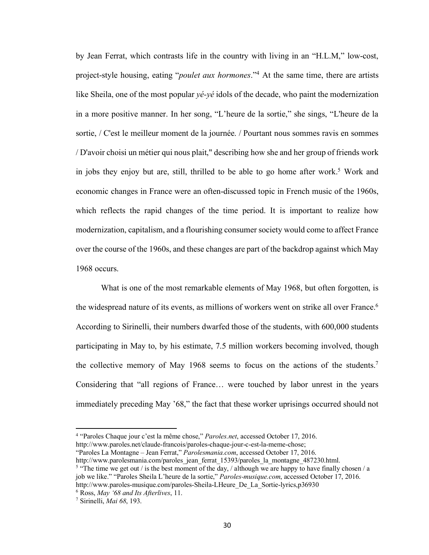by Jean Ferrat, which contrasts life in the country with living in an "H.L.M," low-cost, project-style housing, eating "*poulet aux hormones*."4 At the same time, there are artists like Sheila, one of the most popular *yé-yé* idols of the decade, who paint the modernization in a more positive manner. In her song, "L'heure de la sortie," she sings, "L'heure de la sortie, / C'est le meilleur moment de la journée. / Pourtant nous sommes ravis en sommes / D'avoir choisi un métier qui nous plait," describing how she and her group of friends work in jobs they enjoy but are, still, thrilled to be able to go home after work.<sup>5</sup> Work and economic changes in France were an often-discussed topic in French music of the 1960s, which reflects the rapid changes of the time period. It is important to realize how modernization, capitalism, and a flourishing consumer society would come to affect France over the course of the 1960s, and these changes are part of the backdrop against which May 1968 occurs.

What is one of the most remarkable elements of May 1968, but often forgotten, is the widespread nature of its events, as millions of workers went on strike all over France.<sup>6</sup> According to Sirinelli, their numbers dwarfed those of the students, with 600,000 students participating in May to, by his estimate, 7.5 million workers becoming involved, though the collective memory of May 1968 seems to focus on the actions of the students.7 Considering that "all regions of France… were touched by labor unrest in the years immediately preceding May '68," the fact that these worker uprisings occurred should not

"Paroles La Montagne – Jean Ferrat," *Parolesmania.com*, accessed October 17, 2016.

http://www.paroles-musique.com/paroles-Sheila-LHeure De La Sortie-lyrics,p36930

<sup>4</sup> "Paroles Chaque jour c'est la même chose," *Paroles.net*, accessed October 17, 2016. http://www.paroles.net/claude-francois/paroles-chaque-jour-c-est-la-meme-chose;

http://www.parolesmania.com/paroles jean ferrat 15393/paroles la montagne 487230.html. <sup>5</sup> "The time we get out / is the best moment of the day, / although we are happy to have finally chosen / a job we like." "Paroles Sheila L'heure de la sortie," *Paroles-musique.com*, accessed October 17, 2016.

<sup>6</sup> Ross, *May '68 and Its Afterlives*, 11.

<sup>7</sup> Sirinelli, *Mai 68*, 193.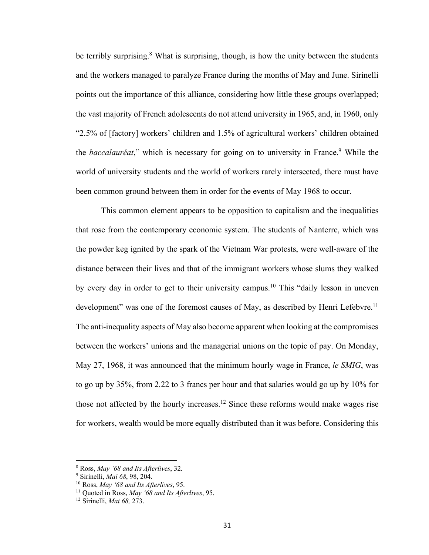be terribly surprising.<sup>8</sup> What is surprising, though, is how the unity between the students and the workers managed to paralyze France during the months of May and June. Sirinelli points out the importance of this alliance, considering how little these groups overlapped; the vast majority of French adolescents do not attend university in 1965, and, in 1960, only "2.5% of [factory] workers' children and 1.5% of agricultural workers' children obtained the *baccalauréat*," which is necessary for going on to university in France.<sup>9</sup> While the world of university students and the world of workers rarely intersected, there must have been common ground between them in order for the events of May 1968 to occur.

This common element appears to be opposition to capitalism and the inequalities that rose from the contemporary economic system. The students of Nanterre, which was the powder keg ignited by the spark of the Vietnam War protests, were well-aware of the distance between their lives and that of the immigrant workers whose slums they walked by every day in order to get to their university campus.<sup>10</sup> This "daily lesson in uneven development" was one of the foremost causes of May, as described by Henri Lefebvre.<sup>11</sup> The anti-inequality aspects of May also become apparent when looking at the compromises between the workers' unions and the managerial unions on the topic of pay. On Monday, May 27, 1968, it was announced that the minimum hourly wage in France, *le SMIG*, was to go up by 35%, from 2.22 to 3 francs per hour and that salaries would go up by 10% for those not affected by the hourly increases.12 Since these reforms would make wages rise for workers, wealth would be more equally distributed than it was before. Considering this

<sup>8</sup> Ross, *May '68 and Its Afterlives*, 32.

<sup>9</sup> Sirinelli, *Mai 68*, 98, 204.

<sup>10</sup> Ross, *May '68 and Its Afterlives*, 95.

<sup>11</sup> Quoted in Ross, *May '68 and Its Afterlives*, 95. 12 Sirinelli, *Mai 68,* 273.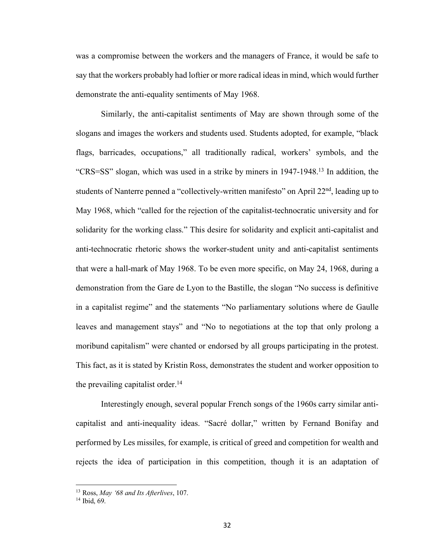was a compromise between the workers and the managers of France, it would be safe to say that the workers probably had loftier or more radical ideas in mind, which would further demonstrate the anti-equality sentiments of May 1968.

Similarly, the anti-capitalist sentiments of May are shown through some of the slogans and images the workers and students used. Students adopted, for example, "black flags, barricades, occupations," all traditionally radical, workers' symbols, and the "CRS=SS" slogan, which was used in a strike by miners in 1947-1948.13 In addition, the students of Nanterre penned a "collectively-written manifesto" on April 22<sup>nd</sup>, leading up to May 1968, which "called for the rejection of the capitalist-technocratic university and for solidarity for the working class." This desire for solidarity and explicit anti-capitalist and anti-technocratic rhetoric shows the worker-student unity and anti-capitalist sentiments that were a hall-mark of May 1968. To be even more specific, on May 24, 1968, during a demonstration from the Gare de Lyon to the Bastille, the slogan "No success is definitive in a capitalist regime" and the statements "No parliamentary solutions where de Gaulle leaves and management stays" and "No to negotiations at the top that only prolong a moribund capitalism" were chanted or endorsed by all groups participating in the protest. This fact, as it is stated by Kristin Ross, demonstrates the student and worker opposition to the prevailing capitalist order.<sup>14</sup>

Interestingly enough, several popular French songs of the 1960s carry similar anticapitalist and anti-inequality ideas. "Sacré dollar," written by Fernand Bonifay and performed by Les missiles, for example, is critical of greed and competition for wealth and rejects the idea of participation in this competition, though it is an adaptation of

<sup>13</sup> Ross, *May '68 and Its Afterlives*, 107.

<sup>14</sup> Ibid, 69.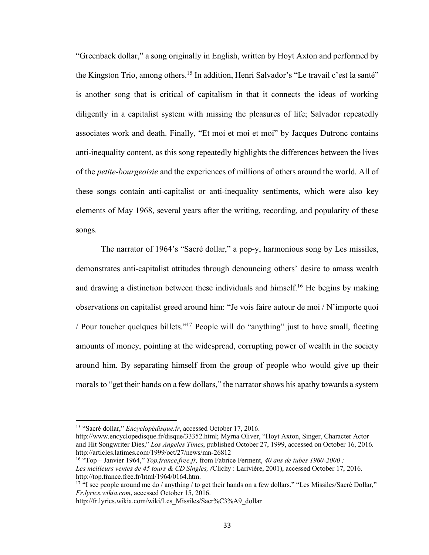"Greenback dollar," a song originally in English, written by Hoyt Axton and performed by the Kingston Trio, among others.15 In addition, Henri Salvador's "Le travail c'est la santé" is another song that is critical of capitalism in that it connects the ideas of working diligently in a capitalist system with missing the pleasures of life; Salvador repeatedly associates work and death. Finally, "Et moi et moi et moi" by Jacques Dutronc contains anti-inequality content, as this song repeatedly highlights the differences between the lives of the *petite-bourgeoisie* and the experiences of millions of others around the world. All of these songs contain anti-capitalist or anti-inequality sentiments, which were also key elements of May 1968, several years after the writing, recording, and popularity of these songs.

The narrator of 1964's "Sacré dollar," a pop-y, harmonious song by Les missiles, demonstrates anti-capitalist attitudes through denouncing others' desire to amass wealth and drawing a distinction between these individuals and himself.16 He begins by making observations on capitalist greed around him: "Je vois faire autour de moi / N'importe quoi / Pour toucher quelques billets."17 People will do "anything" just to have small, fleeting amounts of money, pointing at the widespread, corrupting power of wealth in the society around him. By separating himself from the group of people who would give up their morals to "get their hands on a few dollars," the narrator shows his apathy towards a system

<sup>15</sup> "Sacré dollar," *Encyclopédisque.fr*, accessed October 17, 2016.

http://www.encyclopedisque.fr/disque/33352.html; Myrna Oliver, "Hoyt Axton, Singer, Character Actor and Hit Songwriter Dies," *Los Angeles Times*, published October 27, 1999, accessed on October 16, 2016. http://articles.latimes.com/1999/oct/27/news/mn-26812

<sup>16</sup> "Top – Janvier 1964," *Top.france.free.fr,* from Fabrice Ferment, *40 ans de tubes 1960-2000 : Les meilleurs ventes de 45 tours & CD Singles, (*Clichy : Larivière, 2001), accessed October 17, 2016. http://top.france.free.fr/html/1964/0164.htm.

<sup>&</sup>lt;sup>17 "</sup>I see people around me do / anything / to get their hands on a few dollars." "Les Missiles/Sacré Dollar," *Fr.lyrics.wikia.com*, accessed October 15, 2016.

http://fr.lyrics.wikia.com/wiki/Les\_Missiles/Sacr%C3%A9\_dollar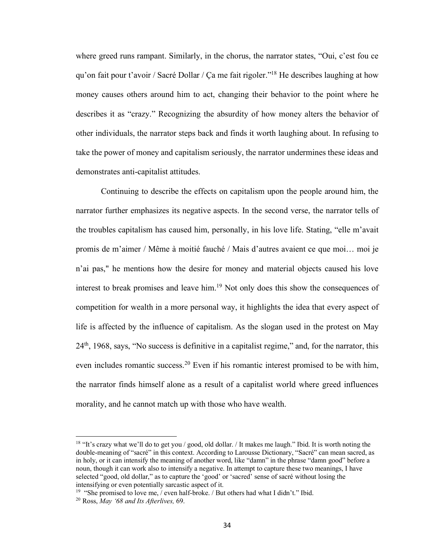where greed runs rampant. Similarly, in the chorus, the narrator states, "Oui, c'est fou ce qu'on fait pour t'avoir / Sacré Dollar / Ça me fait rigoler."18 He describes laughing at how money causes others around him to act, changing their behavior to the point where he describes it as "crazy." Recognizing the absurdity of how money alters the behavior of other individuals, the narrator steps back and finds it worth laughing about. In refusing to take the power of money and capitalism seriously, the narrator undermines these ideas and demonstrates anti-capitalist attitudes.

Continuing to describe the effects on capitalism upon the people around him, the narrator further emphasizes its negative aspects. In the second verse, the narrator tells of the troubles capitalism has caused him, personally, in his love life. Stating, "elle m'avait promis de m'aimer / Même à moitié fauché / Mais d'autres avaient ce que moi… moi je n'ai pas," he mentions how the desire for money and material objects caused his love interest to break promises and leave him.<sup>19</sup> Not only does this show the consequences of competition for wealth in a more personal way, it highlights the idea that every aspect of life is affected by the influence of capitalism. As the slogan used in the protest on May 24th, 1968, says, "No success is definitive in a capitalist regime," and, for the narrator, this even includes romantic success.<sup>20</sup> Even if his romantic interest promised to be with him, the narrator finds himself alone as a result of a capitalist world where greed influences morality, and he cannot match up with those who have wealth.

<sup>&</sup>lt;sup>18</sup> "It's crazy what we'll do to get you / good, old dollar. / It makes me laugh." Ibid. It is worth noting the double-meaning of "sacré" in this context. According to Larousse Dictionary, "Sacré" can mean sacred, as in holy, or it can intensify the meaning of another word, like "damn" in the phrase "damn good" before a noun, though it can work also to intensify a negative. In attempt to capture these two meanings, I have selected "good, old dollar," as to capture the 'good' or 'sacred' sense of sacré without losing the intensifying or even potentially sarcastic aspect of it.

<sup>&</sup>lt;sup>19</sup> "She promised to love me, / even half-broke. / But others had what I didn't." Ibid. <sup>20</sup> Ross, *May '68 and Its Afterlives,* 69.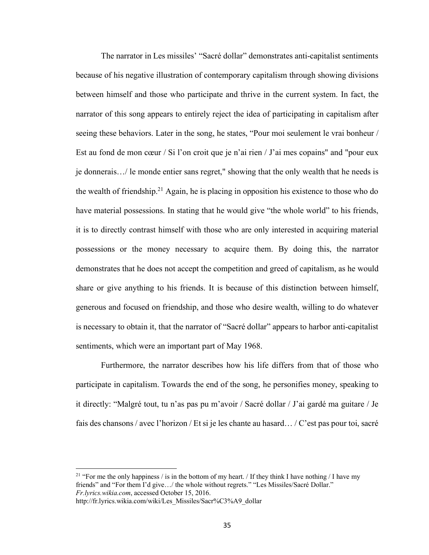The narrator in Les missiles' "Sacré dollar" demonstrates anti-capitalist sentiments because of his negative illustration of contemporary capitalism through showing divisions between himself and those who participate and thrive in the current system. In fact, the narrator of this song appears to entirely reject the idea of participating in capitalism after seeing these behaviors. Later in the song, he states, "Pour moi seulement le vrai bonheur / Est au fond de mon cœur / Si l'on croit que je n'ai rien / J'ai mes copains" and "pour eux je donnerais…/ le monde entier sans regret," showing that the only wealth that he needs is the wealth of friendship.<sup>21</sup> Again, he is placing in opposition his existence to those who do have material possessions. In stating that he would give "the whole world" to his friends, it is to directly contrast himself with those who are only interested in acquiring material possessions or the money necessary to acquire them. By doing this, the narrator demonstrates that he does not accept the competition and greed of capitalism, as he would share or give anything to his friends. It is because of this distinction between himself, generous and focused on friendship, and those who desire wealth, willing to do whatever is necessary to obtain it, that the narrator of "Sacré dollar" appears to harbor anti-capitalist sentiments, which were an important part of May 1968.

Furthermore, the narrator describes how his life differs from that of those who participate in capitalism. Towards the end of the song, he personifies money, speaking to it directly: "Malgré tout, tu n'as pas pu m'avoir / Sacré dollar / J'ai gardé ma guitare / Je fais des chansons / avec l'horizon / Et si je les chante au hasard… / C'est pas pour toi, sacré

**.** 

<sup>&</sup>lt;sup>21</sup> "For me the only happiness / is in the bottom of my heart. / If they think I have nothing / I have my friends" and "For them I'd give…/ the whole without regrets." "Les Missiles/Sacré Dollar." *Fr.lyrics.wikia.com*, accessed October 15, 2016.

http://fr.lyrics.wikia.com/wiki/Les\_Missiles/Sacr%C3%A9\_dollar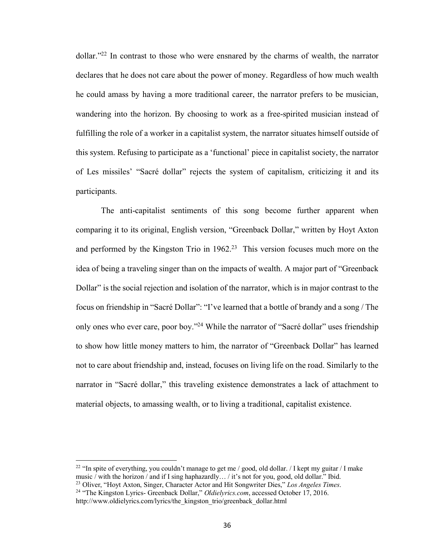dollar."<sup>22</sup> In contrast to those who were ensnared by the charms of wealth, the narrator declares that he does not care about the power of money. Regardless of how much wealth he could amass by having a more traditional career, the narrator prefers to be musician, wandering into the horizon. By choosing to work as a free-spirited musician instead of fulfilling the role of a worker in a capitalist system, the narrator situates himself outside of this system. Refusing to participate as a 'functional' piece in capitalist society, the narrator of Les missiles' "Sacré dollar" rejects the system of capitalism, criticizing it and its participants.

The anti-capitalist sentiments of this song become further apparent when comparing it to its original, English version, "Greenback Dollar," written by Hoyt Axton and performed by the Kingston Trio in 1962.<sup>23</sup> This version focuses much more on the idea of being a traveling singer than on the impacts of wealth. A major part of "Greenback Dollar" is the social rejection and isolation of the narrator, which is in major contrast to the focus on friendship in "Sacré Dollar": "I've learned that a bottle of brandy and a song / The only ones who ever care, poor boy."<sup>24</sup> While the narrator of "Sacré dollar" uses friendship to show how little money matters to him, the narrator of "Greenback Dollar" has learned not to care about friendship and, instead, focuses on living life on the road. Similarly to the narrator in "Sacré dollar," this traveling existence demonstrates a lack of attachment to material objects, to amassing wealth, or to living a traditional, capitalist existence.

<sup>22</sup> "In spite of everything, you couldn't manage to get me / good, old dollar. / I kept my guitar / I make music / with the horizon / and if I sing haphazardly… / it's not for you, good, old dollar." Ibid. <sup>23</sup> Oliver, "Hoyt Axton, Singer, Character Actor and Hit Songwriter Dies," *Los Angeles Times*. <sup>24</sup> "The Kingston Lyrics- Greenback Dollar," *Oldielyrics.com*, accessed October 17, 2016. http://www.oldielyrics.com/lyrics/the\_kingston\_trio/greenback\_dollar.html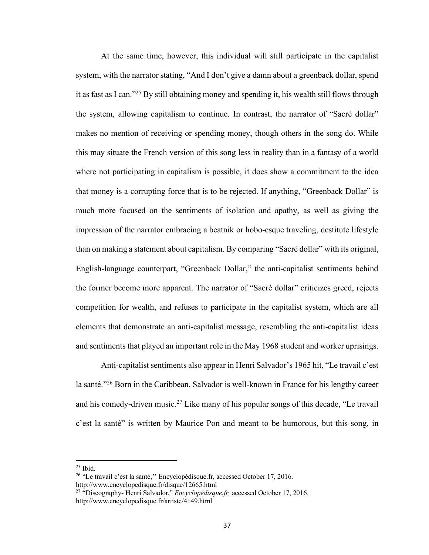At the same time, however, this individual will still participate in the capitalist system, with the narrator stating, "And I don't give a damn about a greenback dollar, spend it as fast as I can."25 By still obtaining money and spending it, his wealth still flows through the system, allowing capitalism to continue. In contrast, the narrator of "Sacré dollar" makes no mention of receiving or spending money, though others in the song do. While this may situate the French version of this song less in reality than in a fantasy of a world where not participating in capitalism is possible, it does show a commitment to the idea that money is a corrupting force that is to be rejected. If anything, "Greenback Dollar" is much more focused on the sentiments of isolation and apathy, as well as giving the impression of the narrator embracing a beatnik or hobo-esque traveling, destitute lifestyle than on making a statement about capitalism. By comparing "Sacré dollar" with its original, English-language counterpart, "Greenback Dollar," the anti-capitalist sentiments behind the former become more apparent. The narrator of "Sacré dollar" criticizes greed, rejects competition for wealth, and refuses to participate in the capitalist system, which are all elements that demonstrate an anti-capitalist message, resembling the anti-capitalist ideas and sentiments that played an important role in the May 1968 student and worker uprisings.

Anti-capitalist sentiments also appear in Henri Salvador's 1965 hit, "Le travail c'est la santé."<sup>26</sup> Born in the Caribbean, Salvador is well-known in France for his lengthy career and his comedy-driven music.27 Like many of his popular songs of this decade, "Le travail c'est la santé" is written by Maurice Pon and meant to be humorous, but this song, in

 $25$  Ibid.

<sup>&</sup>lt;sup>26</sup> "Le travail c'est la santé," Encyclopédisque.fr, accessed October 17, 2016. http://www.encyclopedisque.fr/disque/12665.html

<sup>27</sup> "Discography- Henri Salvador," *Encyclopédisque.fr,* accessed October 17, 2016. http://www.encyclopedisque.fr/artiste/4149.html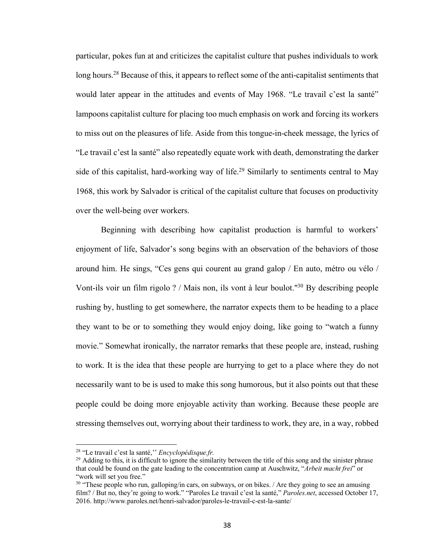particular, pokes fun at and criticizes the capitalist culture that pushes individuals to work long hours.<sup>28</sup> Because of this, it appears to reflect some of the anti-capitalist sentiments that would later appear in the attitudes and events of May 1968. "Le travail c'est la santé" lampoons capitalist culture for placing too much emphasis on work and forcing its workers to miss out on the pleasures of life. Aside from this tongue-in-cheek message, the lyrics of "Le travail c'est la santé" also repeatedly equate work with death, demonstrating the darker side of this capitalist, hard-working way of life.<sup>29</sup> Similarly to sentiments central to May 1968, this work by Salvador is critical of the capitalist culture that focuses on productivity over the well-being over workers.

Beginning with describing how capitalist production is harmful to workers' enjoyment of life, Salvador's song begins with an observation of the behaviors of those around him. He sings, "Ces gens qui courent au grand galop / En auto, métro ou vélo / Vont-ils voir un film rigolo ? / Mais non, ils vont à leur boulot."30 By describing people rushing by, hustling to get somewhere, the narrator expects them to be heading to a place they want to be or to something they would enjoy doing, like going to "watch a funny movie." Somewhat ironically, the narrator remarks that these people are, instead, rushing to work. It is the idea that these people are hurrying to get to a place where they do not necessarily want to be is used to make this song humorous, but it also points out that these people could be doing more enjoyable activity than working. Because these people are stressing themselves out, worrying about their tardiness to work, they are, in a way, robbed

<sup>28</sup> "Le travail c'est la santé,'' *Encyclopédisque.fr.*

 $^{29}$  Adding to this, it is difficult to ignore the similarity between the title of this song and the sinister phrase that could be found on the gate leading to the concentration camp at Auschwitz, "*Arbeit macht frei*" or "work will set you free."

<sup>&</sup>lt;sup>30</sup> "These people who run, galloping/in cars, on subways, or on bikes. / Are they going to see an amusing film? / But no, they're going to work." "Paroles Le travail c'est la santé," *Paroles.net*, accessed October 17, 2016. http://www.paroles.net/henri-salvador/paroles-le-travail-c-est-la-sante/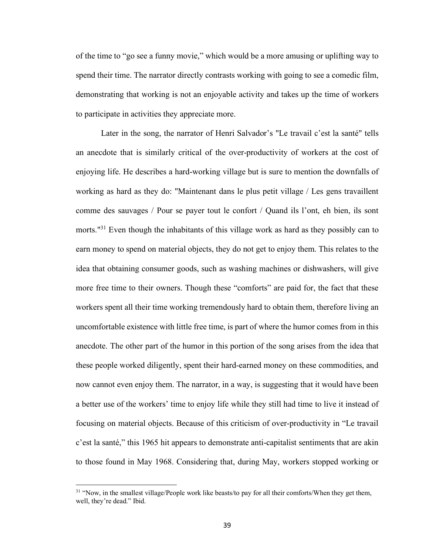of the time to "go see a funny movie," which would be a more amusing or uplifting way to spend their time. The narrator directly contrasts working with going to see a comedic film, demonstrating that working is not an enjoyable activity and takes up the time of workers to participate in activities they appreciate more.

Later in the song, the narrator of Henri Salvador's "Le travail c'est la santé" tells an anecdote that is similarly critical of the over-productivity of workers at the cost of enjoying life. He describes a hard-working village but is sure to mention the downfalls of working as hard as they do: "Maintenant dans le plus petit village / Les gens travaillent comme des sauvages / Pour se payer tout le confort / Quand ils l'ont, eh bien, ils sont morts."<sup>31</sup> Even though the inhabitants of this village work as hard as they possibly can to earn money to spend on material objects, they do not get to enjoy them. This relates to the idea that obtaining consumer goods, such as washing machines or dishwashers, will give more free time to their owners. Though these "comforts" are paid for, the fact that these workers spent all their time working tremendously hard to obtain them, therefore living an uncomfortable existence with little free time, is part of where the humor comes from in this anecdote. The other part of the humor in this portion of the song arises from the idea that these people worked diligently, spent their hard-earned money on these commodities, and now cannot even enjoy them. The narrator, in a way, is suggesting that it would have been a better use of the workers' time to enjoy life while they still had time to live it instead of focusing on material objects. Because of this criticism of over-productivity in "Le travail c'est la santé," this 1965 hit appears to demonstrate anti-capitalist sentiments that are akin to those found in May 1968. Considering that, during May, workers stopped working or

<sup>&</sup>lt;sup>31</sup> "Now, in the smallest village/People work like beasts/to pay for all their comforts/When they get them, well, they're dead." Ibid.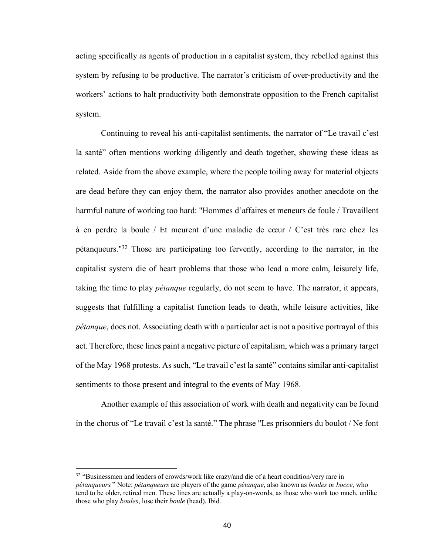acting specifically as agents of production in a capitalist system, they rebelled against this system by refusing to be productive. The narrator's criticism of over-productivity and the workers' actions to halt productivity both demonstrate opposition to the French capitalist system.

Continuing to reveal his anti-capitalist sentiments, the narrator of "Le travail c'est la santé" often mentions working diligently and death together, showing these ideas as related. Aside from the above example, where the people toiling away for material objects are dead before they can enjoy them, the narrator also provides another anecdote on the harmful nature of working too hard: "Hommes d'affaires et meneurs de foule / Travaillent à en perdre la boule / Et meurent d'une maladie de cœur / C'est très rare chez les pétanqueurs."32 Those are participating too fervently, according to the narrator, in the capitalist system die of heart problems that those who lead a more calm, leisurely life, taking the time to play *pétanque* regularly, do not seem to have. The narrator, it appears, suggests that fulfilling a capitalist function leads to death, while leisure activities, like *pétanque*, does not. Associating death with a particular act is not a positive portrayal of this act. Therefore, these lines paint a negative picture of capitalism, which was a primary target of the May 1968 protests. As such, "Le travail c'est la santé" contains similar anti-capitalist sentiments to those present and integral to the events of May 1968.

Another example of this association of work with death and negativity can be found in the chorus of "Le travail c'est la santé." The phrase "Les prisonniers du boulot / Ne font

**.** 

 $32$  "Businessmen and leaders of crowds/work like crazy/and die of a heart condition/very rare in *pétanqueurs.*" Note: *pétanqueurs* are players of the game *pétanque*, also known as *boules* or *bocce*, who tend to be older, retired men. These lines are actually a play-on-words, as those who work too much, unlike those who play *boules*, lose their *boule* (head). Ibid.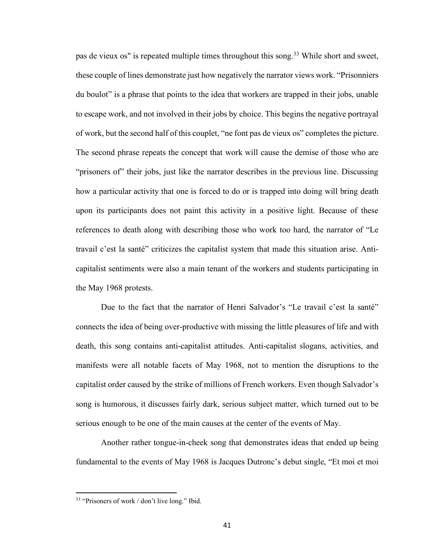pas de vieux os" is repeated multiple times throughout this song.<sup>33</sup> While short and sweet, these couple of lines demonstrate just how negatively the narrator views work. "Prisonniers du boulot" is a phrase that points to the idea that workers are trapped in their jobs, unable to escape work, and not involved in their jobs by choice. This begins the negative portrayal of work, but the second half of this couplet, "ne font pas de vieux os" completes the picture. The second phrase repeats the concept that work will cause the demise of those who are "prisoners of" their jobs, just like the narrator describes in the previous line. Discussing how a particular activity that one is forced to do or is trapped into doing will bring death upon its participants does not paint this activity in a positive light. Because of these references to death along with describing those who work too hard, the narrator of "Le travail c'est la santé" criticizes the capitalist system that made this situation arise. Anticapitalist sentiments were also a main tenant of the workers and students participating in the May 1968 protests.

Due to the fact that the narrator of Henri Salvador's "Le travail c'est la santé" connects the idea of being over-productive with missing the little pleasures of life and with death, this song contains anti-capitalist attitudes. Anti-capitalist slogans, activities, and manifests were all notable facets of May 1968, not to mention the disruptions to the capitalist order caused by the strike of millions of French workers. Even though Salvador's song is humorous, it discusses fairly dark, serious subject matter, which turned out to be serious enough to be one of the main causes at the center of the events of May.

Another rather tongue-in-cheek song that demonstrates ideas that ended up being fundamental to the events of May 1968 is Jacques Dutronc's debut single, "Et moi et moi

<sup>33</sup> "Prisoners of work / don't live long." Ibid.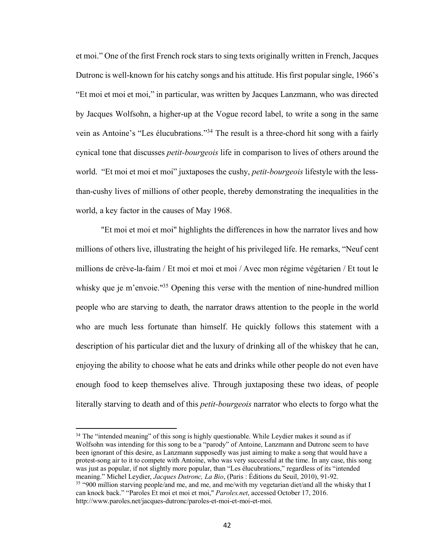et moi." One of the first French rock stars to sing texts originally written in French, Jacques Dutronc is well-known for his catchy songs and his attitude. His first popular single, 1966's "Et moi et moi et moi," in particular, was written by Jacques Lanzmann, who was directed by Jacques Wolfsohn, a higher-up at the Vogue record label, to write a song in the same vein as Antoine's "Les élucubrations."34 The result is a three-chord hit song with a fairly cynical tone that discusses *petit-bourgeois* life in comparison to lives of others around the world. "Et moi et moi et moi" juxtaposes the cushy, *petit-bourgeois* lifestyle with the lessthan-cushy lives of millions of other people, thereby demonstrating the inequalities in the world, a key factor in the causes of May 1968.

"Et moi et moi et moi" highlights the differences in how the narrator lives and how millions of others live, illustrating the height of his privileged life. He remarks, "Neuf cent millions de crève-la-faim / Et moi et moi et moi / Avec mon régime végétarien / Et tout le whisky que je m'envoie."<sup>35</sup> Opening this verse with the mention of nine-hundred million people who are starving to death, the narrator draws attention to the people in the world who are much less fortunate than himself. He quickly follows this statement with a description of his particular diet and the luxury of drinking all of the whiskey that he can, enjoying the ability to choose what he eats and drinks while other people do not even have enough food to keep themselves alive. Through juxtaposing these two ideas, of people literally starving to death and of this *petit-bourgeois* narrator who elects to forgo what the

<sup>34</sup> The "intended meaning" of this song is highly questionable. While Leydier makes it sound as if Wolfsohn was intending for this song to be a "parody" of Antoine, Lanzmann and Dutronc seem to have been ignorant of this desire, as Lanzmann supposedly was just aiming to make a song that would have a protest-song air to it to compete with Antoine, who was very successful at the time. In any case, this song was just as popular, if not slightly more popular, than "Les élucubrations," regardless of its "intended meaning." Michel Leydier, *Jacques Dutronc, La Bio*, (Paris : Éditions du Seuil, 2010), 91-92. <sup>35</sup> "900 million starving people/and me, and me, and me/with my vegetarian diet/and all the whisky that I

**.** 

can knock back." "Paroles Et moi et moi et moi," *Paroles.net*, accessed October 17, 2016. http://www.paroles.net/jacques-dutronc/paroles-et-moi-et-moi-et-moi.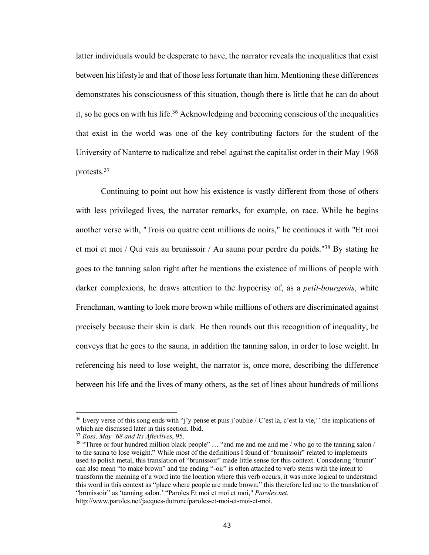latter individuals would be desperate to have, the narrator reveals the inequalities that exist between his lifestyle and that of those less fortunate than him. Mentioning these differences demonstrates his consciousness of this situation, though there is little that he can do about it, so he goes on with his life.36 Acknowledging and becoming conscious of the inequalities that exist in the world was one of the key contributing factors for the student of the University of Nanterre to radicalize and rebel against the capitalist order in their May 1968 protests.37

Continuing to point out how his existence is vastly different from those of others with less privileged lives, the narrator remarks, for example, on race. While he begins another verse with, "Trois ou quatre cent millions de noirs," he continues it with "Et moi et moi et moi / Qui vais au brunissoir / Au sauna pour perdre du poids."38 By stating he goes to the tanning salon right after he mentions the existence of millions of people with darker complexions, he draws attention to the hypocrisy of, as a *petit-bourgeois*, white Frenchman, wanting to look more brown while millions of others are discriminated against precisely because their skin is dark. He then rounds out this recognition of inequality, he conveys that he goes to the sauna, in addition the tanning salon, in order to lose weight. In referencing his need to lose weight, the narrator is, once more, describing the difference between his life and the lives of many others, as the set of lines about hundreds of millions

<sup>&</sup>lt;sup>36</sup> Every verse of this song ends with "j'y pense et puis j'oublie / C'est la, c'est la vie," the implications of which are discussed later in this section. Ibid.

<sup>37</sup> *Ross, May '68 and Its Afterlives*, 95.

<sup>&</sup>lt;sup>38</sup> "Three or four hundred million black people" ... "and me and me and me / who go to the tanning salon / to the sauna to lose weight." While most of the definitions I found of "brunissoir" related to implements used to polish metal, this translation of "brunissoir" made little sense for this context. Considering "brunir" can also mean "to make brown" and the ending "-oir" is often attached to verb stems with the intent to transform the meaning of a word into the location where this verb occurs, it was more logical to understand this word in this context as "place where people are made brown;" this therefore led me to the translation of "brunissoir" as 'tanning salon.' "Paroles Et moi et moi et moi," *Paroles.net*.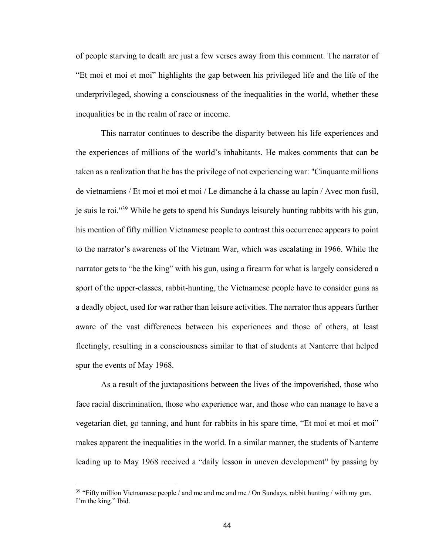of people starving to death are just a few verses away from this comment. The narrator of "Et moi et moi et moi" highlights the gap between his privileged life and the life of the underprivileged, showing a consciousness of the inequalities in the world, whether these inequalities be in the realm of race or income.

This narrator continues to describe the disparity between his life experiences and the experiences of millions of the world's inhabitants. He makes comments that can be taken as a realization that he has the privilege of not experiencing war: "Cinquante millions de vietnamiens / Et moi et moi et moi / Le dimanche à la chasse au lapin / Avec mon fusil, je suis le roi."39 While he gets to spend his Sundays leisurely hunting rabbits with his gun, his mention of fifty million Vietnamese people to contrast this occurrence appears to point to the narrator's awareness of the Vietnam War, which was escalating in 1966. While the narrator gets to "be the king" with his gun, using a firearm for what is largely considered a sport of the upper-classes, rabbit-hunting, the Vietnamese people have to consider guns as a deadly object, used for war rather than leisure activities. The narrator thus appears further aware of the vast differences between his experiences and those of others, at least fleetingly, resulting in a consciousness similar to that of students at Nanterre that helped spur the events of May 1968.

As a result of the juxtapositions between the lives of the impoverished, those who face racial discrimination, those who experience war, and those who can manage to have a vegetarian diet, go tanning, and hunt for rabbits in his spare time, "Et moi et moi et moi" makes apparent the inequalities in the world. In a similar manner, the students of Nanterre leading up to May 1968 received a "daily lesson in uneven development" by passing by

<sup>&</sup>lt;sup>39</sup> "Fifty million Vietnamese people / and me and me and me / On Sundays, rabbit hunting / with my gun, I'm the king." Ibid.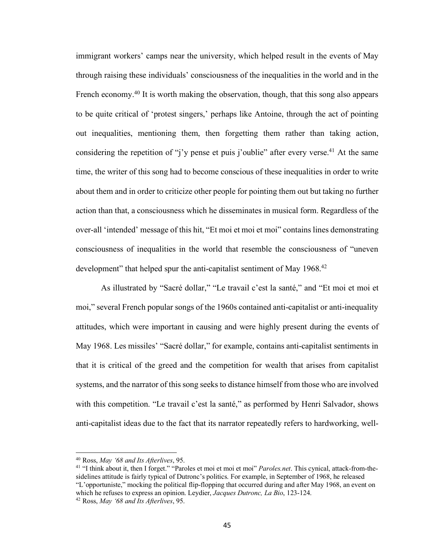immigrant workers' camps near the university, which helped result in the events of May through raising these individuals' consciousness of the inequalities in the world and in the French economy.<sup>40</sup> It is worth making the observation, though, that this song also appears to be quite critical of 'protest singers,' perhaps like Antoine, through the act of pointing out inequalities, mentioning them, then forgetting them rather than taking action, considering the repetition of "j'y pense et puis j'oublie" after every verse.<sup>41</sup> At the same time, the writer of this song had to become conscious of these inequalities in order to write about them and in order to criticize other people for pointing them out but taking no further action than that, a consciousness which he disseminates in musical form. Regardless of the over-all 'intended' message of this hit, "Et moi et moi et moi" contains lines demonstrating consciousness of inequalities in the world that resemble the consciousness of "uneven development" that helped spur the anti-capitalist sentiment of May 1968.<sup>42</sup>

As illustrated by "Sacré dollar," "Le travail c'est la santé," and "Et moi et moi et moi," several French popular songs of the 1960s contained anti-capitalist or anti-inequality attitudes, which were important in causing and were highly present during the events of May 1968. Les missiles' "Sacré dollar," for example, contains anti-capitalist sentiments in that it is critical of the greed and the competition for wealth that arises from capitalist systems, and the narrator of this song seeks to distance himself from those who are involved with this competition. "Le travail c'est la santé," as performed by Henri Salvador, shows anti-capitalist ideas due to the fact that its narrator repeatedly refers to hardworking, well-

<sup>40</sup> Ross, *May '68 and Its Afterlives*, 95.

<sup>41</sup> "I think about it, then I forget." "Paroles et moi et moi et moi" *Paroles.net*. This cynical, attack-from-thesidelines attitude is fairly typical of Dutronc's politics. For example, in September of 1968, he released "L'opportuniste," mocking the political flip-flopping that occurred during and after May 1968, an event on which he refuses to express an opinion. Leydier, *Jacques Dutronc, La Bio*, 123-124. <sup>42</sup> Ross, *May '68 and Its Afterlives*, 95.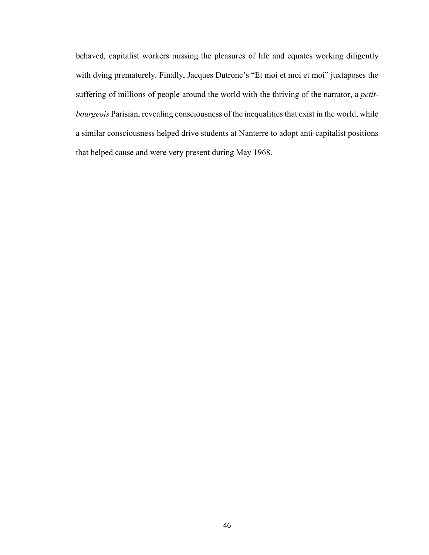behaved, capitalist workers missing the pleasures of life and equates working diligently with dying prematurely. Finally, Jacques Dutronc's "Et moi et moi et moi" juxtaposes the suffering of millions of people around the world with the thriving of the narrator, a *petitbourgeois* Parisian, revealing consciousness of the inequalities that exist in the world, while a similar consciousness helped drive students at Nanterre to adopt anti-capitalist positions that helped cause and were very present during May 1968.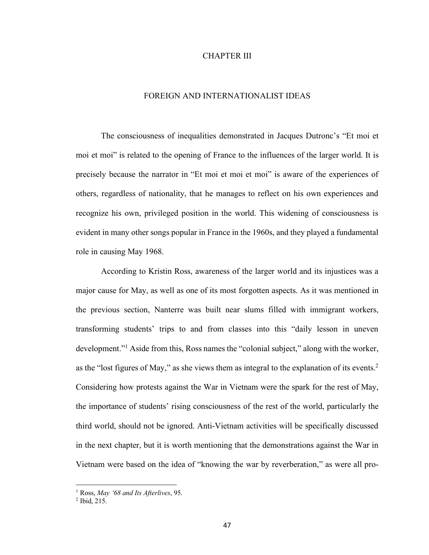## CHAPTER III

## FOREIGN AND INTERNATIONALIST IDEAS

The consciousness of inequalities demonstrated in Jacques Dutronc's "Et moi et moi et moi" is related to the opening of France to the influences of the larger world. It is precisely because the narrator in "Et moi et moi et moi" is aware of the experiences of others, regardless of nationality, that he manages to reflect on his own experiences and recognize his own, privileged position in the world. This widening of consciousness is evident in many other songs popular in France in the 1960s, and they played a fundamental role in causing May 1968.

According to Kristin Ross, awareness of the larger world and its injustices was a major cause for May, as well as one of its most forgotten aspects. As it was mentioned in the previous section, Nanterre was built near slums filled with immigrant workers, transforming students' trips to and from classes into this "daily lesson in uneven development."<sup>1</sup> Aside from this, Ross names the "colonial subject," along with the worker, as the "lost figures of May," as she views them as integral to the explanation of its events.2 Considering how protests against the War in Vietnam were the spark for the rest of May, the importance of students' rising consciousness of the rest of the world, particularly the third world, should not be ignored. Anti-Vietnam activities will be specifically discussed in the next chapter, but it is worth mentioning that the demonstrations against the War in Vietnam were based on the idea of "knowing the war by reverberation," as were all pro-

<sup>1</sup> Ross, *May '68 and Its Afterlives*, 95.

 $<sup>2</sup>$  Ibid. 215.</sup>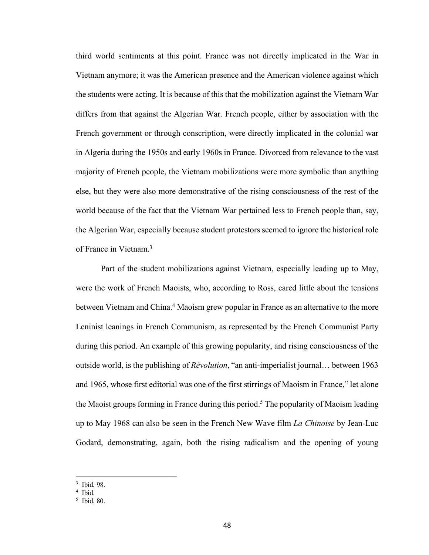third world sentiments at this point. France was not directly implicated in the War in Vietnam anymore; it was the American presence and the American violence against which the students were acting. It is because of this that the mobilization against the Vietnam War differs from that against the Algerian War. French people, either by association with the French government or through conscription, were directly implicated in the colonial war in Algeria during the 1950s and early 1960s in France. Divorced from relevance to the vast majority of French people, the Vietnam mobilizations were more symbolic than anything else, but they were also more demonstrative of the rising consciousness of the rest of the world because of the fact that the Vietnam War pertained less to French people than, say, the Algerian War, especially because student protestors seemed to ignore the historical role of France in Vietnam.3

Part of the student mobilizations against Vietnam, especially leading up to May, were the work of French Maoists, who, according to Ross, cared little about the tensions between Vietnam and China.<sup>4</sup> Maoism grew popular in France as an alternative to the more Leninist leanings in French Communism, as represented by the French Communist Party during this period. An example of this growing popularity, and rising consciousness of the outside world, is the publishing of *Révolution*, "an anti-imperialist journal… between 1963 and 1965, whose first editorial was one of the first stirrings of Maoism in France," let alone the Maoist groups forming in France during this period.<sup>5</sup> The popularity of Maoism leading up to May 1968 can also be seen in the French New Wave film *La Chinoise* by Jean-Luc Godard, demonstrating, again, both the rising radicalism and the opening of young

 $3$  Ibid, 98.

 $4$  Ibid.

<sup>5</sup> Ibid, 80.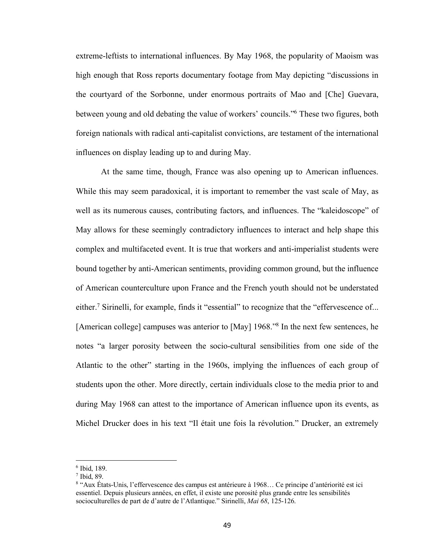extreme-leftists to international influences. By May 1968, the popularity of Maoism was high enough that Ross reports documentary footage from May depicting "discussions in the courtyard of the Sorbonne, under enormous portraits of Mao and [Che] Guevara, between young and old debating the value of workers' councils."6 These two figures, both foreign nationals with radical anti-capitalist convictions, are testament of the international influences on display leading up to and during May.

At the same time, though, France was also opening up to American influences. While this may seem paradoxical, it is important to remember the vast scale of May, as well as its numerous causes, contributing factors, and influences. The "kaleidoscope" of May allows for these seemingly contradictory influences to interact and help shape this complex and multifaceted event. It is true that workers and anti-imperialist students were bound together by anti-American sentiments, providing common ground, but the influence of American counterculture upon France and the French youth should not be understated either.<sup>7</sup> Sirinelli, for example, finds it "essential" to recognize that the "effervescence of... [American college] campuses was anterior to [May] 1968."8 In the next few sentences, he notes "a larger porosity between the socio-cultural sensibilities from one side of the Atlantic to the other" starting in the 1960s, implying the influences of each group of students upon the other. More directly, certain individuals close to the media prior to and during May 1968 can attest to the importance of American influence upon its events, as Michel Drucker does in his text "Il était une fois la révolution." Drucker, an extremely

<sup>6</sup> Ibid, 189.

<sup>7</sup> Ibid, 89.

<sup>8</sup> "Aux États-Unis, l'effervescence des campus est antérieure à 1968… Ce principe d'antériorité est ici essentiel. Depuis plusieurs années, en effet, il existe une porosité plus grande entre les sensibilités socioculturelles de part de d'autre de l'Atlantique." Sirinelli, *Mai 68*, 125-126.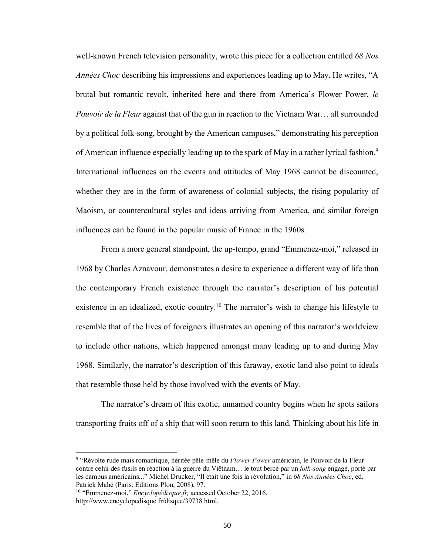well-known French television personality, wrote this piece for a collection entitled *68 Nos Années Choc* describing his impressions and experiences leading up to May. He writes, "A brutal but romantic revolt, inherited here and there from America's Flower Power, *le Pouvoir de la Fleur* against that of the gun in reaction to the Vietnam War… all surrounded by a political folk-song, brought by the American campuses," demonstrating his perception of American influence especially leading up to the spark of May in a rather lyrical fashion.<sup>9</sup> International influences on the events and attitudes of May 1968 cannot be discounted, whether they are in the form of awareness of colonial subjects, the rising popularity of Maoism, or countercultural styles and ideas arriving from America, and similar foreign influences can be found in the popular music of France in the 1960s.

From a more general standpoint, the up-tempo, grand "Emmenez-moi," released in 1968 by Charles Aznavour, demonstrates a desire to experience a different way of life than the contemporary French existence through the narrator's description of his potential existence in an idealized, exotic country.10 The narrator's wish to change his lifestyle to resemble that of the lives of foreigners illustrates an opening of this narrator's worldview to include other nations, which happened amongst many leading up to and during May 1968. Similarly, the narrator's description of this faraway, exotic land also point to ideals that resemble those held by those involved with the events of May.

The narrator's dream of this exotic, unnamed country begins when he spots sailors transporting fruits off of a ship that will soon return to this land. Thinking about his life in

<sup>9</sup> "Révolte rude mais romantique, héritée pêle-mêle du *Flower Power* américain, le Pouvoir de la Fleur contre celui des fusils en réaction à la guerre du Viêtnam… le tout bercé par un *folk-song* engagé, porté par les campus américains..." Michel Drucker, "Il était une fois la révolution," in *68 Nos Années Choc*, ed. Patrick Mahé (Paris: Editions Plon, 2008), 97.

<sup>10</sup> "Emmenez-moi," *Encyclopédisque.fr,* accessed October 22, 2016. http://www.encyclopedisque.fr/disque/39738.html.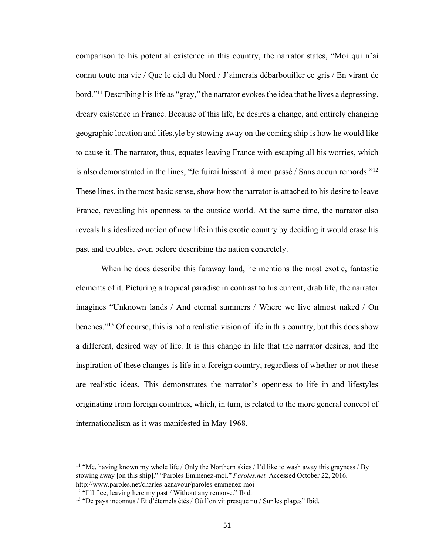comparison to his potential existence in this country, the narrator states, "Moi qui n'ai connu toute ma vie / Que le ciel du Nord / J'aimerais débarbouiller ce gris / En virant de bord."11 Describing his life as "gray," the narrator evokes the idea that he lives a depressing, dreary existence in France. Because of this life, he desires a change, and entirely changing geographic location and lifestyle by stowing away on the coming ship is how he would like to cause it. The narrator, thus, equates leaving France with escaping all his worries, which is also demonstrated in the lines, "Je fuirai laissant là mon passé / Sans aucun remords."12 These lines, in the most basic sense, show how the narrator is attached to his desire to leave France, revealing his openness to the outside world. At the same time, the narrator also reveals his idealized notion of new life in this exotic country by deciding it would erase his past and troubles, even before describing the nation concretely.

When he does describe this faraway land, he mentions the most exotic, fantastic elements of it. Picturing a tropical paradise in contrast to his current, drab life, the narrator imagines "Unknown lands / And eternal summers / Where we live almost naked / On beaches."13 Of course, this is not a realistic vision of life in this country, but this does show a different, desired way of life. It is this change in life that the narrator desires, and the inspiration of these changes is life in a foreign country, regardless of whether or not these are realistic ideas. This demonstrates the narrator's openness to life in and lifestyles originating from foreign countries, which, in turn, is related to the more general concept of internationalism as it was manifested in May 1968.

<sup>&</sup>lt;sup>11</sup> "Me, having known my whole life / Only the Northern skies / I'd like to wash away this grayness / By stowing away [on this ship]." "Paroles Emmenez-moi." *Paroles.net.* Accessed October 22, 2016. http://www.paroles.net/charles-aznavour/paroles-emmenez-moi

<sup>&</sup>lt;sup>12</sup> "I'll flee, leaving here my past / Without any remorse." Ibid.

<sup>&</sup>lt;sup>13</sup> "De pays inconnus / Et d'éternels étés / Où l'on vit presque nu / Sur les plages" Ibid.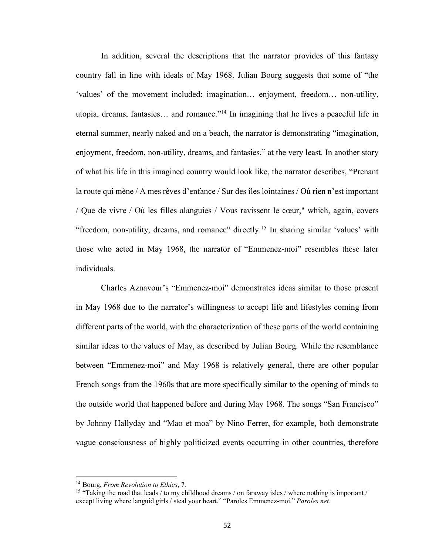In addition, several the descriptions that the narrator provides of this fantasy country fall in line with ideals of May 1968. Julian Bourg suggests that some of "the 'values' of the movement included: imagination… enjoyment, freedom… non-utility, utopia, dreams, fantasies… and romance."14 In imagining that he lives a peaceful life in eternal summer, nearly naked and on a beach, the narrator is demonstrating "imagination, enjoyment, freedom, non-utility, dreams, and fantasies," at the very least. In another story of what his life in this imagined country would look like, the narrator describes, "Prenant la route qui mène / A mes rêves d'enfance / Sur des îles lointaines / Où rien n'est important / Que de vivre / Où les filles alanguies / Vous ravissent le cœur," which, again, covers "freedom, non-utility, dreams, and romance" directly.15 In sharing similar 'values' with those who acted in May 1968, the narrator of "Emmenez-moi" resembles these later individuals.

Charles Aznavour's "Emmenez-moi" demonstrates ideas similar to those present in May 1968 due to the narrator's willingness to accept life and lifestyles coming from different parts of the world, with the characterization of these parts of the world containing similar ideas to the values of May, as described by Julian Bourg. While the resemblance between "Emmenez-moi" and May 1968 is relatively general, there are other popular French songs from the 1960s that are more specifically similar to the opening of minds to the outside world that happened before and during May 1968. The songs "San Francisco" by Johnny Hallyday and "Mao et moa" by Nino Ferrer, for example, both demonstrate vague consciousness of highly politicized events occurring in other countries, therefore

<sup>14</sup> Bourg, *From Revolution to Ethics*, 7.

<sup>&</sup>lt;sup>15</sup> "Taking the road that leads / to my childhood dreams / on faraway isles / where nothing is important / except living where languid girls / steal your heart." "Paroles Emmenez-moi." *Paroles.net.*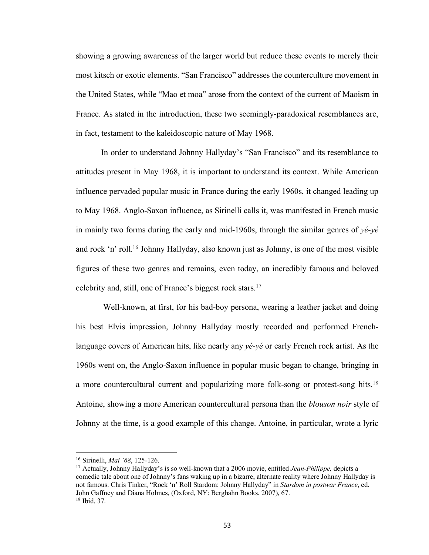showing a growing awareness of the larger world but reduce these events to merely their most kitsch or exotic elements. "San Francisco" addresses the counterculture movement in the United States, while "Mao et moa" arose from the context of the current of Maoism in France. As stated in the introduction, these two seemingly-paradoxical resemblances are, in fact, testament to the kaleidoscopic nature of May 1968.

In order to understand Johnny Hallyday's "San Francisco" and its resemblance to attitudes present in May 1968, it is important to understand its context. While American influence pervaded popular music in France during the early 1960s, it changed leading up to May 1968. Anglo-Saxon influence, as Sirinelli calls it, was manifested in French music in mainly two forms during the early and mid-1960s, through the similar genres of *yé-yé* and rock 'n' roll.16 Johnny Hallyday, also known just as Johnny, is one of the most visible figures of these two genres and remains, even today, an incredibly famous and beloved celebrity and, still, one of France's biggest rock stars.17

Well-known, at first, for his bad-boy persona, wearing a leather jacket and doing his best Elvis impression, Johnny Hallyday mostly recorded and performed Frenchlanguage covers of American hits, like nearly any *yé-yé* or early French rock artist. As the 1960s went on, the Anglo-Saxon influence in popular music began to change, bringing in a more countercultural current and popularizing more folk-song or protest-song hits.<sup>18</sup> Antoine, showing a more American countercultural persona than the *blouson noir* style of Johnny at the time, is a good example of this change. Antoine, in particular, wrote a lyric

<sup>16</sup> Sirinelli, *Mai '68*, 125-126.

<sup>17</sup> Actually, Johnny Hallyday's is so well-known that a 2006 movie, entitled *Jean-Philippe,* depicts a comedic tale about one of Johnny's fans waking up in a bizarre, alternate reality where Johnny Hallyday is not famous. Chris Tinker, "Rock 'n' Roll Stardom: Johnny Hallyday" in *Stardom in postwar France*, ed. John Gaffney and Diana Holmes, (Oxford, NY: Berghahn Books, 2007), 67. <sup>18</sup> Ibid, 37.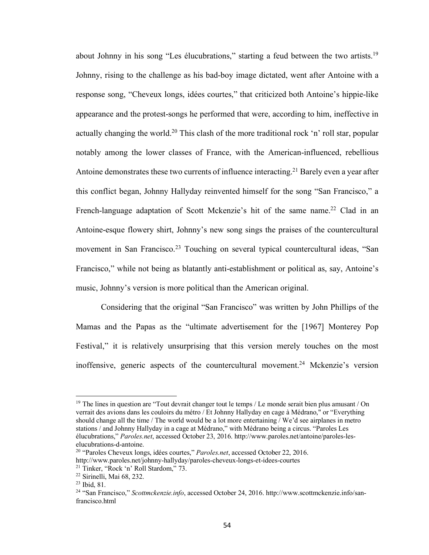about Johnny in his song "Les élucubrations," starting a feud between the two artists.<sup>19</sup> Johnny, rising to the challenge as his bad-boy image dictated, went after Antoine with a response song, "Cheveux longs, idées courtes," that criticized both Antoine's hippie-like appearance and the protest-songs he performed that were, according to him, ineffective in actually changing the world.<sup>20</sup> This clash of the more traditional rock 'n' roll star, popular notably among the lower classes of France, with the American-influenced, rebellious Antoine demonstrates these two currents of influence interacting.<sup>21</sup> Barely even a year after this conflict began, Johnny Hallyday reinvented himself for the song "San Francisco," a French-language adaptation of Scott Mckenzie's hit of the same name.<sup>22</sup> Clad in an Antoine-esque flowery shirt, Johnny's new song sings the praises of the countercultural movement in San Francisco.<sup>23</sup> Touching on several typical countercultural ideas, "San Francisco," while not being as blatantly anti-establishment or political as, say, Antoine's music, Johnny's version is more political than the American original.

Considering that the original "San Francisco" was written by John Phillips of the Mamas and the Papas as the "ultimate advertisement for the [1967] Monterey Pop Festival," it is relatively unsurprising that this version merely touches on the most inoffensive, generic aspects of the countercultural movement.<sup>24</sup> Mckenzie's version

<sup>&</sup>lt;sup>19</sup> The lines in question are "Tout devrait changer tout le temps / Le monde serait bien plus amusant / On verrait des avions dans les couloirs du métro / Et Johnny Hallyday en cage à Médrano," or "Everything should change all the time / The world would be a lot more entertaining / We'd see airplanes in metro stations / and Johnny Hallyday in a cage at Médrano," with Médrano being a circus. "Paroles Les élucubrations," *Paroles.net*, accessed October 23, 2016. http://www.paroles.net/antoine/paroles-leselucubrations-d-antoine.

<sup>20</sup> "Paroles Cheveux longs, idées courtes," *Paroles.net*, accessed October 22, 2016.

http://www.paroles.net/johnny-hallyday/paroles-cheveux-longs-et-idees-courtes

<sup>21</sup> Tinker, "Rock 'n' Roll Stardom," 73.

<sup>22</sup> Sirinelli, Mai 68, 232.

<sup>23</sup> Ibid, 81.

<sup>24</sup> "San Francisco," *Scottmckenzie.info*, accessed October 24, 2016. http://www.scottmckenzie.info/sanfrancisco.html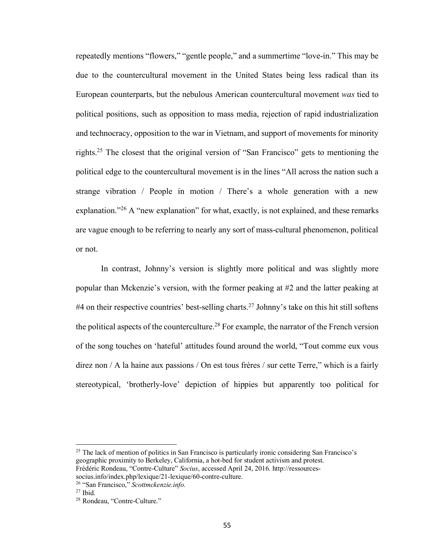repeatedly mentions "flowers," "gentle people," and a summertime "love-in." This may be due to the countercultural movement in the United States being less radical than its European counterparts, but the nebulous American countercultural movement *was* tied to political positions, such as opposition to mass media, rejection of rapid industrialization and technocracy, opposition to the war in Vietnam, and support of movements for minority rights.25 The closest that the original version of "San Francisco" gets to mentioning the political edge to the countercultural movement is in the lines "All across the nation such a strange vibration / People in motion / There's a whole generation with a new explanation."<sup>26</sup> A "new explanation" for what, exactly, is not explained, and these remarks are vague enough to be referring to nearly any sort of mass-cultural phenomenon, political or not.

In contrast, Johnny's version is slightly more political and was slightly more popular than Mckenzie's version, with the former peaking at #2 and the latter peaking at #4 on their respective countries' best-selling charts.<sup>27</sup> Johnny's take on this hit still softens the political aspects of the counterculture.<sup>28</sup> For example, the narrator of the French version of the song touches on 'hateful' attitudes found around the world, "Tout comme eux vous direz non / A la haine aux passions / On est tous frères / sur cette Terre," which is a fairly stereotypical, 'brotherly-love' depiction of hippies but apparently too political for

<sup>25</sup> The lack of mention of politics in San Francisco is particularly ironic considering San Francisco's geographic proximity to Berkeley, California, a hot-bed for student activism and protest. Frédéric Rondeau, "Contre-Culture" *Socius*, accessed April 24, 2016. http://ressources-

socius.info/index.php/lexique/21-lexique/60-contre-culture.

<sup>26</sup> "San Francisco," *Scottmckenzie.info.*

 $27$  Ibid.

<sup>28</sup> Rondeau, "Contre-Culture."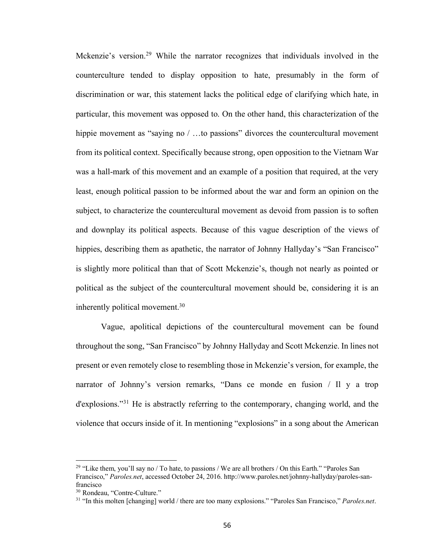Mckenzie's version.<sup>29</sup> While the narrator recognizes that individuals involved in the counterculture tended to display opposition to hate, presumably in the form of discrimination or war, this statement lacks the political edge of clarifying which hate, in particular, this movement was opposed to. On the other hand, this characterization of the hippie movement as "saying no / ...to passions" divorces the countercultural movement from its political context. Specifically because strong, open opposition to the Vietnam War was a hall-mark of this movement and an example of a position that required, at the very least, enough political passion to be informed about the war and form an opinion on the subject, to characterize the countercultural movement as devoid from passion is to soften and downplay its political aspects. Because of this vague description of the views of hippies, describing them as apathetic, the narrator of Johnny Hallyday's "San Francisco" is slightly more political than that of Scott Mckenzie's, though not nearly as pointed or political as the subject of the countercultural movement should be, considering it is an inherently political movement.<sup>30</sup>

Vague, apolitical depictions of the countercultural movement can be found throughout the song, "San Francisco" by Johnny Hallyday and Scott Mckenzie. In lines not present or even remotely close to resembling those in Mckenzie's version, for example, the narrator of Johnny's version remarks, "Dans ce monde en fusion / Il y a trop d'explosions."31 He is abstractly referring to the contemporary, changing world, and the violence that occurs inside of it. In mentioning "explosions" in a song about the American

<sup>&</sup>lt;sup>29</sup> "Like them, you'll say no / To hate, to passions / We are all brothers / On this Earth." "Paroles San Francisco," *Paroles.net*, accessed October 24, 2016. http://www.paroles.net/johnny-hallyday/paroles-sanfrancisco

<sup>30</sup> Rondeau, "Contre-Culture."

<sup>31</sup> "In this molten [changing] world / there are too many explosions." "Paroles San Francisco," *Paroles.net*.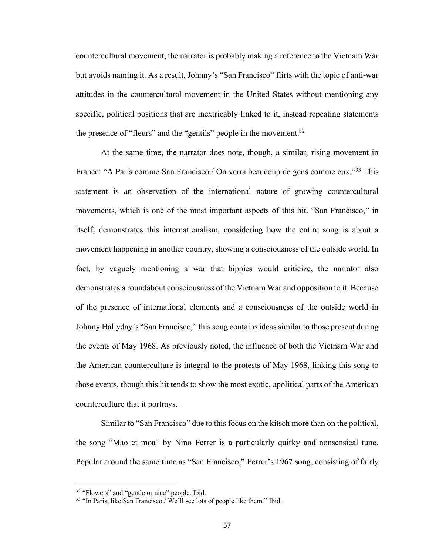countercultural movement, the narrator is probably making a reference to the Vietnam War but avoids naming it. As a result, Johnny's "San Francisco" flirts with the topic of anti-war attitudes in the countercultural movement in the United States without mentioning any specific, political positions that are inextricably linked to it, instead repeating statements the presence of "fleurs" and the "gentils" people in the movement.<sup>32</sup>

At the same time, the narrator does note, though, a similar, rising movement in France: "A Paris comme San Francisco / On verra beaucoup de gens comme eux."<sup>33</sup> This statement is an observation of the international nature of growing countercultural movements, which is one of the most important aspects of this hit. "San Francisco," in itself, demonstrates this internationalism, considering how the entire song is about a movement happening in another country, showing a consciousness of the outside world. In fact, by vaguely mentioning a war that hippies would criticize, the narrator also demonstrates a roundabout consciousness of the Vietnam War and opposition to it. Because of the presence of international elements and a consciousness of the outside world in Johnny Hallyday's "San Francisco," this song contains ideassimilar to those present during the events of May 1968. As previously noted, the influence of both the Vietnam War and the American counterculture is integral to the protests of May 1968, linking this song to those events, though this hit tends to show the most exotic, apolitical parts of the American counterculture that it portrays.

Similar to "San Francisco" due to this focus on the kitsch more than on the political, the song "Mao et moa" by Nino Ferrer is a particularly quirky and nonsensical tune. Popular around the same time as "San Francisco," Ferrer's 1967 song, consisting of fairly

 $\overline{\phantom{a}}$ 

<sup>32</sup> "Flowers" and "gentle or nice" people. Ibid.

<sup>&</sup>lt;sup>33</sup> "In Paris, like San Francisco / We'll see lots of people like them." Ibid.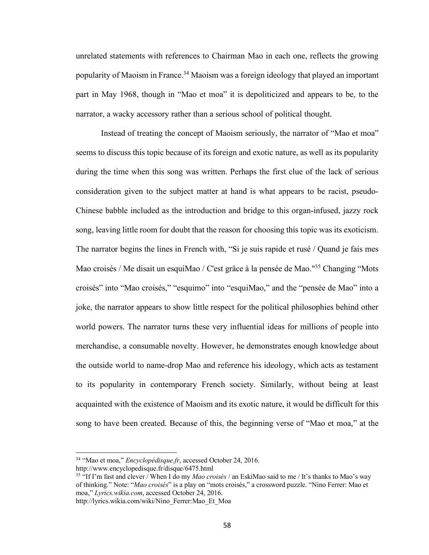unrelated statements with references to Chairman Mao in each one, reflects the growing popularity of Maoism in France.<sup>34</sup> Maoism was a foreign ideology that played an important part in May 1968, though in "Mao et moa" it is depoliticized and appears to be, to the narrator, a wacky accessory rather than a serious school of political thought.

Instead of treating the concept of Maoism seriously, the narrator of "Mao et moa" seems to discuss this topic because of its foreign and exotic nature, as well as its popularity during the time when this song was written. Perhaps the first clue of the lack of serious consideration given to the subject matter at hand is what appears to be racist, pseudo-Chinese babble included as the introduction and bridge to this organ-infused, jazzy rock song, leaving little room for doubt that the reason for choosing this topic was its exoticism. The narrator begins the lines in French with, "Si je suis rapide et rusé / Quand je fais mes Mao croisés / Me disait un esquiMao / C'est grâce à la pensée de Mao."35 Changing "Mots croisés" into "Mao croisés," "esquimo" into "esquiMao," and the "pensée de Mao" into a joke, the narrator appears to show little respect for the political philosophies behind other world powers. The narrator turns these very influential ideas for millions of people into merchandise, a consumable novelty. However, he demonstrates enough knowledge about the outside world to name-drop Mao and reference his ideology, which acts as testament to its popularity in contemporary French society. Similarly, without being at least acquainted with the existence of Maoism and its exotic nature, it would be difficult for this song to have been created. Because of this, the beginning verse of "Mao et moa," at the

<sup>34</sup> "Mao et moa," *Encyclopédisque.fr*, accessed October 24, 2016.

http://www.encyclopedisque.fr/disque/6475.html

<sup>35</sup> "If I'm fast and clever / When I do my *Mao croisés* / an EskiMao said to me / It's thanks to Mao's way of thinking." Note: "*Mao croisés*" is a play on "mots croisés," a crossword puzzle. "Nino Ferrer: Mao et moa," *Lyrics.wikia.com*, accessed October 24, 2016.

http://lyrics.wikia.com/wiki/Nino\_Ferrer:Mao\_Et\_Moa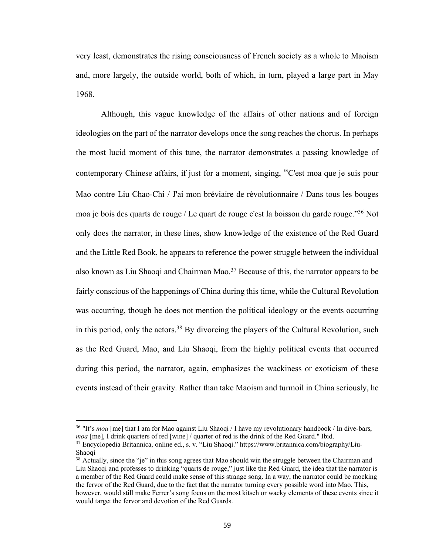very least, demonstrates the rising consciousness of French society as a whole to Maoism and, more largely, the outside world, both of which, in turn, played a large part in May 1968.

Although, this vague knowledge of the affairs of other nations and of foreign ideologies on the part of the narrator develops once the song reaches the chorus. In perhaps the most lucid moment of this tune, the narrator demonstrates a passing knowledge of contemporary Chinese affairs, if just for a moment, singing, "C'est moa que je suis pour Mao contre Liu Chao-Chi / J'ai mon bréviaire de révolutionnaire / Dans tous les bouges moa je bois des quarts de rouge / Le quart de rouge c'est la boisson du garde rouge."36 Not only does the narrator, in these lines, show knowledge of the existence of the Red Guard and the Little Red Book, he appears to reference the power struggle between the individual also known as Liu Shaoqi and Chairman Mao.37 Because of this, the narrator appears to be fairly conscious of the happenings of China during this time, while the Cultural Revolution was occurring, though he does not mention the political ideology or the events occurring in this period, only the actors.<sup>38</sup> By divorcing the players of the Cultural Revolution, such as the Red Guard, Mao, and Liu Shaoqi, from the highly political events that occurred during this period, the narrator, again, emphasizes the wackiness or exoticism of these events instead of their gravity. Rather than take Maoism and turmoil in China seriously, he

<sup>36</sup> "It's *moa* [me] that I am for Mao against Liu Shaoqi / I have my revolutionary handbook / In dive-bars, *moa* [me], I drink quarters of red [wine] / quarter of red is the drink of the Red Guard." Ibid. <sup>37</sup> Encyclopedia Britannica, online ed., s. v. "Liu Shaoqi." https://www.britannica.com/biography/Liu-

Shaoqi

<sup>&</sup>lt;sup>38</sup> Actually, since the "je" in this song agrees that Mao should win the struggle between the Chairman and Liu Shaoqi and professes to drinking "quarts de rouge," just like the Red Guard, the idea that the narrator is a member of the Red Guard could make sense of this strange song. In a way, the narrator could be mocking the fervor of the Red Guard, due to the fact that the narrator turning every possible word into Mao. This, however, would still make Ferrer's song focus on the most kitsch or wacky elements of these events since it would target the fervor and devotion of the Red Guards.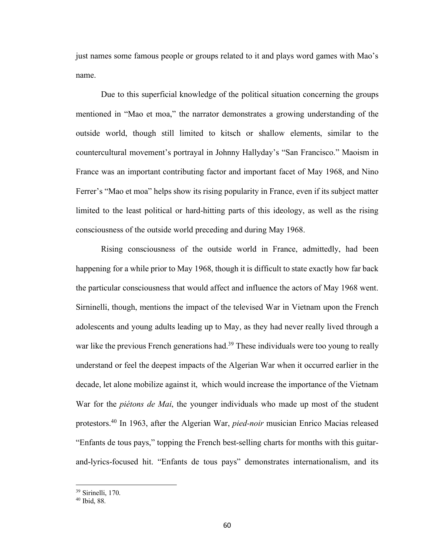just names some famous people or groups related to it and plays word games with Mao's name.

Due to this superficial knowledge of the political situation concerning the groups mentioned in "Mao et moa," the narrator demonstrates a growing understanding of the outside world, though still limited to kitsch or shallow elements, similar to the countercultural movement's portrayal in Johnny Hallyday's "San Francisco." Maoism in France was an important contributing factor and important facet of May 1968, and Nino Ferrer's "Mao et moa" helps show its rising popularity in France, even if its subject matter limited to the least political or hard-hitting parts of this ideology, as well as the rising consciousness of the outside world preceding and during May 1968.

Rising consciousness of the outside world in France, admittedly, had been happening for a while prior to May 1968, though it is difficult to state exactly how far back the particular consciousness that would affect and influence the actors of May 1968 went. Sirninelli, though, mentions the impact of the televised War in Vietnam upon the French adolescents and young adults leading up to May, as they had never really lived through a war like the previous French generations had.<sup>39</sup> These individuals were too young to really understand or feel the deepest impacts of the Algerian War when it occurred earlier in the decade, let alone mobilize against it, which would increase the importance of the Vietnam War for the *piétons de Mai*, the younger individuals who made up most of the student protestors.40 In 1963, after the Algerian War, *pied-noir* musician Enrico Macias released "Enfants de tous pays," topping the French best-selling charts for months with this guitarand-lyrics-focused hit. "Enfants de tous pays" demonstrates internationalism, and its

 $\overline{\phantom{a}}$ 

<sup>39</sup> Sirinelli, 170.

<sup>40</sup> Ibid, 88.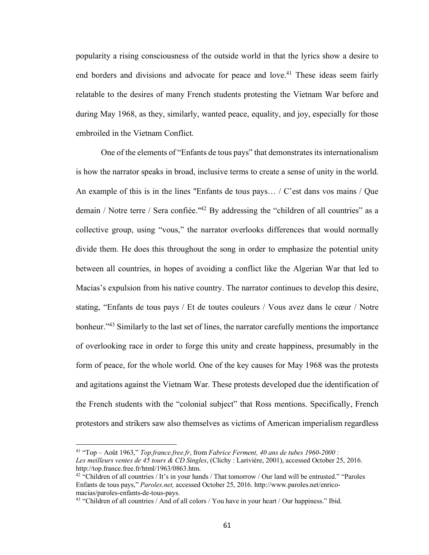popularity a rising consciousness of the outside world in that the lyrics show a desire to end borders and divisions and advocate for peace and love.<sup>41</sup> These ideas seem fairly relatable to the desires of many French students protesting the Vietnam War before and during May 1968, as they, similarly, wanted peace, equality, and joy, especially for those embroiled in the Vietnam Conflict.

One of the elements of "Enfants de tous pays" that demonstrates its internationalism is how the narrator speaks in broad, inclusive terms to create a sense of unity in the world. An example of this is in the lines "Enfants de tous pays… / C'est dans vos mains / Que demain / Notre terre / Sera confiée.<sup>"42</sup> By addressing the "children of all countries" as a collective group, using "vous," the narrator overlooks differences that would normally divide them. He does this throughout the song in order to emphasize the potential unity between all countries, in hopes of avoiding a conflict like the Algerian War that led to Macias's expulsion from his native country. The narrator continues to develop this desire, stating, "Enfants de tous pays / Et de toutes couleurs / Vous avez dans le cœur / Notre bonheur.<sup>243</sup> Similarly to the last set of lines, the narrator carefully mentions the importance of overlooking race in order to forge this unity and create happiness, presumably in the form of peace, for the whole world. One of the key causes for May 1968 was the protests and agitations against the Vietnam War. These protests developed due the identification of the French students with the "colonial subject" that Ross mentions. Specifically, French protestors and strikers saw also themselves as victims of American imperialism regardless

 $\overline{\phantom{a}}$ 

<sup>41</sup> "Top – Août 1963," *Top.france.free.fr*, from *Fabrice Ferment, 40 ans de tubes 1960-2000 : Les meilleurs ventes de 45 tours & CD Singles*, (Clichy : Larivière, 2001), accessed October 25, 2016. http://top.france.free.fr/html/1963/0863.htm.

<sup>&</sup>lt;sup>42</sup> "Children of all countries / It's in your hands / That tomorrow / Our land will be entrusted." "Paroles Enfants de tous pays," *Paroles.net,* accessed October 25, 2016. http://www.paroles.net/enricomacias/paroles-enfants-de-tous-pays.

<sup>&</sup>lt;sup>43</sup> "Children of all countries / And of all colors / You have in your heart / Our happiness." Ibid.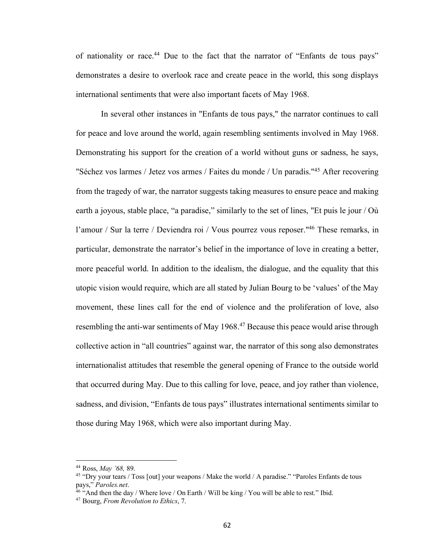of nationality or race.<sup>44</sup> Due to the fact that the narrator of "Enfants de tous pays" demonstrates a desire to overlook race and create peace in the world, this song displays international sentiments that were also important facets of May 1968.

In several other instances in "Enfants de tous pays," the narrator continues to call for peace and love around the world, again resembling sentiments involved in May 1968. Demonstrating his support for the creation of a world without guns or sadness, he says, "Séchez vos larmes / Jetez vos armes / Faites du monde / Un paradis."45 After recovering from the tragedy of war, the narrator suggests taking measures to ensure peace and making earth a joyous, stable place, "a paradise," similarly to the set of lines, "Et puis le jour / Où l'amour / Sur la terre / Deviendra roi / Vous pourrez vous reposer."46 These remarks, in particular, demonstrate the narrator's belief in the importance of love in creating a better, more peaceful world. In addition to the idealism, the dialogue, and the equality that this utopic vision would require, which are all stated by Julian Bourg to be 'values' of the May movement, these lines call for the end of violence and the proliferation of love, also resembling the anti-war sentiments of May 1968.<sup>47</sup> Because this peace would arise through collective action in "all countries" against war, the narrator of this song also demonstrates internationalist attitudes that resemble the general opening of France to the outside world that occurred during May. Due to this calling for love, peace, and joy rather than violence, sadness, and division, "Enfants de tous pays" illustrates international sentiments similar to those during May 1968, which were also important during May.

<sup>44</sup> Ross, *May '68,* 89.

<sup>&</sup>lt;sup>45</sup> "Dry your tears / Toss [out] your weapons / Make the world / A paradise." "Paroles Enfants de tous pays," *Paroles.net*.

<sup>&</sup>lt;sup>46</sup> "And then the day / Where love / On Earth / Will be king / You will be able to rest." Ibid.

<sup>47</sup> Bourg, *From Revolution to Ethics*, 7.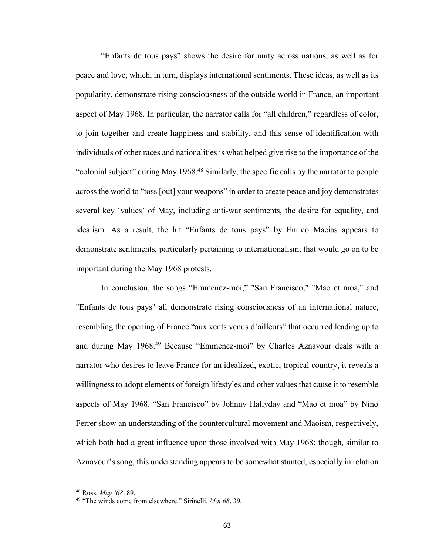"Enfants de tous pays" shows the desire for unity across nations, as well as for peace and love, which, in turn, displays international sentiments. These ideas, as well as its popularity, demonstrate rising consciousness of the outside world in France, an important aspect of May 1968. In particular, the narrator calls for "all children," regardless of color, to join together and create happiness and stability, and this sense of identification with individuals of other races and nationalities is what helped give rise to the importance of the "colonial subject" during May 1968.48 Similarly, the specific calls by the narrator to people across the world to "toss [out] your weapons" in order to create peace and joy demonstrates several key 'values' of May, including anti-war sentiments, the desire for equality, and idealism. As a result, the hit "Enfants de tous pays" by Enrico Macias appears to demonstrate sentiments, particularly pertaining to internationalism, that would go on to be important during the May 1968 protests.

In conclusion, the songs "Emmenez-moi," "San Francisco," "Mao et moa," and "Enfants de tous pays" all demonstrate rising consciousness of an international nature, resembling the opening of France "aux vents venus d'ailleurs" that occurred leading up to and during May 1968.49 Because "Emmenez-moi" by Charles Aznavour deals with a narrator who desires to leave France for an idealized, exotic, tropical country, it reveals a willingness to adopt elements of foreign lifestyles and other values that cause it to resemble aspects of May 1968. "San Francisco" by Johnny Hallyday and "Mao et moa" by Nino Ferrer show an understanding of the countercultural movement and Maoism, respectively, which both had a great influence upon those involved with May 1968; though, similar to Aznavour's song, this understanding appears to be somewhat stunted, especially in relation

 $\overline{\phantom{a}}$ 

<sup>48</sup> Ross, *May '68*, 89.

<sup>49</sup> "The winds come from elsewhere." Sirinelli, *Mai 68*, 39.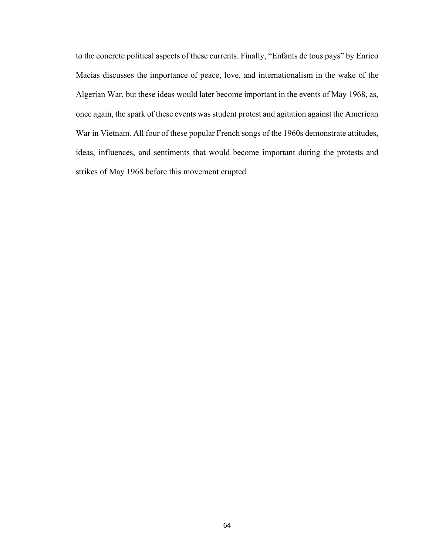to the concrete political aspects of these currents. Finally, "Enfants de tous pays" by Enrico Macias discusses the importance of peace, love, and internationalism in the wake of the Algerian War, but these ideas would later become important in the events of May 1968, as, once again, the spark of these events was student protest and agitation against the American War in Vietnam. All four of these popular French songs of the 1960s demonstrate attitudes, ideas, influences, and sentiments that would become important during the protests and strikes of May 1968 before this movement erupted.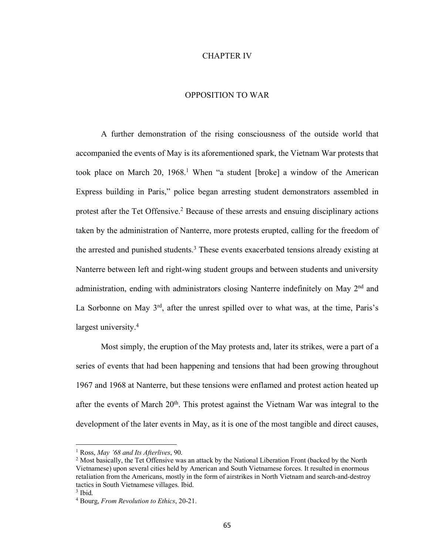## CHAPTER IV

## OPPOSITION TO WAR

A further demonstration of the rising consciousness of the outside world that accompanied the events of May is its aforementioned spark, the Vietnam War protests that took place on March 20,  $1968<sup>1</sup>$  When "a student [broke] a window of the American Express building in Paris," police began arresting student demonstrators assembled in protest after the Tet Offensive.<sup>2</sup> Because of these arrests and ensuing disciplinary actions taken by the administration of Nanterre, more protests erupted, calling for the freedom of the arrested and punished students.<sup>3</sup> These events exacerbated tensions already existing at Nanterre between left and right-wing student groups and between students and university administration, ending with administrators closing Nanterre indefinitely on May 2<sup>nd</sup> and La Sorbonne on May 3<sup>rd</sup>, after the unrest spilled over to what was, at the time, Paris's largest university.<sup>4</sup>

Most simply, the eruption of the May protests and, later its strikes, were a part of a series of events that had been happening and tensions that had been growing throughout 1967 and 1968 at Nanterre, but these tensions were enflamed and protest action heated up after the events of March  $20<sup>th</sup>$ . This protest against the Vietnam War was integral to the development of the later events in May, as it is one of the most tangible and direct causes,

 $\overline{\phantom{a}}$ 

<sup>1</sup> Ross, *May '68 and Its Afterlives*, 90.

<sup>&</sup>lt;sup>2</sup> Most basically, the Tet Offensive was an attack by the National Liberation Front (backed by the North Vietnamese) upon several cities held by American and South Vietnamese forces. It resulted in enormous retaliation from the Americans, mostly in the form of airstrikes in North Vietnam and search-and-destroy tactics in South Vietnamese villages. Ibid.

 $3$  Ibid.

<sup>4</sup> Bourg, *From Revolution to Ethics*, 20-21.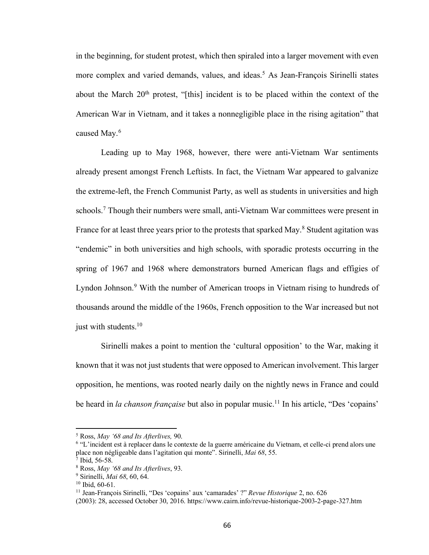in the beginning, for student protest, which then spiraled into a larger movement with even more complex and varied demands, values, and ideas.<sup>5</sup> As Jean-François Sirinelli states about the March  $20<sup>th</sup>$  protest, "[this] incident is to be placed within the context of the American War in Vietnam, and it takes a nonnegligible place in the rising agitation" that caused May.<sup>6</sup>

Leading up to May 1968, however, there were anti-Vietnam War sentiments already present amongst French Leftists. In fact, the Vietnam War appeared to galvanize the extreme-left, the French Communist Party, as well as students in universities and high schools.7 Though their numbers were small, anti-Vietnam War committees were present in France for at least three years prior to the protests that sparked May.<sup>8</sup> Student agitation was "endemic" in both universities and high schools, with sporadic protests occurring in the spring of 1967 and 1968 where demonstrators burned American flags and effigies of Lyndon Johnson.<sup>9</sup> With the number of American troops in Vietnam rising to hundreds of thousands around the middle of the 1960s, French opposition to the War increased but not just with students.<sup>10</sup>

Sirinelli makes a point to mention the 'cultural opposition' to the War, making it known that it was not just students that were opposed to American involvement. This larger opposition, he mentions, was rooted nearly daily on the nightly news in France and could be heard in *la chanson française* but also in popular music.11 In his article, "Des 'copains'

**.** 

<sup>5</sup> Ross, *May '68 and Its Afterlives,* 90.

<sup>6</sup> "L'incident est à replacer dans le contexte de la guerre américaine du Vietnam, et celle-ci prend alors une place non négligeable dans l'agitation qui monte". Sirinelli, *Mai 68*, 55. 7 Ibid, 56-58.

<sup>8</sup> Ross, *May '68 and Its Afterlives*, 93.

<sup>9</sup> Sirinelli, *Mai 68*, 60, 64.

<sup>10</sup> Ibid, 60-61.

<sup>11</sup> Jean-François Sirinelli, "Des 'copains' aux 'camarades' ?" *Revue Historique* 2, no. 626

<sup>(2003): 28,</sup> accessed October 30, 2016. https://www.cairn.info/revue-historique-2003-2-page-327.htm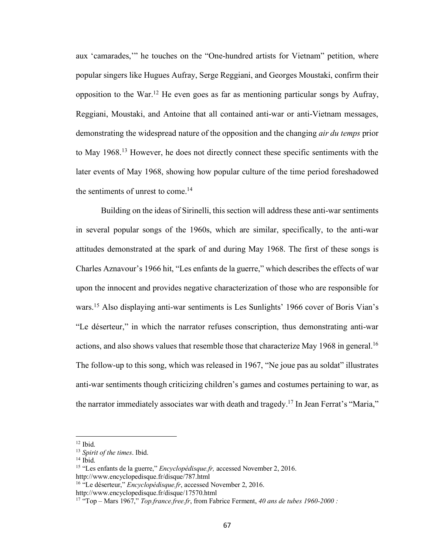aux 'camarades,'" he touches on the "One-hundred artists for Vietnam" petition, where popular singers like Hugues Aufray, Serge Reggiani, and Georges Moustaki, confirm their opposition to the War.12 He even goes as far as mentioning particular songs by Aufray, Reggiani, Moustaki, and Antoine that all contained anti-war or anti-Vietnam messages, demonstrating the widespread nature of the opposition and the changing *air du temps* prior to May 1968.13 However, he does not directly connect these specific sentiments with the later events of May 1968, showing how popular culture of the time period foreshadowed the sentiments of unrest to come.<sup>14</sup>

Building on the ideas of Sirinelli, this section will address these anti-war sentiments in several popular songs of the 1960s, which are similar, specifically, to the anti-war attitudes demonstrated at the spark of and during May 1968. The first of these songs is Charles Aznavour's 1966 hit, "Les enfants de la guerre," which describes the effects of war upon the innocent and provides negative characterization of those who are responsible for wars.15 Also displaying anti-war sentiments is Les Sunlights' 1966 cover of Boris Vian's "Le déserteur," in which the narrator refuses conscription, thus demonstrating anti-war actions, and also shows values that resemble those that characterize May 1968 in general.<sup>16</sup> The follow-up to this song, which was released in 1967, "Ne joue pas au soldat" illustrates anti-war sentiments though criticizing children's games and costumes pertaining to war, as the narrator immediately associates war with death and tragedy.<sup>17</sup> In Jean Ferrat's "Maria,"

 $\overline{\phantom{a}}$ 

 $12$  Ibid.

<sup>13</sup> *Spirit of the times*. Ibid.

 $14$  Ibid.

<sup>15</sup> "Les enfants de la guerre," *Encyclopédisque.fr,* accessed November 2, 2016. http://www.encyclopedisque.fr/disque/787.html

<sup>&</sup>lt;sup>16</sup> "Le déserteur," *Encyclopédisque.fr*, accessed November 2, 2016.

http://www.encyclopedisque.fr/disque/17570.html

<sup>17</sup> "Top – Mars 1967," *Top.france.free.fr*, from Fabrice Ferment, *40 ans de tubes 1960-2000 :*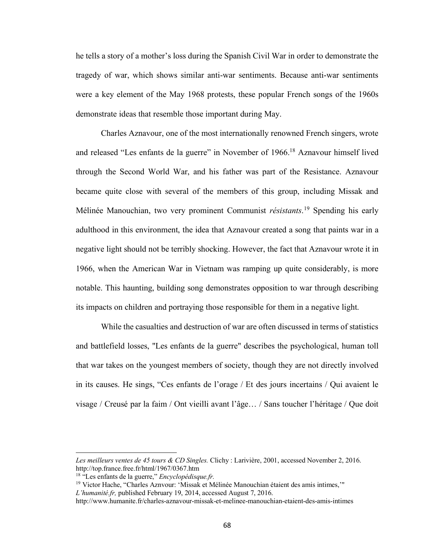he tells a story of a mother's loss during the Spanish Civil War in order to demonstrate the tragedy of war, which shows similar anti-war sentiments. Because anti-war sentiments were a key element of the May 1968 protests, these popular French songs of the 1960s demonstrate ideas that resemble those important during May.

Charles Aznavour, one of the most internationally renowned French singers, wrote and released "Les enfants de la guerre" in November of 1966.18 Aznavour himself lived through the Second World War, and his father was part of the Resistance. Aznavour became quite close with several of the members of this group, including Missak and Mélinée Manouchian, two very prominent Communist *résistants*. <sup>19</sup> Spending his early adulthood in this environment, the idea that Aznavour created a song that paints war in a negative light should not be terribly shocking. However, the fact that Aznavour wrote it in 1966, when the American War in Vietnam was ramping up quite considerably, is more notable. This haunting, building song demonstrates opposition to war through describing its impacts on children and portraying those responsible for them in a negative light.

While the casualties and destruction of war are often discussed in terms of statistics and battlefield losses, "Les enfants de la guerre" describes the psychological, human toll that war takes on the youngest members of society, though they are not directly involved in its causes. He sings, "Ces enfants de l'orage / Et des jours incertains / Qui avaient le visage / Creusé par la faim / Ont vieilli avant l'âge… / Sans toucher l'héritage / Que doit

*Les meilleurs ventes de 45 tours & CD Singles.* Clichy : Larivière, 2001, accessed November 2, 2016. http://top.france.free.fr/html/1967/0367.htm

<sup>18</sup> "Les enfants de la guerre," *Encyclopédisque.fr.*

<sup>19</sup> Victor Hache, "Charles Aznvour: 'Missak et Mélinée Manouchian étaient des amis intimes,'" *L'humanité.fr,* published February 19, 2014, accessed August 7, 2016.

http://www.humanite.fr/charles-aznavour-missak-et-melinee-manouchian-etaient-des-amis-intimes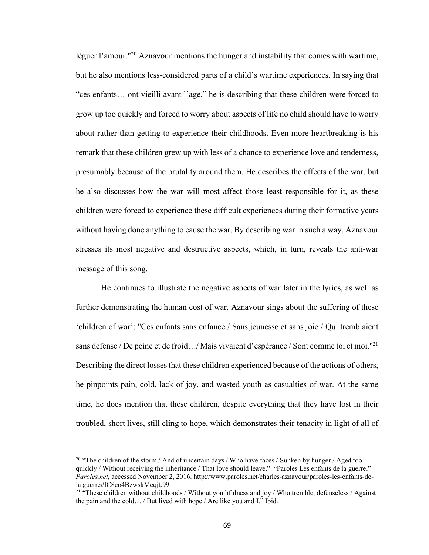léguer l'amour."20 Aznavour mentions the hunger and instability that comes with wartime, but he also mentions less-considered parts of a child's wartime experiences. In saying that "ces enfants… ont vieilli avant l'age," he is describing that these children were forced to grow up too quickly and forced to worry about aspects of life no child should have to worry about rather than getting to experience their childhoods. Even more heartbreaking is his remark that these children grew up with less of a chance to experience love and tenderness, presumably because of the brutality around them. He describes the effects of the war, but he also discusses how the war will most affect those least responsible for it, as these children were forced to experience these difficult experiences during their formative years without having done anything to cause the war. By describing war in such a way, Aznavour stresses its most negative and destructive aspects, which, in turn, reveals the anti-war message of this song.

He continues to illustrate the negative aspects of war later in the lyrics, as well as further demonstrating the human cost of war. Aznavour sings about the suffering of these 'children of war': "Ces enfants sans enfance / Sans jeunesse et sans joie / Qui tremblaient sans défense / De peine et de froid…/ Mais vivaient d'espérance / Sont comme toi et moi."21 Describing the direct losses that these children experienced because of the actions of others, he pinpoints pain, cold, lack of joy, and wasted youth as casualties of war. At the same time, he does mention that these children, despite everything that they have lost in their troubled, short lives, still cling to hope, which demonstrates their tenacity in light of all of

<sup>&</sup>lt;sup>20</sup> "The children of the storm / And of uncertain days / Who have faces / Sunken by hunger / Aged too quickly / Without receiving the inheritance / That love should leave." "Paroles Les enfants de la guerre." *Paroles.net,* accessed November 2, 2016. http://www.paroles.net/charles-aznavour/paroles-les-enfants-dela guerre#fC8co4BzwskMeqjt.99

<sup>&</sup>lt;sup>21</sup> "These children without childhoods / Without youthfulness and joy / Who tremble, defenseless / Against the pain and the cold… / But lived with hope / Are like you and I." Ibid.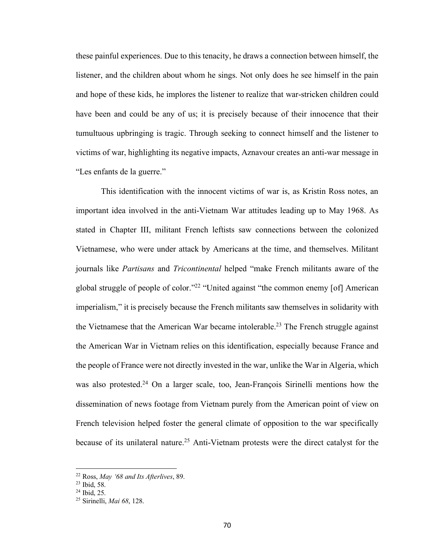these painful experiences. Due to this tenacity, he draws a connection between himself, the listener, and the children about whom he sings. Not only does he see himself in the pain and hope of these kids, he implores the listener to realize that war-stricken children could have been and could be any of us; it is precisely because of their innocence that their tumultuous upbringing is tragic. Through seeking to connect himself and the listener to victims of war, highlighting its negative impacts, Aznavour creates an anti-war message in "Les enfants de la guerre."

This identification with the innocent victims of war is, as Kristin Ross notes, an important idea involved in the anti-Vietnam War attitudes leading up to May 1968. As stated in Chapter III, militant French leftists saw connections between the colonized Vietnamese, who were under attack by Americans at the time, and themselves. Militant journals like *Partisans* and *Tricontinental* helped "make French militants aware of the global struggle of people of color."22 "United against "the common enemy [of] American imperialism," it is precisely because the French militants saw themselves in solidarity with the Vietnamese that the American War became intolerable.<sup>23</sup> The French struggle against the American War in Vietnam relies on this identification, especially because France and the people of France were not directly invested in the war, unlike the War in Algeria, which was also protested.<sup>24</sup> On a larger scale, too, Jean-François Sirinelli mentions how the dissemination of news footage from Vietnam purely from the American point of view on French television helped foster the general climate of opposition to the war specifically because of its unilateral nature.<sup>25</sup> Anti-Vietnam protests were the direct catalyst for the

**.** 

<sup>22</sup> Ross, *May '68 and Its Afterlives*, 89.

<sup>23</sup> Ibid, 58.

<sup>24</sup> Ibid, 25.

<sup>25</sup> Sirinelli, *Mai 68*, 128.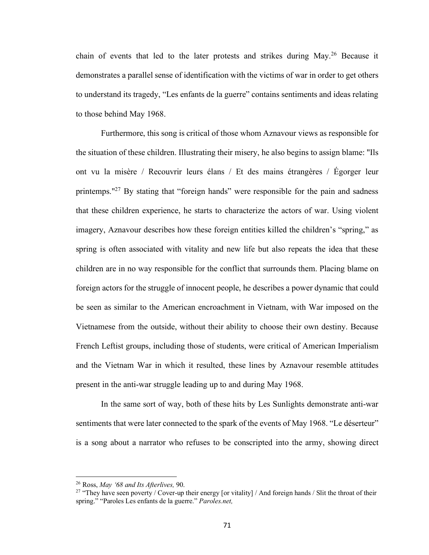chain of events that led to the later protests and strikes during May.26 Because it demonstrates a parallel sense of identification with the victims of war in order to get others to understand its tragedy, "Les enfants de la guerre" contains sentiments and ideas relating to those behind May 1968.

Furthermore, this song is critical of those whom Aznavour views as responsible for the situation of these children. Illustrating their misery, he also begins to assign blame: "Ils ont vu la misère / Recouvrir leurs élans / Et des mains étrangères / Égorger leur printemps."<sup>27</sup> By stating that "foreign hands" were responsible for the pain and sadness that these children experience, he starts to characterize the actors of war. Using violent imagery, Aznavour describes how these foreign entities killed the children's "spring," as spring is often associated with vitality and new life but also repeats the idea that these children are in no way responsible for the conflict that surrounds them. Placing blame on foreign actors for the struggle of innocent people, he describes a power dynamic that could be seen as similar to the American encroachment in Vietnam, with War imposed on the Vietnamese from the outside, without their ability to choose their own destiny. Because French Leftist groups, including those of students, were critical of American Imperialism and the Vietnam War in which it resulted, these lines by Aznavour resemble attitudes present in the anti-war struggle leading up to and during May 1968.

In the same sort of way, both of these hits by Les Sunlights demonstrate anti-war sentiments that were later connected to the spark of the events of May 1968. "Le déserteur" is a song about a narrator who refuses to be conscripted into the army, showing direct

<sup>26</sup> Ross, *May '68 and Its Afterlives,* 90.

<sup>&</sup>lt;sup>27</sup> "They have seen poverty / Cover-up their energy [or vitality] / And foreign hands / Slit the throat of their spring." "Paroles Les enfants de la guerre." *Paroles.net,*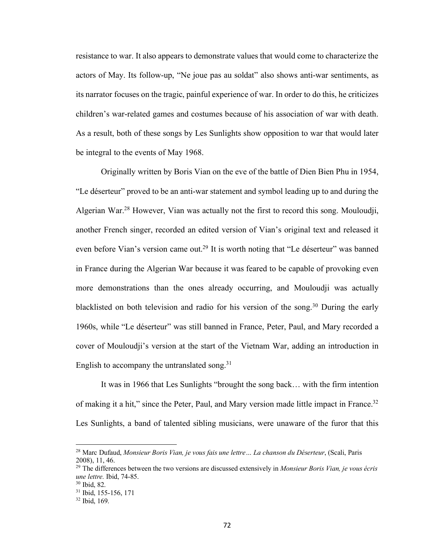resistance to war. It also appears to demonstrate values that would come to characterize the actors of May. Its follow-up, "Ne joue pas au soldat" also shows anti-war sentiments, as its narrator focuses on the tragic, painful experience of war. In order to do this, he criticizes children's war-related games and costumes because of his association of war with death. As a result, both of these songs by Les Sunlights show opposition to war that would later be integral to the events of May 1968.

Originally written by Boris Vian on the eve of the battle of Dien Bien Phu in 1954, "Le déserteur" proved to be an anti-war statement and symbol leading up to and during the Algerian War.28 However, Vian was actually not the first to record this song. Mouloudji, another French singer, recorded an edited version of Vian's original text and released it even before Vian's version came out.29 It is worth noting that "Le déserteur" was banned in France during the Algerian War because it was feared to be capable of provoking even more demonstrations than the ones already occurring, and Mouloudji was actually blacklisted on both television and radio for his version of the song.<sup>30</sup> During the early 1960s, while "Le déserteur" was still banned in France, Peter, Paul, and Mary recorded a cover of Mouloudji's version at the start of the Vietnam War, adding an introduction in English to accompany the untranslated song. $31$ 

It was in 1966 that Les Sunlights "brought the song back… with the firm intention of making it a hit," since the Peter, Paul, and Mary version made little impact in France.<sup>32</sup> Les Sunlights, a band of talented sibling musicians, were unaware of the furor that this

<sup>28</sup> Marc Dufaud, *Monsieur Boris Vian, je vous fais une lettre… La chanson du Déserteur*, (Scali, Paris 2008), 11, 46.

<sup>29</sup> The differences between the two versions are discussed extensively in *Monsieur Boris Vian, je vous écris une lettre.* Ibid, 74-85.

<sup>30</sup> Ibid, 82.

<sup>31</sup> Ibid, 155-156, 171

<sup>32</sup> Ibid, 169.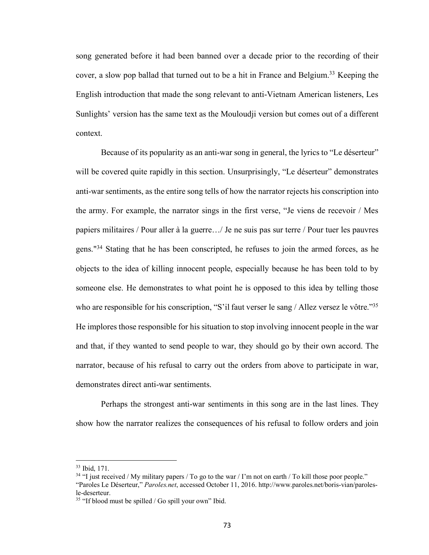song generated before it had been banned over a decade prior to the recording of their cover, a slow pop ballad that turned out to be a hit in France and Belgium.<sup>33</sup> Keeping the English introduction that made the song relevant to anti-Vietnam American listeners, Les Sunlights' version has the same text as the Mouloudji version but comes out of a different context.

Because of its popularity as an anti-war song in general, the lyrics to "Le déserteur" will be covered quite rapidly in this section. Unsurprisingly, "Le déserteur" demonstrates anti-war sentiments, as the entire song tells of how the narrator rejects his conscription into the army. For example, the narrator sings in the first verse, "Je viens de recevoir / Mes papiers militaires / Pour aller à la guerre…/ Je ne suis pas sur terre / Pour tuer les pauvres gens."34 Stating that he has been conscripted, he refuses to join the armed forces, as he objects to the idea of killing innocent people, especially because he has been told to by someone else. He demonstrates to what point he is opposed to this idea by telling those who are responsible for his conscription, "S'il faut verser le sang / Allez versez le vôtre."<sup>35</sup> He implores those responsible for his situation to stop involving innocent people in the war and that, if they wanted to send people to war, they should go by their own accord. The narrator, because of his refusal to carry out the orders from above to participate in war, demonstrates direct anti-war sentiments.

Perhaps the strongest anti-war sentiments in this song are in the last lines. They show how the narrator realizes the consequences of his refusal to follow orders and join

<sup>33</sup> Ibid, 171.

 $34$  "I just received / My military papers / To go to the war / I'm not on earth / To kill those poor people." "Paroles Le Déserteur," *Paroles.net*, accessed October 11, 2016. http://www.paroles.net/boris-vian/parolesle-deserteur.

<sup>35</sup> "If blood must be spilled / Go spill your own" Ibid.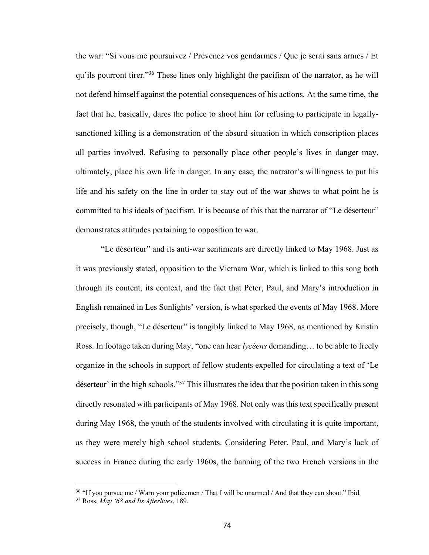the war: "Si vous me poursuivez / Prévenez vos gendarmes / Que je serai sans armes / Et qu'ils pourront tirer."36 These lines only highlight the pacifism of the narrator, as he will not defend himself against the potential consequences of his actions. At the same time, the fact that he, basically, dares the police to shoot him for refusing to participate in legallysanctioned killing is a demonstration of the absurd situation in which conscription places all parties involved. Refusing to personally place other people's lives in danger may, ultimately, place his own life in danger. In any case, the narrator's willingness to put his life and his safety on the line in order to stay out of the war shows to what point he is committed to his ideals of pacifism. It is because of this that the narrator of "Le déserteur" demonstrates attitudes pertaining to opposition to war.

"Le déserteur" and its anti-war sentiments are directly linked to May 1968. Just as it was previously stated, opposition to the Vietnam War, which is linked to this song both through its content, its context, and the fact that Peter, Paul, and Mary's introduction in English remained in Les Sunlights' version, is what sparked the events of May 1968. More precisely, though, "Le déserteur" is tangibly linked to May 1968, as mentioned by Kristin Ross. In footage taken during May, "one can hear *lycéens* demanding… to be able to freely organize in the schools in support of fellow students expelled for circulating a text of 'Le déserteur' in the high schools."37 This illustrates the idea that the position taken in this song directly resonated with participants of May 1968. Not only was this text specifically present during May 1968, the youth of the students involved with circulating it is quite important, as they were merely high school students. Considering Peter, Paul, and Mary's lack of success in France during the early 1960s, the banning of the two French versions in the

<sup>&</sup>lt;sup>36</sup> "If you pursue me / Warn your policemen / That I will be unarmed / And that they can shoot." Ibid. <sup>37</sup> Ross, *May '68 and Its Afterlives*, 189.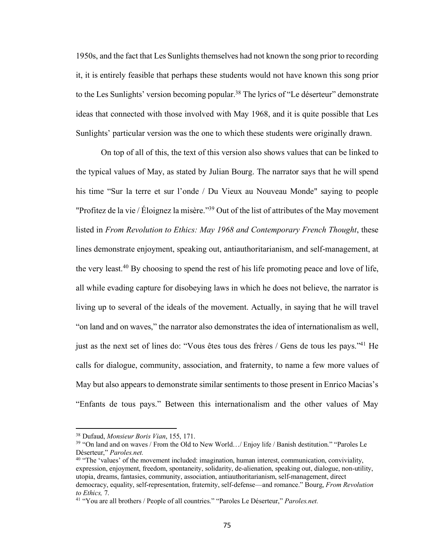1950s, and the fact that Les Sunlights themselves had not known the song prior to recording it, it is entirely feasible that perhaps these students would not have known this song prior to the Les Sunlights' version becoming popular.<sup>38</sup> The lyrics of "Le déserteur" demonstrate ideas that connected with those involved with May 1968, and it is quite possible that Les Sunlights' particular version was the one to which these students were originally drawn.

On top of all of this, the text of this version also shows values that can be linked to the typical values of May, as stated by Julian Bourg. The narrator says that he will spend his time "Sur la terre et sur l'onde / Du Vieux au Nouveau Monde" saying to people "Profitez de la vie / Éloignez la misère."<sup>39</sup> Out of the list of attributes of the May movement listed in *From Revolution to Ethics: May 1968 and Contemporary French Thought*, these lines demonstrate enjoyment, speaking out, antiauthoritarianism, and self-management, at the very least.40 By choosing to spend the rest of his life promoting peace and love of life, all while evading capture for disobeying laws in which he does not believe, the narrator is living up to several of the ideals of the movement. Actually, in saying that he will travel "on land and on waves," the narrator also demonstrates the idea of internationalism as well, just as the next set of lines do: "Vous êtes tous des frères / Gens de tous les pays."41 He calls for dialogue, community, association, and fraternity, to name a few more values of May but also appears to demonstrate similar sentiments to those present in Enrico Macias's "Enfants de tous pays." Between this internationalism and the other values of May

**.** 

<sup>38</sup> Dufaud, *Monsieur Boris Vian*, 155, 171.

<sup>39</sup> "On land and on waves / From the Old to New World…/ Enjoy life / Banish destitution." "Paroles Le Déserteur," *Paroles.net.*

<sup>&</sup>lt;sup>40</sup> "The 'values' of the movement included: imagination, human interest, communication, conviviality, expression, enjoyment, freedom, spontaneity, solidarity, de-alienation, speaking out, dialogue, non-utility, utopia, dreams, fantasies, community, association, antiauthoritarianism, self-management, direct democracy, equality, self-representation, fraternity, self-defense—and romance." Bourg, *From Revolution to Ethics,* 7.

<sup>41</sup> "You are all brothers / People of all countries." "Paroles Le Déserteur," *Paroles.net.*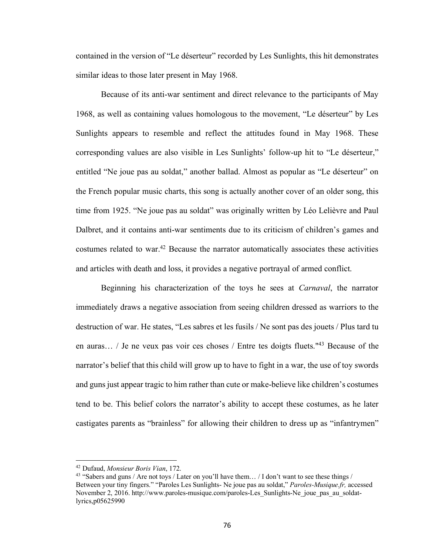contained in the version of "Le déserteur" recorded by Les Sunlights, this hit demonstrates similar ideas to those later present in May 1968.

Because of its anti-war sentiment and direct relevance to the participants of May 1968, as well as containing values homologous to the movement, "Le déserteur" by Les Sunlights appears to resemble and reflect the attitudes found in May 1968. These corresponding values are also visible in Les Sunlights' follow-up hit to "Le déserteur," entitled "Ne joue pas au soldat," another ballad. Almost as popular as "Le déserteur" on the French popular music charts, this song is actually another cover of an older song, this time from 1925. "Ne joue pas au soldat" was originally written by Léo Lelièvre and Paul Dalbret, and it contains anti-war sentiments due to its criticism of children's games and costumes related to war.<sup>42</sup> Because the narrator automatically associates these activities and articles with death and loss, it provides a negative portrayal of armed conflict.

Beginning his characterization of the toys he sees at *Carnaval*, the narrator immediately draws a negative association from seeing children dressed as warriors to the destruction of war. He states, "Les sabres et les fusils / Ne sont pas des jouets / Plus tard tu en auras… / Je ne veux pas voir ces choses / Entre tes doigts fluets."43 Because of the narrator's belief that this child will grow up to have to fight in a war, the use of toy swords and guns just appear tragic to him rather than cute or make-believe like children's costumes tend to be. This belief colors the narrator's ability to accept these costumes, as he later castigates parents as "brainless" for allowing their children to dress up as "infantrymen"

<sup>42</sup> Dufaud, *Monsieur Boris Vian*, 172.

<sup>&</sup>lt;sup>43</sup> "Sabers and guns / Are not toys / Later on you'll have them... / I don't want to see these things / Between your tiny fingers." "Paroles Les Sunlights- Ne joue pas au soldat," *Paroles-Musique.fr,* accessed November 2, 2016. http://www.paroles-musique.com/paroles-Les\_Sunlights-Ne\_joue\_pas\_au\_soldatlyrics,p05625990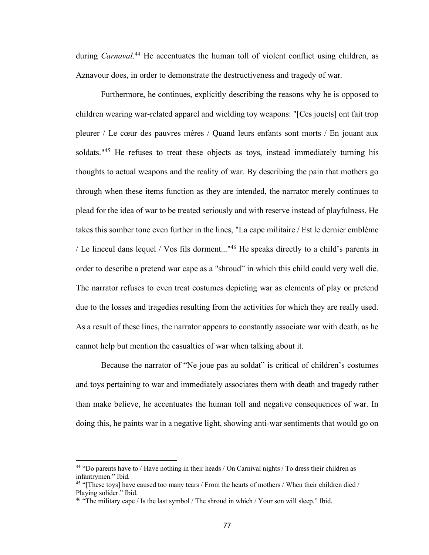during *Carnaval*. <sup>44</sup> He accentuates the human toll of violent conflict using children, as Aznavour does, in order to demonstrate the destructiveness and tragedy of war.

Furthermore, he continues, explicitly describing the reasons why he is opposed to children wearing war-related apparel and wielding toy weapons: "[Ces jouets] ont fait trop pleurer / Le cœur des pauvres mères / Quand leurs enfants sont morts / En jouant aux soldats."<sup>45</sup> He refuses to treat these objects as toys, instead immediately turning his thoughts to actual weapons and the reality of war. By describing the pain that mothers go through when these items function as they are intended, the narrator merely continues to plead for the idea of war to be treated seriously and with reserve instead of playfulness. He takes this somber tone even further in the lines, "La cape militaire / Est le dernier emblème / Le linceul dans lequel / Vos fils dorment..."46 He speaks directly to a child's parents in order to describe a pretend war cape as a "shroud" in which this child could very well die. The narrator refuses to even treat costumes depicting war as elements of play or pretend due to the losses and tragedies resulting from the activities for which they are really used. As a result of these lines, the narrator appears to constantly associate war with death, as he cannot help but mention the casualties of war when talking about it.

Because the narrator of "Ne joue pas au soldat" is critical of children's costumes and toys pertaining to war and immediately associates them with death and tragedy rather than make believe, he accentuates the human toll and negative consequences of war. In doing this, he paints war in a negative light, showing anti-war sentiments that would go on

<sup>44</sup> "Do parents have to / Have nothing in their heads / On Carnival nights / To dress their children as infantrymen." Ibid.

<sup>&</sup>lt;sup>45</sup> "[These toys] have caused too many tears / From the hearts of mothers / When their children died / Playing solider." Ibid.

<sup>&</sup>lt;sup>46</sup> "The military cape / Is the last symbol / The shroud in which / Your son will sleep." Ibid.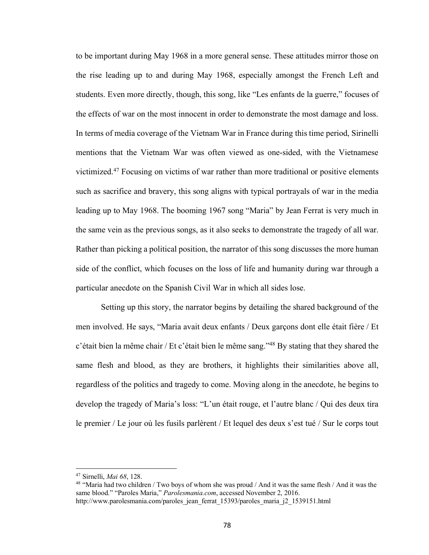to be important during May 1968 in a more general sense. These attitudes mirror those on the rise leading up to and during May 1968, especially amongst the French Left and students. Even more directly, though, this song, like "Les enfants de la guerre," focuses of the effects of war on the most innocent in order to demonstrate the most damage and loss. In terms of media coverage of the Vietnam War in France during this time period, Sirinelli mentions that the Vietnam War was often viewed as one-sided, with the Vietnamese victimized.47 Focusing on victims of war rather than more traditional or positive elements such as sacrifice and bravery, this song aligns with typical portrayals of war in the media leading up to May 1968. The booming 1967 song "Maria" by Jean Ferrat is very much in the same vein as the previous songs, as it also seeks to demonstrate the tragedy of all war. Rather than picking a political position, the narrator of this song discusses the more human side of the conflict, which focuses on the loss of life and humanity during war through a particular anecdote on the Spanish Civil War in which all sides lose.

Setting up this story, the narrator begins by detailing the shared background of the men involved. He says, "Maria avait deux enfants / Deux garçons dont elle était fière / Et c'était bien la même chair / Et c'était bien le même sang."48 By stating that they shared the same flesh and blood, as they are brothers, it highlights their similarities above all, regardless of the politics and tragedy to come. Moving along in the anecdote, he begins to develop the tragedy of Maria's loss: "L'un était rouge, et l'autre blanc / Qui des deux tira le premier / Le jour où les fusils parlèrent / Et lequel des deux s'est tué / Sur le corps tout

**.** 

<sup>47</sup> Sirnelli, *Mai 68*, 128.

<sup>&</sup>lt;sup>48</sup> "Maria had two children / Two boys of whom she was proud / And it was the same flesh / And it was the same blood." "Paroles Maria," *Parolesmania.com*, accessed November 2, 2016.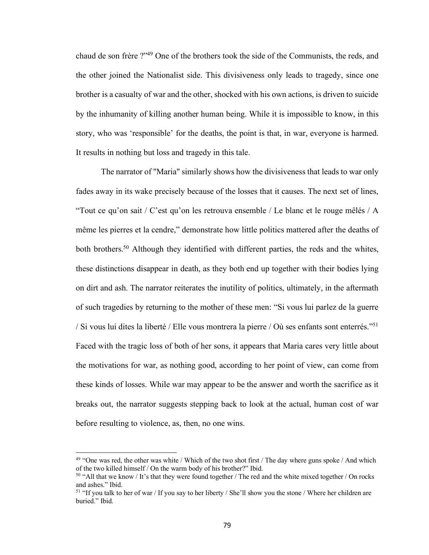chaud de son frère ?"49 One of the brothers took the side of the Communists, the reds, and the other joined the Nationalist side. This divisiveness only leads to tragedy, since one brother is a casualty of war and the other, shocked with his own actions, is driven to suicide by the inhumanity of killing another human being. While it is impossible to know, in this story, who was 'responsible' for the deaths, the point is that, in war, everyone is harmed. It results in nothing but loss and tragedy in this tale.

The narrator of "Maria" similarly shows how the divisiveness that leads to war only fades away in its wake precisely because of the losses that it causes. The next set of lines, "Tout ce qu'on sait /  $C$ 'est qu'on les retrouva ensemble / Le blanc et le rouge mêlés / A même les pierres et la cendre," demonstrate how little politics mattered after the deaths of both brothers.<sup>50</sup> Although they identified with different parties, the reds and the whites, these distinctions disappear in death, as they both end up together with their bodies lying on dirt and ash. The narrator reiterates the inutility of politics, ultimately, in the aftermath of such tragedies by returning to the mother of these men: "Si vous lui parlez de la guerre / Si vous lui dites la liberté / Elle vous montrera la pierre / Où ses enfants sont enterrés."51 Faced with the tragic loss of both of her sons, it appears that Maria cares very little about the motivations for war, as nothing good, according to her point of view, can come from these kinds of losses. While war may appear to be the answer and worth the sacrifice as it breaks out, the narrator suggests stepping back to look at the actual, human cost of war before resulting to violence, as, then, no one wins.

<sup>&</sup>lt;sup>49</sup> "One was red, the other was white / Which of the two shot first / The day where guns spoke / And which of the two killed himself / On the warm body of his brother?" Ibid.

<sup>&</sup>lt;sup>50</sup> "All that we know / It's that they were found together / The red and the white mixed together / On rocks and ashes." Ibid.

<sup>51</sup> "If you talk to her of war / If you say to her liberty / She'll show you the stone / Where her children are buried." Ibid.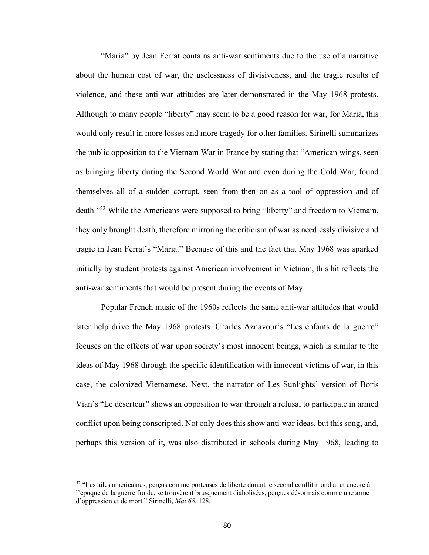"Maria" by Jean Ferrat contains anti-war sentiments due to the use of a narrative about the human cost of war, the uselessness of divisiveness, and the tragic results of violence, and these anti-war attitudes are later demonstrated in the May 1968 protests. Although to many people "liberty" may seem to be a good reason for war, for Maria, this would only result in more losses and more tragedy for other families. Sirinelli summarizes the public opposition to the Vietnam War in France by stating that "American wings, seen as bringing liberty during the Second World War and even during the Cold War, found themselves all of a sudden corrupt, seen from then on as a tool of oppression and of death."52 While the Americans were supposed to bring "liberty" and freedom to Vietnam, they only brought death, therefore mirroring the criticism of war as needlessly divisive and tragic in Jean Ferrat's "Maria." Because of this and the fact that May 1968 was sparked initially by student protests against American involvement in Vietnam, this hit reflects the anti-war sentiments that would be present during the events of May.

Popular French music of the 1960s reflects the same anti-war attitudes that would later help drive the May 1968 protests. Charles Aznavour's "Les enfants de la guerre" focuses on the effects of war upon society's most innocent beings, which is similar to the ideas of May 1968 through the specific identification with innocent victims of war, in this case, the colonized Vietnamese. Next, the narrator of Les Sunlights' version of Boris Vian's "Le déserteur" shows an opposition to war through a refusal to participate in armed conflict upon being conscripted. Not only does this show anti-war ideas, but this song, and, perhaps this version of it, was also distributed in schools during May 1968, leading to

<sup>&</sup>lt;sup>52</sup> "Les ailes américaines, perçus comme porteuses de liberté durant le second conflit mondial et encore à l'époque de la guerre froide, se trouvèrent brusquement diabolisées, perçues désormais comme une arme d'oppression et de mort." Sirinelli, *Mai 68*, 128.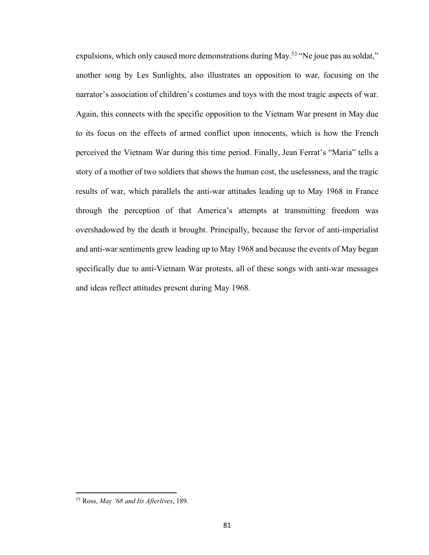expulsions, which only caused more demonstrations during May.<sup>53</sup> "Ne joue pas au soldat," another song by Les Sunlights, also illustrates an opposition to war, focusing on the narrator's association of children's costumes and toys with the most tragic aspects of war. Again, this connects with the specific opposition to the Vietnam War present in May due to its focus on the effects of armed conflict upon innocents, which is how the French perceived the Vietnam War during this time period. Finally, Jean Ferrat's "Maria" tells a story of a mother of two soldiers that shows the human cost, the uselessness, and the tragic results of war, which parallels the anti-war attitudes leading up to May 1968 in France through the perception of that America's attempts at transmitting freedom was overshadowed by the death it brought. Principally, because the fervor of anti-imperialist and anti-war sentiments grew leading up to May 1968 and because the events of May began specifically due to anti-Vietnam War protests, all of these songs with anti-war messages and ideas reflect attitudes present during May 1968.

<sup>53</sup> Ross, *May '68 and Its Afterlives*, 189.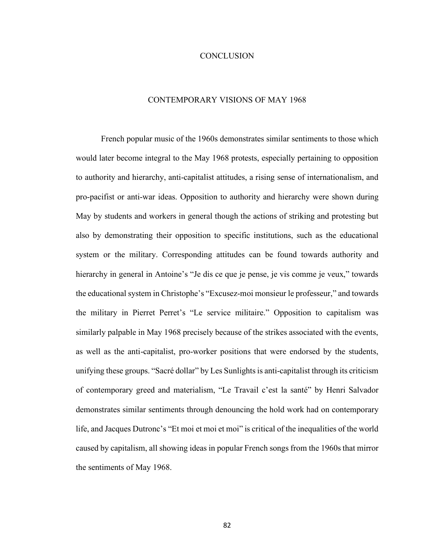# **CONCLUSION**

# CONTEMPORARY VISIONS OF MAY 1968

French popular music of the 1960s demonstrates similar sentiments to those which would later become integral to the May 1968 protests, especially pertaining to opposition to authority and hierarchy, anti-capitalist attitudes, a rising sense of internationalism, and pro-pacifist or anti-war ideas. Opposition to authority and hierarchy were shown during May by students and workers in general though the actions of striking and protesting but also by demonstrating their opposition to specific institutions, such as the educational system or the military. Corresponding attitudes can be found towards authority and hierarchy in general in Antoine's "Je dis ce que je pense, je vis comme je veux," towards the educational system in Christophe's "Excusez-moi monsieur le professeur," and towards the military in Pierret Perret's "Le service militaire." Opposition to capitalism was similarly palpable in May 1968 precisely because of the strikes associated with the events, as well as the anti-capitalist, pro-worker positions that were endorsed by the students, unifying these groups. "Sacré dollar" by Les Sunlights is anti-capitalist through its criticism of contemporary greed and materialism, "Le Travail c'est la santé" by Henri Salvador demonstrates similar sentiments through denouncing the hold work had on contemporary life, and Jacques Dutronc's "Et moi et moi et moi" is critical of the inequalities of the world caused by capitalism, all showing ideas in popular French songs from the 1960s that mirror the sentiments of May 1968.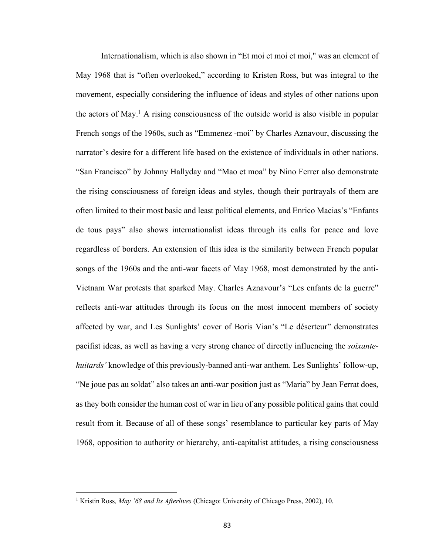Internationalism, which is also shown in "Et moi et moi et moi," was an element of May 1968 that is "often overlooked," according to Kristen Ross, but was integral to the movement, especially considering the influence of ideas and styles of other nations upon the actors of May.<sup>1</sup> A rising consciousness of the outside world is also visible in popular French songs of the 1960s, such as "Emmenez -moi" by Charles Aznavour, discussing the narrator's desire for a different life based on the existence of individuals in other nations. "San Francisco" by Johnny Hallyday and "Mao et moa" by Nino Ferrer also demonstrate the rising consciousness of foreign ideas and styles, though their portrayals of them are often limited to their most basic and least political elements, and Enrico Macias's "Enfants de tous pays" also shows internationalist ideas through its calls for peace and love regardless of borders. An extension of this idea is the similarity between French popular songs of the 1960s and the anti-war facets of May 1968, most demonstrated by the anti-Vietnam War protests that sparked May. Charles Aznavour's "Les enfants de la guerre" reflects anti-war attitudes through its focus on the most innocent members of society affected by war, and Les Sunlights' cover of Boris Vian's "Le déserteur" demonstrates pacifist ideas, as well as having a very strong chance of directly influencing the *soixantehuitards'* knowledge of this previously-banned anti-war anthem. Les Sunlights' follow-up, "Ne joue pas au soldat" also takes an anti-war position just as "Maria" by Jean Ferrat does, as they both consider the human cost of war in lieu of any possible political gains that could result from it. Because of all of these songs' resemblance to particular key parts of May 1968, opposition to authority or hierarchy, anti-capitalist attitudes, a rising consciousness

<sup>1</sup> Kristin Ross*, May '68 and Its Afterlives* (Chicago: University of Chicago Press, 2002), 10.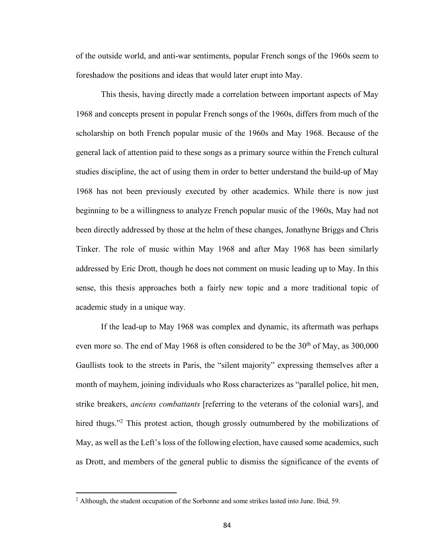of the outside world, and anti-war sentiments, popular French songs of the 1960s seem to foreshadow the positions and ideas that would later erupt into May.

This thesis, having directly made a correlation between important aspects of May 1968 and concepts present in popular French songs of the 1960s, differs from much of the scholarship on both French popular music of the 1960s and May 1968. Because of the general lack of attention paid to these songs as a primary source within the French cultural studies discipline, the act of using them in order to better understand the build-up of May 1968 has not been previously executed by other academics. While there is now just beginning to be a willingness to analyze French popular music of the 1960s, May had not been directly addressed by those at the helm of these changes, Jonathyne Briggs and Chris Tinker. The role of music within May 1968 and after May 1968 has been similarly addressed by Eric Drott, though he does not comment on music leading up to May. In this sense, this thesis approaches both a fairly new topic and a more traditional topic of academic study in a unique way.

If the lead-up to May 1968 was complex and dynamic, its aftermath was perhaps even more so. The end of May 1968 is often considered to be the  $30<sup>th</sup>$  of May, as  $300,000$ Gaullists took to the streets in Paris, the "silent majority" expressing themselves after a month of mayhem, joining individuals who Ross characterizes as "parallel police, hit men, strike breakers, *anciens combattants* [referring to the veterans of the colonial wars], and hired thugs."<sup>2</sup> This protest action, though grossly outnumbered by the mobilizations of May, as well as the Left's loss of the following election, have caused some academics, such as Drott, and members of the general public to dismiss the significance of the events of

<sup>2</sup> Although, the student occupation of the Sorbonne and some strikes lasted into June. Ibid, 59.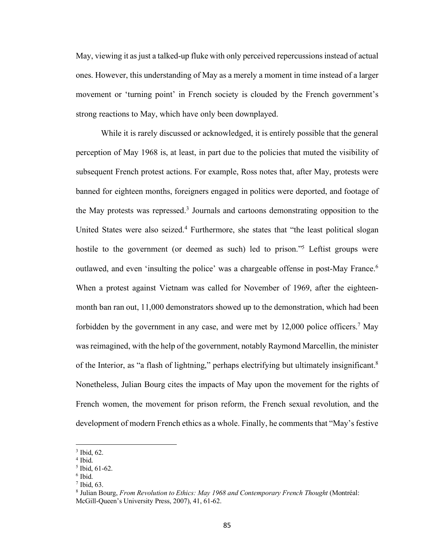May, viewing it as just a talked-up fluke with only perceived repercussions instead of actual ones. However, this understanding of May as a merely a moment in time instead of a larger movement or 'turning point' in French society is clouded by the French government's strong reactions to May, which have only been downplayed.

While it is rarely discussed or acknowledged, it is entirely possible that the general perception of May 1968 is, at least, in part due to the policies that muted the visibility of subsequent French protest actions. For example, Ross notes that, after May, protests were banned for eighteen months, foreigners engaged in politics were deported, and footage of the May protests was repressed.3 Journals and cartoons demonstrating opposition to the United States were also seized.<sup>4</sup> Furthermore, she states that "the least political slogan hostile to the government (or deemed as such) led to prison."<sup>5</sup> Leftist groups were outlawed, and even 'insulting the police' was a chargeable offense in post-May France.<sup>6</sup> When a protest against Vietnam was called for November of 1969, after the eighteenmonth ban ran out, 11,000 demonstrators showed up to the demonstration, which had been forbidden by the government in any case, and were met by 12,000 police officers.7 May was reimagined, with the help of the government, notably Raymond Marcellin, the minister of the Interior, as "a flash of lightning," perhaps electrifying but ultimately insignificant.8 Nonetheless, Julian Bourg cites the impacts of May upon the movement for the rights of French women, the movement for prison reform, the French sexual revolution, and the development of modern French ethics as a whole. Finally, he comments that "May's festive

<sup>3</sup> Ibid, 62.

<sup>4</sup> Ibid.

 $<sup>5</sup>$  Ibid, 61-62.</sup>

 $6$  Ibid.

 $7$  Ibid, 63.

<sup>8</sup> Julian Bourg, *From Revolution to Ethics: May 1968 and Contemporary French Thought* (Montréal: McGill-Queen's University Press, 2007), 41, 61-62.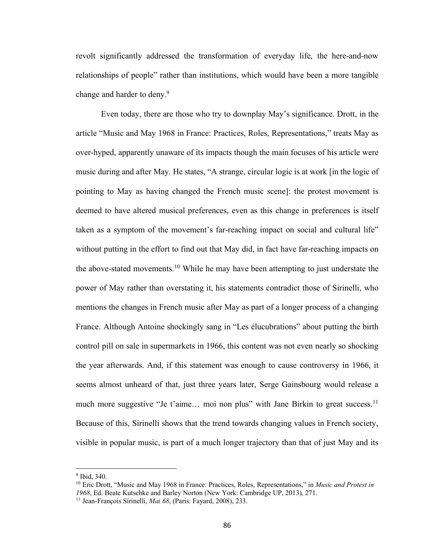revolt significantly addressed the transformation of everyday life, the here-and-now relationships of people" rather than institutions, which would have been a more tangible change and harder to deny.<sup>9</sup>

Even today, there are those who try to downplay May's significance. Drott, in the article "Music and May 1968 in France: Practices, Roles, Representations," treats May as over-hyped, apparently unaware of its impacts though the main focuses of his article were music during and after May. He states, "A strange, circular logic is at work [in the logic of pointing to May as having changed the French music scene]: the protest movement is deemed to have altered musical preferences, even as this change in preferences is itself taken as a symptom of the movement's far-reaching impact on social and cultural life" without putting in the effort to find out that May did, in fact have far-reaching impacts on the above-stated movements.<sup>10</sup> While he may have been attempting to just understate the power of May rather than overstating it, his statements contradict those of Sirinelli, who mentions the changes in French music after May as part of a longer process of a changing France. Although Antoine shockingly sang in "Les élucubrations" about putting the birth control pill on sale in supermarkets in 1966, this content was not even nearly so shocking the year afterwards. And, if this statement was enough to cause controversy in 1966, it seems almost unheard of that, just three years later, Serge Gainsbourg would release a much more suggestive "Je t'aime... moi non plus" with Jane Birkin to great success.<sup>11</sup> Because of this, Sirinelli shows that the trend towards changing values in French society, visible in popular music, is part of a much longer trajectory than that of just May and its

**.** 

<sup>9</sup> Ibid, 340.

<sup>10</sup> Eric Drott, "Music and May 1968 in France: Practices, Roles, Representations," in *Music and Protest in 1968*, Ed. Beate Kutschke and Barley Norton (New York: Cambridge UP, 2013), 271.

<sup>11</sup> Jean-François Sirinelli, *Mai 68*, (Paris: Fayard, 2008), 233.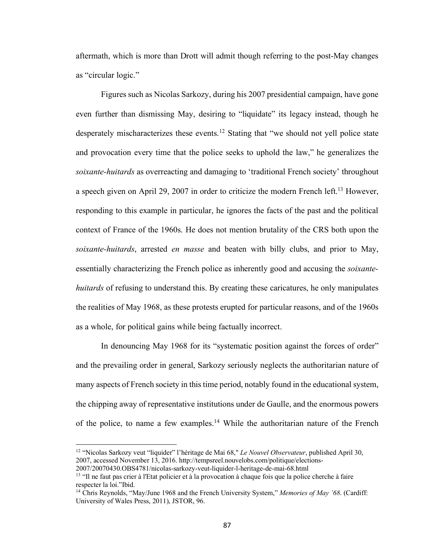aftermath, which is more than Drott will admit though referring to the post-May changes as "circular logic."

Figures such as Nicolas Sarkozy, during his 2007 presidential campaign, have gone even further than dismissing May, desiring to "liquidate" its legacy instead, though he desperately mischaracterizes these events.<sup>12</sup> Stating that "we should not yell police state and provocation every time that the police seeks to uphold the law," he generalizes the *soixante-huitards* as overreacting and damaging to 'traditional French society' throughout a speech given on April 29, 2007 in order to criticize the modern French left.<sup>13</sup> However, responding to this example in particular, he ignores the facts of the past and the political context of France of the 1960s. He does not mention brutality of the CRS both upon the *soixante-huitards*, arrested *en masse* and beaten with billy clubs, and prior to May, essentially characterizing the French police as inherently good and accusing the *soixantehuitards* of refusing to understand this. By creating these caricatures, he only manipulates the realities of May 1968, as these protests erupted for particular reasons, and of the 1960s as a whole, for political gains while being factually incorrect.

In denouncing May 1968 for its "systematic position against the forces of order" and the prevailing order in general, Sarkozy seriously neglects the authoritarian nature of many aspects of French society in this time period, notably found in the educational system, the chipping away of representative institutions under de Gaulle, and the enormous powers of the police, to name a few examples.14 While the authoritarian nature of the French

<sup>12</sup> "Nicolas Sarkozy veut "liquider" l'héritage de Mai 68," *Le Nouvel Observateur*, published April 30, 2007, accessed November 13, 2016. http://tempsreel.nouvelobs.com/politique/elections-

<sup>2007/20070430.</sup>OBS4781/nicolas-sarkozy-veut-liquider-l-heritage-de-mai-68.html

<sup>&</sup>lt;sup>13</sup> "Il ne faut pas crier à l'Etat policier et à la provocation à chaque fois que la police cherche à faire respecter la loi."Ibid.

<sup>14</sup> Chris Reynolds, "May/June 1968 and the French University System," *Memories of May '68*. (Cardiff: University of Wales Press, 2011), JSTOR, 96.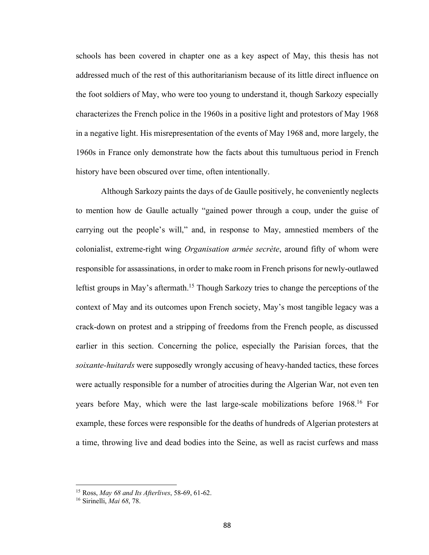schools has been covered in chapter one as a key aspect of May, this thesis has not addressed much of the rest of this authoritarianism because of its little direct influence on the foot soldiers of May, who were too young to understand it, though Sarkozy especially characterizes the French police in the 1960s in a positive light and protestors of May 1968 in a negative light. His misrepresentation of the events of May 1968 and, more largely, the 1960s in France only demonstrate how the facts about this tumultuous period in French history have been obscured over time, often intentionally.

Although Sarkozy paints the days of de Gaulle positively, he conveniently neglects to mention how de Gaulle actually "gained power through a coup, under the guise of carrying out the people's will," and, in response to May, amnestied members of the colonialist, extreme-right wing *Organisation armée secrète*, around fifty of whom were responsible for assassinations, in order to make room in French prisons for newly-outlawed leftist groups in May's aftermath.<sup>15</sup> Though Sarkozy tries to change the perceptions of the context of May and its outcomes upon French society, May's most tangible legacy was a crack-down on protest and a stripping of freedoms from the French people, as discussed earlier in this section. Concerning the police, especially the Parisian forces, that the *soixante-huitards* were supposedly wrongly accusing of heavy-handed tactics, these forces were actually responsible for a number of atrocities during the Algerian War, not even ten years before May, which were the last large-scale mobilizations before 1968.16 For example, these forces were responsible for the deaths of hundreds of Algerian protesters at a time, throwing live and dead bodies into the Seine, as well as racist curfews and mass

<sup>15</sup> Ross, *May 68 and Its Afterlives*, 58-69, 61-62.

<sup>16</sup> Sirinelli, *Mai 68*, 78.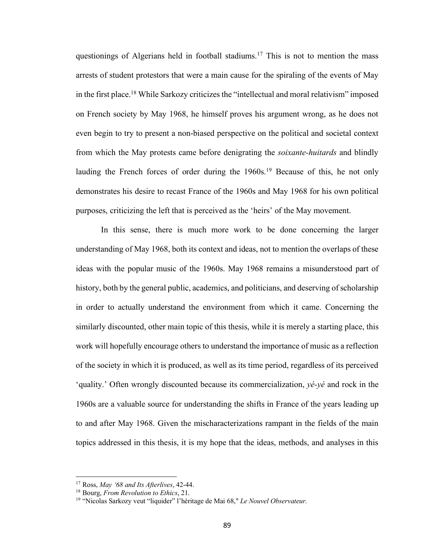questionings of Algerians held in football stadiums.<sup>17</sup> This is not to mention the mass arrests of student protestors that were a main cause for the spiraling of the events of May in the first place.18 While Sarkozy criticizes the "intellectual and moral relativism" imposed on French society by May 1968, he himself proves his argument wrong, as he does not even begin to try to present a non-biased perspective on the political and societal context from which the May protests came before denigrating the *soixante-huitards* and blindly lauding the French forces of order during the 1960s.<sup>19</sup> Because of this, he not only demonstrates his desire to recast France of the 1960s and May 1968 for his own political purposes, criticizing the left that is perceived as the 'heirs' of the May movement.

In this sense, there is much more work to be done concerning the larger understanding of May 1968, both its context and ideas, not to mention the overlaps of these ideas with the popular music of the 1960s. May 1968 remains a misunderstood part of history, both by the general public, academics, and politicians, and deserving of scholarship in order to actually understand the environment from which it came. Concerning the similarly discounted, other main topic of this thesis, while it is merely a starting place, this work will hopefully encourage others to understand the importance of music as a reflection of the society in which it is produced, as well as its time period, regardless of its perceived 'quality.' Often wrongly discounted because its commercialization, *yé-yé* and rock in the 1960s are a valuable source for understanding the shifts in France of the years leading up to and after May 1968. Given the mischaracterizations rampant in the fields of the main topics addressed in this thesis, it is my hope that the ideas, methods, and analyses in this

<sup>17</sup> Ross, *May '68 and Its Afterlives*, 42-44.

<sup>18</sup> Bourg, *From Revolution to Ethics*, 21.

<sup>19</sup> "Nicolas Sarkozy veut "liquider" l'héritage de Mai 68," *Le Nouvel Observateur.*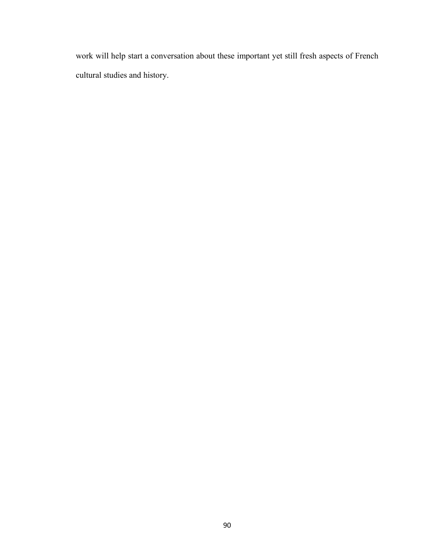work will help start a conversation about these important yet still fresh aspects of French cultural studies and history.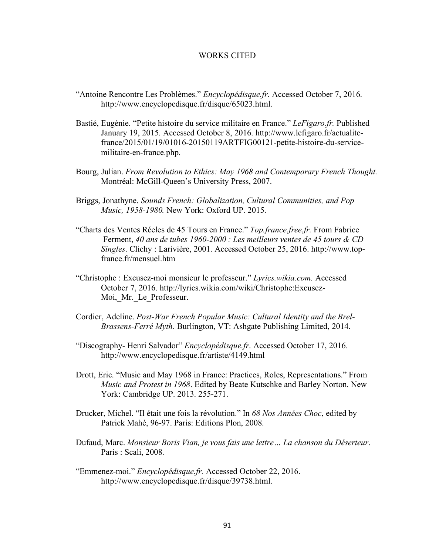# WORKS CITED

- "Antoine Rencontre Les Problèmes." *Encyclopédisque.fr*. Accessed October 7, 2016. http://www.encyclopedisque.fr/disque/65023.html.
- Bastié, Eugénie. "Petite histoire du service militaire en France." *LeFigaro.fr.* Published January 19, 2015. Accessed October 8, 2016. http://www.lefigaro.fr/actualitefrance/2015/01/19/01016-20150119ARTFIG00121-petite-histoire-du-servicemilitaire-en-france.php.
- Bourg, Julian. *From Revolution to Ethics: May 1968 and Contemporary French Thought.*  Montréal: McGill-Queen's University Press, 2007.
- Briggs, Jonathyne. *Sounds French: Globalization, Cultural Communities, and Pop Music, 1958-1980.* New York: Oxford UP. 2015.
- "Charts des Ventes Réeles de 45 Tours en France." *Top.france.free.fr.* From Fabrice Ferment, *40 ans de tubes 1960-2000 : Les meilleurs ventes de 45 tours & CD Singles*. Clichy : Larivière, 2001. Accessed October 25, 2016. http://www.topfrance.fr/mensuel.htm
- "Christophe : Excusez-moi monsieur le professeur." *Lyrics.wikia.com.* Accessed October 7, 2016. http://lyrics.wikia.com/wiki/Christophe:Excusez-Moi, Mr. Le Professeur.
- Cordier, Adeline. *Post-War French Popular Music: Cultural Identity and the Brel-Brassens-Ferré Myth*. Burlington, VT: Ashgate Publishing Limited, 2014.
- "Discography- Henri Salvador" *Encyclopédisque.fr*. Accessed October 17, 2016. http://www.encyclopedisque.fr/artiste/4149.html
- Drott, Eric. "Music and May 1968 in France: Practices, Roles, Representations." From *Music and Protest in 1968*. Edited by Beate Kutschke and Barley Norton. New York: Cambridge UP. 2013. 255-271.
- Drucker, Michel. "Il était une fois la révolution." In *68 Nos Années Choc*, edited by Patrick Mahé, 96-97. Paris: Editions Plon, 2008.
- Dufaud, Marc. *Monsieur Boris Vian, je vous fais une lettre… La chanson du Déserteur*. Paris : Scali, 2008.
- "Emmenez-moi." *Encyclopédisque.fr.* Accessed October 22, 2016. http://www.encyclopedisque.fr/disque/39738.html.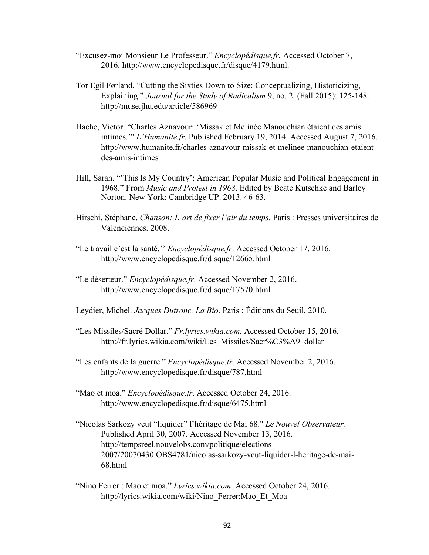- "Excusez-moi Monsieur Le Professeur." *Encyclopédisque.fr.* Accessed October 7, 2016. http://www.encyclopedisque.fr/disque/4179.html.
- Tor Egil Førland. "Cutting the Sixties Down to Size: Conceptualizing, Historicizing, Explaining." *Journal for the Study of Radicalism* 9, no. 2. (Fall 2015): 125-148. http://muse.jhu.edu/article/586969
- Hache, Victor. "Charles Aznavour: 'Missak et Mélinée Manouchian étaient des amis intimes.'" *L'Humanité.fr*. Published February 19, 2014. Accessed August 7, 2016. http://www.humanite.fr/charles-aznavour-missak-et-melinee-manouchian-etaientdes-amis-intimes
- Hill, Sarah. "'This Is My Country': American Popular Music and Political Engagement in 1968." From *Music and Protest in 1968*. Edited by Beate Kutschke and Barley Norton. New York: Cambridge UP. 2013. 46-63.
- Hirschi, Stéphane. *Chanson: L'art de fixer l'air du temps*. Paris : Presses universitaires de Valenciennes. 2008.
- "Le travail c'est la santé.'' *Encyclopédisque.fr*. Accessed October 17, 2016. http://www.encyclopedisque.fr/disque/12665.html
- "Le déserteur." *Encyclopédisque.fr*. Accessed November 2, 2016. http://www.encyclopedisque.fr/disque/17570.html
- Leydier, Michel. *Jacques Dutronc, La Bio*. Paris : Éditions du Seuil, 2010.
- "Les Missiles/Sacré Dollar." *Fr.lyrics.wikia.com.* Accessed October 15, 2016. http://fr.lyrics.wikia.com/wiki/Les\_Missiles/Sacr%C3%A9\_dollar
- "Les enfants de la guerre." *Encyclopédisque.fr*. Accessed November 2, 2016. http://www.encyclopedisque.fr/disque/787.html
- "Mao et moa." *Encyclopédisque.fr*. Accessed October 24, 2016. http://www.encyclopedisque.fr/disque/6475.html
- "Nicolas Sarkozy veut "liquider" l'héritage de Mai 68." *Le Nouvel Observateur.* Published April 30, 2007. Accessed November 13, 2016. http://tempsreel.nouvelobs.com/politique/elections-2007/20070430.OBS4781/nicolas-sarkozy-veut-liquider-l-heritage-de-mai-68.html
- "Nino Ferrer : Mao et moa." *Lyrics.wikia.com.* Accessed October 24, 2016. http://lyrics.wikia.com/wiki/Nino\_Ferrer:Mao\_Et\_Moa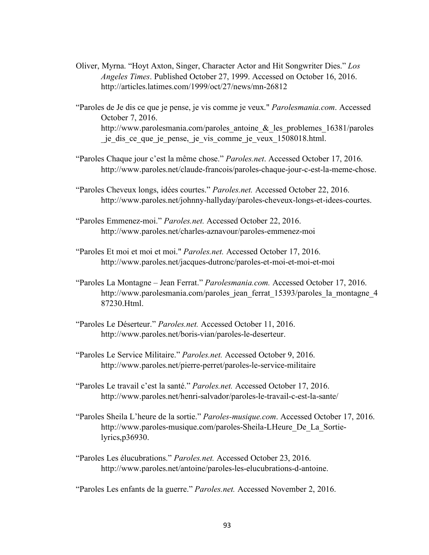Oliver, Myrna. "Hoyt Axton, Singer, Character Actor and Hit Songwriter Dies." *Los Angeles Times*. Published October 27, 1999. Accessed on October 16, 2016. http://articles.latimes.com/1999/oct/27/news/mn-26812

"Paroles de Je dis ce que je pense, je vis comme je veux." *Parolesmania.com*. Accessed October 7, 2016. http://www.parolesmania.com/paroles\_antoine\_&\_les\_problemes\_16381/paroles \_je\_dis\_ce\_que\_je\_pense,\_je\_vis\_comme\_je\_veux\_1508018.html.

"Paroles Chaque jour c'est la même chose." *Paroles.net*. Accessed October 17, 2016. http://www.paroles.net/claude-francois/paroles-chaque-jour-c-est-la-meme-chose.

"Paroles Cheveux longs, idées courtes." *Paroles.net.* Accessed October 22, 2016. http://www.paroles.net/johnny-hallyday/paroles-cheveux-longs-et-idees-courtes.

"Paroles Emmenez-moi." *Paroles.net.* Accessed October 22, 2016. http://www.paroles.net/charles-aznavour/paroles-emmenez-moi

"Paroles Et moi et moi et moi." *Paroles.net.* Accessed October 17, 2016. http://www.paroles.net/jacques-dutronc/paroles-et-moi-et-moi-et-moi

- "Paroles La Montagne Jean Ferrat." *Parolesmania.com.* Accessed October 17, 2016. http://www.parolesmania.com/paroles\_jean\_ferrat\_15393/paroles\_la\_montagne\_4 87230.Html.
- "Paroles Le Déserteur." *Paroles.net.* Accessed October 11, 2016. http://www.paroles.net/boris-vian/paroles-le-deserteur.

"Paroles Le Service Militaire." *Paroles.net.* Accessed October 9, 2016. http://www.paroles.net/pierre-perret/paroles-le-service-militaire

"Paroles Le travail c'est la santé." *Paroles.net.* Accessed October 17, 2016. http://www.paroles.net/henri-salvador/paroles-le-travail-c-est-la-sante/

- "Paroles Sheila L'heure de la sortie." *Paroles-musique.com*. Accessed October 17, 2016. http://www.paroles-musique.com/paroles-Sheila-LHeure De La Sortielyrics,p36930.
- "Paroles Les élucubrations." *Paroles.net.* Accessed October 23, 2016. http://www.paroles.net/antoine/paroles-les-elucubrations-d-antoine.

"Paroles Les enfants de la guerre." *Paroles.net.* Accessed November 2, 2016.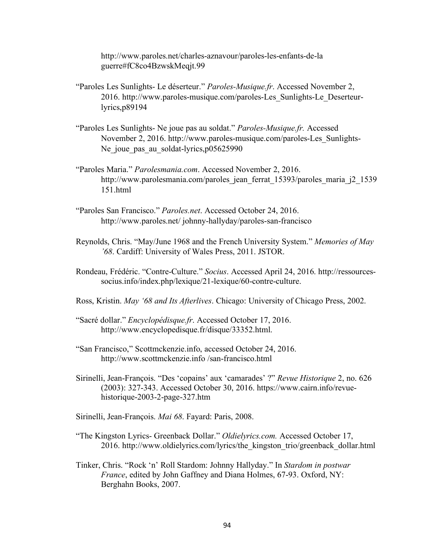http://www.paroles.net/charles-aznavour/paroles-les-enfants-de-la guerre#fC8co4BzwskMeqjt.99

- "Paroles Les Sunlights- Le déserteur." *Paroles-Musique.fr*. Accessed November 2, 2016. http://www.paroles-musique.com/paroles-Les\_Sunlights-Le\_Deserteurlyrics,p89194
- "Paroles Les Sunlights- Ne joue pas au soldat." *Paroles-Musique.fr.* Accessed November 2, 2016. http://www.paroles-musique.com/paroles-Les\_Sunlights-Ne joue pas au soldat-lyrics, p05625990
- "Paroles Maria." *Parolesmania.com*. Accessed November 2, 2016. http://www.parolesmania.com/paroles\_jean\_ferrat\_15393/paroles\_maria\_j2\_1539 151.html
- "Paroles San Francisco." *Paroles.net*. Accessed October 24, 2016. http://www.paroles.net/ johnny-hallyday/paroles-san-francisco
- Reynolds, Chris. "May/June 1968 and the French University System." *Memories of May '68*. Cardiff: University of Wales Press, 2011. JSTOR.
- Rondeau, Frédéric. "Contre-Culture." *Socius*. Accessed April 24, 2016. http://ressourcessocius.info/index.php/lexique/21-lexique/60-contre-culture.
- Ross, Kristin. *May '68 and Its Afterlives*. Chicago: University of Chicago Press, 2002.
- "Sacré dollar." *Encyclopédisque.fr*. Accessed October 17, 2016. http://www.encyclopedisque.fr/disque/33352.html.
- "San Francisco," Scottmckenzie.info, accessed October 24, 2016. http://www.scottmckenzie.info /san-francisco.html
- Sirinelli, Jean-François. "Des 'copains' aux 'camarades' ?" *Revue Historique* 2, no. 626 (2003): 327-343. Accessed October 30, 2016. https://www.cairn.info/revuehistorique-2003-2-page-327.htm
- Sirinelli, Jean-François. *Mai 68*. Fayard: Paris, 2008.
- "The Kingston Lyrics- Greenback Dollar." *Oldielyrics.com.* Accessed October 17, 2016. http://www.oldielyrics.com/lyrics/the\_kingston\_trio/greenback\_dollar.html
- Tinker, Chris. "Rock 'n' Roll Stardom: Johnny Hallyday." In *Stardom in postwar France*, edited by John Gaffney and Diana Holmes, 67-93. Oxford, NY: Berghahn Books, 2007.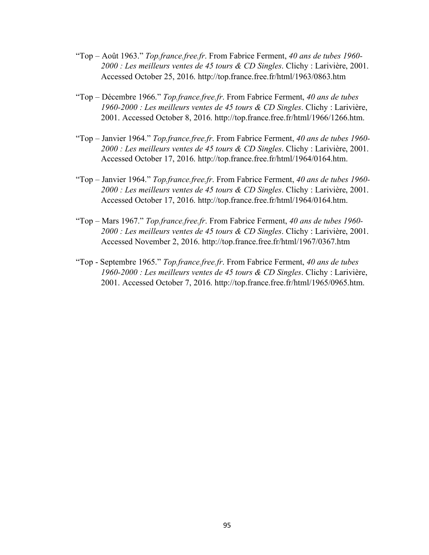- "Top Août 1963." *Top.france.free.fr*. From Fabrice Ferment, *40 ans de tubes 1960- 2000 : Les meilleurs ventes de 45 tours & CD Singles*. Clichy : Larivière, 2001. Accessed October 25, 2016. http://top.france.free.fr/html/1963/0863.htm
- "Top Décembre 1966." *Top.france.free.fr*. From Fabrice Ferment, *40 ans de tubes 1960-2000 : Les meilleurs ventes de 45 tours & CD Singles*. Clichy : Larivière, 2001. Accessed October 8, 2016. http://top.france.free.fr/html/1966/1266.htm.
- "Top Janvier 1964." *Top.france.free.fr*. From Fabrice Ferment, *40 ans de tubes 1960- 2000 : Les meilleurs ventes de 45 tours & CD Singles*. Clichy : Larivière, 2001. Accessed October 17, 2016. http://top.france.free.fr/html/1964/0164.htm.
- "Top Janvier 1964." *Top.france.free.fr*. From Fabrice Ferment, *40 ans de tubes 1960- 2000 : Les meilleurs ventes de 45 tours & CD Singles*. Clichy : Larivière, 2001. Accessed October 17, 2016. http://top.france.free.fr/html/1964/0164.htm.
- "Top Mars 1967." *Top.france.free.fr*. From Fabrice Ferment, *40 ans de tubes 1960- 2000 : Les meilleurs ventes de 45 tours & CD Singles*. Clichy : Larivière, 2001. Accessed November 2, 2016. http://top.france.free.fr/html/1967/0367.htm
- "Top Septembre 1965." *Top.france.free.fr*. From Fabrice Ferment, *40 ans de tubes 1960-2000 : Les meilleurs ventes de 45 tours & CD Singles*. Clichy : Larivière, 2001. Accessed October 7, 2016. http://top.france.free.fr/html/1965/0965.htm.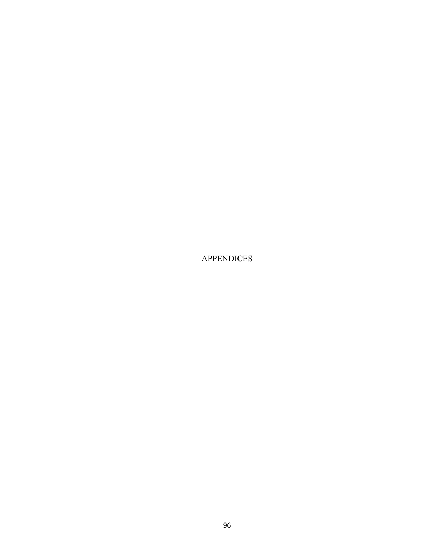APPENDICES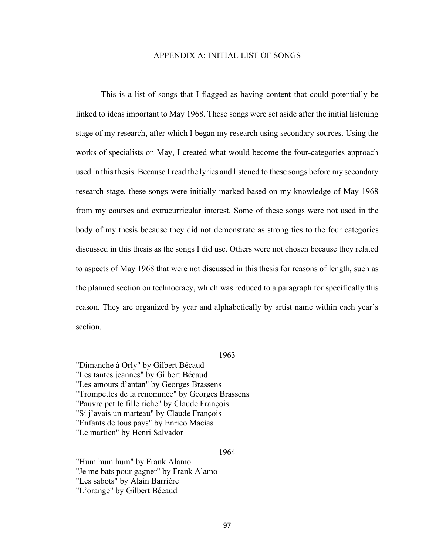# APPENDIX A: INITIAL LIST OF SONGS

This is a list of songs that I flagged as having content that could potentially be linked to ideas important to May 1968. These songs were set aside after the initial listening stage of my research, after which I began my research using secondary sources. Using the works of specialists on May, I created what would become the four-categories approach used in this thesis. Because I read the lyrics and listened to these songs before my secondary research stage, these songs were initially marked based on my knowledge of May 1968 from my courses and extracurricular interest. Some of these songs were not used in the body of my thesis because they did not demonstrate as strong ties to the four categories discussed in this thesis as the songs I did use. Others were not chosen because they related to aspects of May 1968 that were not discussed in this thesis for reasons of length, such as the planned section on technocracy, which was reduced to a paragraph for specifically this reason. They are organized by year and alphabetically by artist name within each year's section.

#### 1963

"Dimanche à Orly" by Gilbert Bécaud "Les tantes jeannes" by Gilbert Bécaud "Les amours d'antan" by Georges Brassens "Trompettes de la renommée" by Georges Brassens "Pauvre petite fille riche" by Claude François "Si j'avais un marteau" by Claude François "Enfants de tous pays" by Enrico Macias "Le martien" by Henri Salvador

# 1964

"Hum hum hum" by Frank Alamo "Je me bats pour gagner" by Frank Alamo "Les sabots" by Alain Barrière "L'orange" by Gilbert Bécaud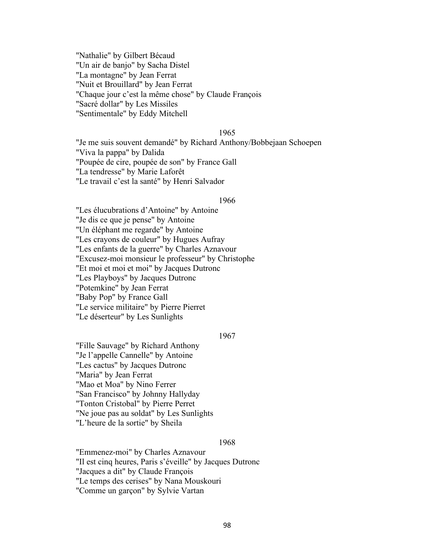"Nathalie" by Gilbert Bécaud "Un air de banjo" by Sacha Distel "La montagne" by Jean Ferrat "Nuit et Brouillard" by Jean Ferrat "Chaque jour c'est la même chose" by Claude François "Sacré dollar" by Les Missiles "Sentimentale" by Eddy Mitchell

### 1965

"Je me suis souvent demandé" by Richard Anthony/Bobbejaan Schoepen "Viva la pappa" by Dalida "Poupée de cire, poupée de son" by France Gall "La tendresse" by Marie Laforêt "Le travail c'est la santé" by Henri Salvador

### 1966

"Les élucubrations d'Antoine" by Antoine "Je dis ce que je pense" by Antoine "Un éléphant me regarde" by Antoine "Les crayons de couleur" by Hugues Aufray "Les enfants de la guerre" by Charles Aznavour "Excusez-moi monsieur le professeur" by Christophe "Et moi et moi et moi" by Jacques Dutronc "Les Playboys" by Jacques Dutronc "Potemkine" by Jean Ferrat "Baby Pop" by France Gall "Le service militaire" by Pierre Pierret "Le déserteur" by Les Sunlights

# 1967

"Fille Sauvage" by Richard Anthony "Je l'appelle Cannelle" by Antoine "Les cactus" by Jacques Dutronc "Maria" by Jean Ferrat "Mao et Moa" by Nino Ferrer "San Francisco" by Johnny Hallyday "Tonton Cristobal" by Pierre Perret "Ne joue pas au soldat" by Les Sunlights "L'heure de la sortie" by Sheila

#### 1968

"Emmenez-moi" by Charles Aznavour "Il est cinq heures, Paris s'éveille" by Jacques Dutronc "Jacques a dit" by Claude François "Le temps des cerises" by Nana Mouskouri "Comme un garçon" by Sylvie Vartan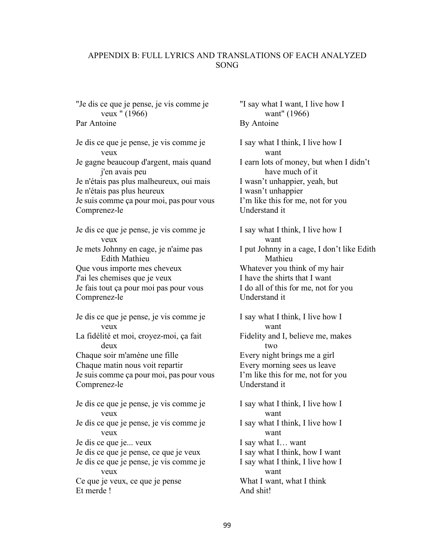# APPENDIX B: FULL LYRICS AND TRANSLATIONS OF EACH ANALYZED SONG

"Je dis ce que je pense, je vis comme je veux " (1966) Par Antoine Je dis ce que je pense, je vis comme je veux Je gagne beaucoup d'argent, mais quand j'en avais peu Je n'étais pas plus malheureux, oui mais Je n'étais pas plus heureux Je suis comme ça pour moi, pas pour vous Comprenez-le Je dis ce que je pense, je vis comme je veux Je mets Johnny en cage, je n'aime pas Edith Mathieu Que vous importe mes cheveux J'ai les chemises que je veux Je fais tout ça pour moi pas pour vous Comprenez-le Je dis ce que je pense, je vis comme je veux La fidélité et moi, croyez-moi, ça fait deux Chaque soir m'amène une fille Chaque matin nous voit repartir Je suis comme ça pour moi, pas pour vous Comprenez-le Je dis ce que je pense, je vis comme je veux Je dis ce que je pense, je vis comme je veux Je dis ce que je... veux Je dis ce que je pense, ce que je veux Je dis ce que je pense, je vis comme je veux Ce que je veux, ce que je pense Et merde !

want" (1966) By Antoine I say what I think, I live how I want I earn lots of money, but when I didn't have much of it I wasn't unhappier, yeah, but I wasn't unhappier I'm like this for me, not for you Understand it I say what I think, I live how I want I put Johnny in a cage, I don't like Edith Mathieu Whatever you think of my hair I have the shirts that I want I do all of this for me, not for you Understand it I say what I think, I live how I want Fidelity and I, believe me, makes two Every night brings me a girl Every morning sees us leave I'm like this for me, not for you Understand it I say what I think, I live how I want I say what I think, I live how I want I say what I… want I say what I think, how I want I say what I think, I live how I want What I want, what I think And shit!

"I say what I want, I live how I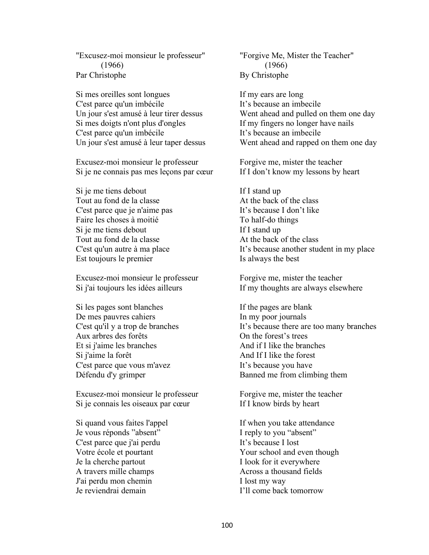"Excusez-moi monsieur le professeur" (1966) Par Christophe

Si mes oreilles sont longues C'est parce qu'un imbécile Un jour s'est amusé à leur tirer dessus Si mes doigts n'ont plus d'ongles C'est parce qu'un imbécile Un jour s'est amusé à leur taper dessus

Excusez-moi monsieur le professeur Si je ne connais pas mes leçons par cœur

Si je me tiens debout Tout au fond de la classe C'est parce que je n'aime pas Faire les choses à moitié Si je me tiens debout Tout au fond de la classe C'est qu'un autre à ma place Est toujours le premier

Excusez-moi monsieur le professeur Si j'ai toujours les idées ailleurs

Si les pages sont blanches De mes pauvres cahiers C'est qu'il y a trop de branches Aux arbres des forêts Et si j'aime les branches Si j'aime la forêt C'est parce que vous m'avez Défendu d'y grimper

Excusez-moi monsieur le professeur Si je connais les oiseaux par cœur

Si quand vous faites l'appel Je vous réponds "absent" C'est parce que j'ai perdu Votre école et pourtant Je la cherche partout A travers mille champs J'ai perdu mon chemin Je reviendrai demain

"Forgive Me, Mister the Teacher" (1966) By Christophe

If my ears are long It's because an imbecile Went ahead and pulled on them one day If my fingers no longer have nails It's because an imbecile Went ahead and rapped on them one day

Forgive me, mister the teacher If I don't know my lessons by heart

If I stand up At the back of the class It's because I don't like To half-do things If I stand up At the back of the class It's because another student in my place Is always the best

Forgive me, mister the teacher If my thoughts are always elsewhere

If the pages are blank In my poor journals It's because there are too many branches On the forest's trees And if I like the branches And If I like the forest It's because you have Banned me from climbing them

Forgive me, mister the teacher If I know birds by heart

If when you take attendance I reply to you "absent" It's because I lost Your school and even though I look for it everywhere Across a thousand fields I lost my way I'll come back tomorrow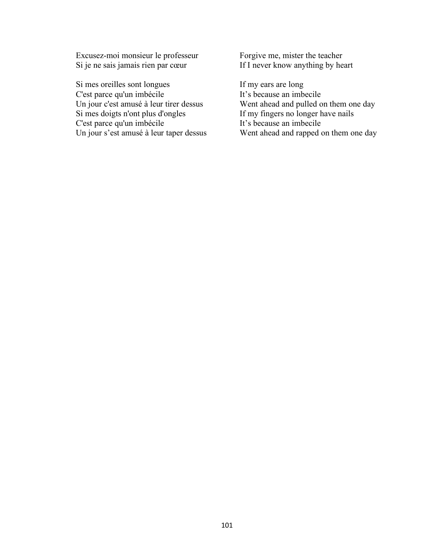Excusez-moi monsieur le professeur Si je ne sais jamais rien par cœur

Si mes oreilles sont longues C'est parce qu'un imbécile Un jour c'est amusé à leur tirer dessus Si mes doigts n'ont plus d'ongles C'est parce qu'un imbécile Un jour s'est amusé à leur taper dessus Forgive me, mister the teacher If I never know anything by heart

If my ears are long It's because an imbecile Went ahead and pulled on them one day If my fingers no longer have nails It's because an imbecile Went ahead and rapped on them one day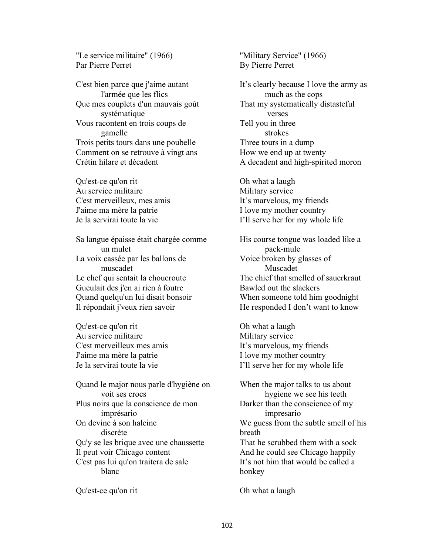"Le service militaire" (1966) Par Pierre Perret

C'est bien parce que j'aime autant l'armée que les flics Que mes couplets d'un mauvais goût systématique Vous racontent en trois coups de gamelle Trois petits tours dans une poubelle Comment on se retrouve à vingt ans Crétin hilare et décadent

Qu'est-ce qu'on rit Au service militaire C'est merveilleux, mes amis J'aime ma mère la patrie Je la servirai toute la vie

Sa langue épaisse était chargée comme un mulet La voix cassée par les ballons de muscadet Le chef qui sentait la choucroute Gueulait des j'en ai rien à foutre Quand quelqu'un lui disait bonsoir Il répondait j'veux rien savoir

Qu'est-ce qu'on rit Au service militaire C'est merveilleux mes amis J'aime ma mère la patrie Je la servirai toute la vie

Quand le major nous parle d'hygiène on voit ses crocs Plus noirs que la conscience de mon imprésario On devine à son haleine discrète Qu'y se les brique avec une chaussette Il peut voir Chicago content C'est pas lui qu'on traitera de sale blanc

Qu'est-ce qu'on rit

"Military Service" (1966) By Pierre Perret

It's clearly because I love the army as much as the cops That my systematically distasteful verses Tell you in three strokes Three tours in a dump How we end up at twenty A decadent and high-spirited moron

Oh what a laugh Military service It's marvelous, my friends I love my mother country I'll serve her for my whole life

His course tongue was loaded like a pack-mule Voice broken by glasses of Muscadet The chief that smelled of sauerkraut Bawled out the slackers When someone told him goodnight He responded I don't want to know

Oh what a laugh Military service It's marvelous, my friends I love my mother country I'll serve her for my whole life

When the major talks to us about hygiene we see his teeth Darker than the conscience of my impresario We guess from the subtle smell of his breath That he scrubbed them with a sock And he could see Chicago happily It's not him that would be called a honkey

Oh what a laugh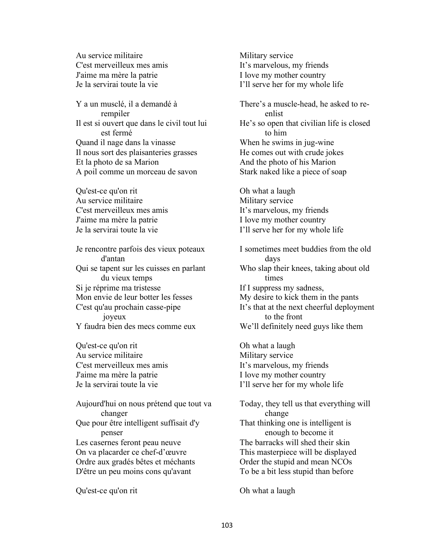Au service militaire C'est merveilleux mes amis J'aime ma mère la patrie Je la servirai toute la vie

Y a un musclé, il a demandé à rempiler Il est si ouvert que dans le civil tout lui est fermé Quand il nage dans la vinasse Il nous sort des plaisanteries grasses Et la photo de sa Marion A poil comme un morceau de savon

Qu'est-ce qu'on rit Au service militaire C'est merveilleux mes amis J'aime ma mère la patrie Je la servirai toute la vie

Je rencontre parfois des vieux poteaux d'antan Qui se tapent sur les cuisses en parlant du vieux temps Si je réprime ma tristesse Mon envie de leur botter les fesses C'est qu'au prochain casse-pipe joyeux Y faudra bien des mecs comme eux

Qu'est-ce qu'on rit Au service militaire C'est merveilleux mes amis J'aime ma mère la patrie Je la servirai toute la vie

Aujourd'hui on nous prétend que tout va changer Que pour être intelligent suffisait d'y penser Les casernes feront peau neuve On va placarder ce chef-d'œuvre Ordre aux gradés bêtes et méchants D'être un peu moins cons qu'avant

Qu'est-ce qu'on rit

Military service It's marvelous, my friends I love my mother country I'll serve her for my whole life

There's a muscle-head, he asked to reenlist He's so open that civilian life is closed to him When he swims in jug-wine He comes out with crude jokes And the photo of his Marion Stark naked like a piece of soap

Oh what a laugh Military service It's marvelous, my friends I love my mother country I'll serve her for my whole life

I sometimes meet buddies from the old days Who slap their knees, taking about old times If I suppress my sadness, My desire to kick them in the pants It's that at the next cheerful deployment to the front We'll definitely need guys like them

Oh what a laugh Military service It's marvelous, my friends I love my mother country I'll serve her for my whole life

Today, they tell us that everything will change That thinking one is intelligent is enough to become it The barracks will shed their skin This masterpiece will be displayed Order the stupid and mean NCOs To be a bit less stupid than before

Oh what a laugh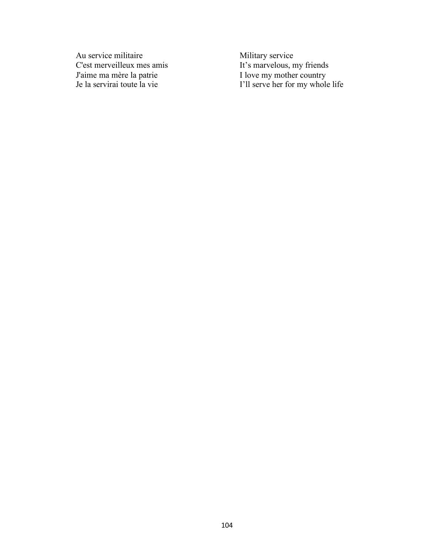Au service militaire C'est merveilleux mes amis J'aime ma mère la patrie Je la servirai toute la vie

Military service It's marvelous, my friends I love my mother country I'll serve her for my whole life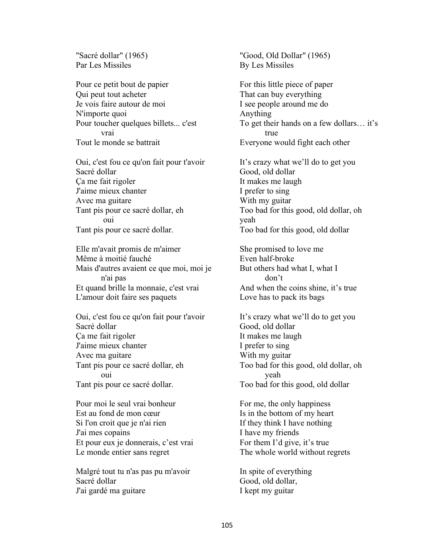"Sacré dollar" (1965) Par Les Missiles

Pour ce petit bout de papier Qui peut tout acheter Je vois faire autour de moi N'importe quoi Pour toucher quelques billets... c'est vrai Tout le monde se battrait

Oui, c'est fou ce qu'on fait pour t'avoir Sacré dollar Ça me fait rigoler J'aime mieux chanter Avec ma guitare Tant pis pour ce sacré dollar, eh oui Tant pis pour ce sacré dollar.

Elle m'avait promis de m'aimer Même à moitié fauché Mais d'autres avaient ce que moi, moi je n'ai pas Et quand brille la monnaie, c'est vrai L'amour doit faire ses paquets

Oui, c'est fou ce qu'on fait pour t'avoir Sacré dollar Ça me fait rigoler J'aime mieux chanter Avec ma guitare Tant pis pour ce sacré dollar, eh oui Tant pis pour ce sacré dollar.

Pour moi le seul vrai bonheur Est au fond de mon cœur Si l'on croit que je n'ai rien J'ai mes copains Et pour eux je donnerais, c'est vrai Le monde entier sans regret

Malgré tout tu n'as pas pu m'avoir Sacré dollar J'ai gardé ma guitare

"Good, Old Dollar" (1965) By Les Missiles

For this little piece of paper That can buy everything I see people around me do Anything To get their hands on a few dollars… it's true Everyone would fight each other

It's crazy what we'll do to get you Good, old dollar It makes me laugh I prefer to sing With my guitar Too bad for this good, old dollar, oh yeah Too bad for this good, old dollar

She promised to love me Even half-broke But others had what I, what I don't And when the coins shine, it's true Love has to pack its bags

It's crazy what we'll do to get you Good, old dollar It makes me laugh I prefer to sing With my guitar Too bad for this good, old dollar, oh yeah Too bad for this good, old dollar

For me, the only happiness Is in the bottom of my heart If they think I have nothing I have my friends For them I'd give, it's true The whole world without regrets

In spite of everything Good, old dollar, I kept my guitar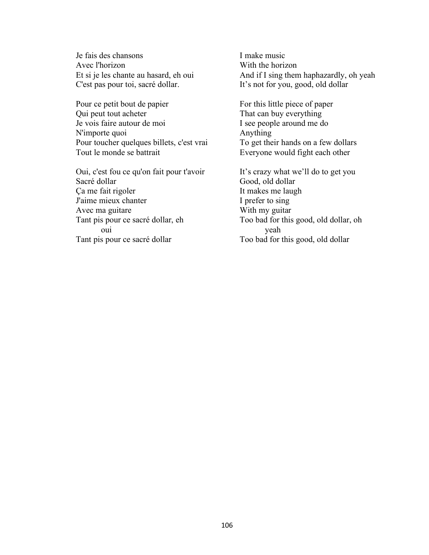Je fais des chansons Avec l'horizon Et si je les chante au hasard, eh oui C'est pas pour toi, sacré dollar.

Pour ce petit bout de papier Qui peut tout acheter Je vois faire autour de moi N'importe quoi Pour toucher quelques billets, c'est vrai Tout le monde se battrait

Oui, c'est fou ce qu'on fait pour t'avoir Sacré dollar Ça me fait rigoler J'aime mieux chanter Avec ma guitare Tant pis pour ce sacré dollar, eh oui Tant pis pour ce sacré dollar

I make music With the horizon And if I sing them haphazardly, oh yeah It's not for you, good, old dollar

For this little piece of paper That can buy everything I see people around me do Anything To get their hands on a few dollars Everyone would fight each other

It's crazy what we'll do to get you Good, old dollar It makes me laugh I prefer to sing With my guitar Too bad for this good, old dollar, oh yeah Too bad for this good, old dollar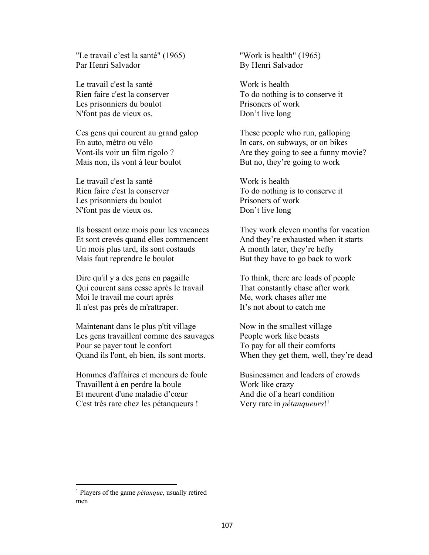"Le travail c'est la santé" (1965) Par Henri Salvador

Le travail c'est la santé Rien faire c'est la conserver Les prisonniers du boulot N'font pas de vieux os.

Ces gens qui courent au grand galop En auto, métro ou vélo Vont-ils voir un film rigolo ? Mais non, ils vont à leur boulot

Le travail c'est la santé Rien faire c'est la conserver Les prisonniers du boulot N'font pas de vieux os.

Ils bossent onze mois pour les vacances Et sont crevés quand elles commencent Un mois plus tard, ils sont costauds Mais faut reprendre le boulot

Dire qu'il y a des gens en pagaille Qui courent sans cesse après le travail Moi le travail me court après Il n'est pas près de m'rattraper.

Maintenant dans le plus p'tit village Les gens travaillent comme des sauvages Pour se payer tout le confort Quand ils l'ont, eh bien, ils sont morts.

Hommes d'affaires et meneurs de foule Travaillent à en perdre la boule Et meurent d'une maladie d'cœur C'est très rare chez les pétanqueurs !

"Work is health" (1965) By Henri Salvador

Work is health To do nothing is to conserve it Prisoners of work Don't live long

These people who run, galloping In cars, on subways, or on bikes Are they going to see a funny movie? But no, they're going to work

Work is health To do nothing is to conserve it Prisoners of work Don't live long

They work eleven months for vacation And they're exhausted when it starts A month later, they're hefty But they have to go back to work

To think, there are loads of people That constantly chase after work Me, work chases after me It's not about to catch me

Now in the smallest village People work like beasts To pay for all their comforts When they get them, well, they're dead

Businessmen and leaders of crowds Work like crazy And die of a heart condition Very rare in *pétanqueurs*!<sup>1</sup>

 <sup>1</sup> Players of the game *pétanque*, usually retired men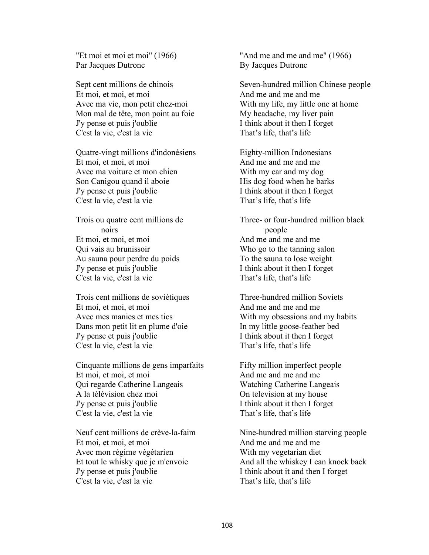"Et moi et moi et moi" (1966) Par Jacques Dutronc

Sept cent millions de chinois Et moi, et moi, et moi Avec ma vie, mon petit chez-moi Mon mal de tête, mon point au foie J'y pense et puis j'oublie C'est la vie, c'est la vie

Quatre-vingt millions d'indonésiens Et moi, et moi, et moi Avec ma voiture et mon chien Son Canigou quand il aboie J'y pense et puis j'oublie C'est la vie, c'est la vie

Trois ou quatre cent millions de noirs Et moi, et moi, et moi Qui vais au brunissoir Au sauna pour perdre du poids J'y pense et puis j'oublie C'est la vie, c'est la vie

Trois cent millions de soviétiques Et moi, et moi, et moi Avec mes manies et mes tics Dans mon petit lit en plume d'oie J'y pense et puis j'oublie C'est la vie, c'est la vie

Cinquante millions de gens imparfaits Et moi, et moi, et moi Qui regarde Catherine Langeais A la télévision chez moi J'y pense et puis j'oublie C'est la vie, c'est la vie

Neuf cent millions de crève-la-faim Et moi, et moi, et moi Avec mon régime végétarien Et tout le whisky que je m'envoie J'y pense et puis j'oublie C'est la vie, c'est la vie

"And me and me and me" (1966) By Jacques Dutronc

Seven-hundred million Chinese people And me and me and me With my life, my little one at home My headache, my liver pain I think about it then I forget That's life, that's life

Eighty-million Indonesians And me and me and me With my car and my dog His dog food when he barks I think about it then I forget That's life, that's life

Three- or four-hundred million black people And me and me and me Who go to the tanning salon To the sauna to lose weight I think about it then I forget That's life, that's life

Three-hundred million Soviets And me and me and me With my obsessions and my habits In my little goose-feather bed I think about it then I forget That's life, that's life

Fifty million imperfect people And me and me and me Watching Catherine Langeais On television at my house I think about it then I forget That's life, that's life

Nine-hundred million starving people And me and me and me With my vegetarian diet And all the whiskey I can knock back I think about it and then I forget That's life, that's life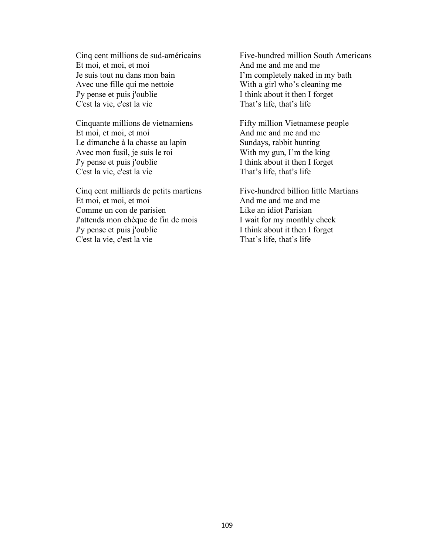Cinq cent millions de sud-américains Et moi, et moi, et moi Je suis tout nu dans mon bain Avec une fille qui me nettoie J'y pense et puis j'oublie C'est la vie, c'est la vie

Cinquante millions de vietnamiens Et moi, et moi, et moi Le dimanche à la chasse au lapin Avec mon fusil, je suis le roi J'y pense et puis j'oublie C'est la vie, c'est la vie

Cinq cent milliards de petits martiens Et moi, et moi, et moi Comme un con de parisien J'attends mon chèque de fin de mois J'y pense et puis j'oublie C'est la vie, c'est la vie

Five-hundred million South Americans And me and me and me I'm completely naked in my bath With a girl who's cleaning me I think about it then I forget That's life, that's life

Fifty million Vietnamese people And me and me and me Sundays, rabbit hunting With my gun, I'm the king I think about it then I forget That's life, that's life

Five-hundred billion little Martians And me and me and me Like an idiot Parisian I wait for my monthly check I think about it then I forget That's life, that's life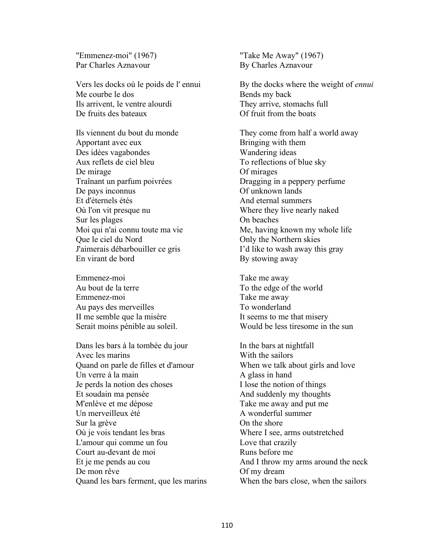"Emmenez-moi" (1967) Par Charles Aznavour

Vers les docks où le poids de l' ennui Me courbe le dos Ils arrivent, le ventre alourdi De fruits des bateaux

Ils viennent du bout du monde Apportant avec eux Des idées vagabondes Aux reflets de ciel bleu De mirage Traînant un parfum poivrées De pays inconnus Et d'éternels étés Où l'on vit presque nu Sur les plages Moi qui n'ai connu toute ma vie Que le ciel du Nord J'aimerais débarbouiller ce gris En virant de bord

Emmenez-moi Au bout de la terre Emmenez-moi Au pays des merveilles II me semble que la misère Serait moins pénible au soleil.

Dans les bars à la tombée du jour Avec les marins Quand on parle de filles et d'amour Un verre à la main Je perds la notion des choses Et soudain ma pensée M'enlève et me dépose Un merveilleux été Sur la grève Où je vois tendant les bras L'amour qui comme un fou Court au-devant de moi Et je me pends au cou De mon rêve Quand les bars ferment, que les marins "Take Me Away" (1967) By Charles Aznavour

By the docks where the weight of *ennui* Bends my back They arrive, stomachs full Of fruit from the boats

They come from half a world away Bringing with them Wandering ideas To reflections of blue sky Of mirages Dragging in a peppery perfume Of unknown lands And eternal summers Where they live nearly naked On beaches Me, having known my whole life Only the Northern skies I'd like to wash away this gray By stowing away

Take me away To the edge of the world Take me away To wonderland It seems to me that misery Would be less tiresome in the sun

In the bars at nightfall With the sailors When we talk about girls and love A glass in hand I lose the notion of things And suddenly my thoughts Take me away and put me A wonderful summer On the shore Where I see, arms outstretched Love that crazily Runs before me And I throw my arms around the neck Of my dream When the bars close, when the sailors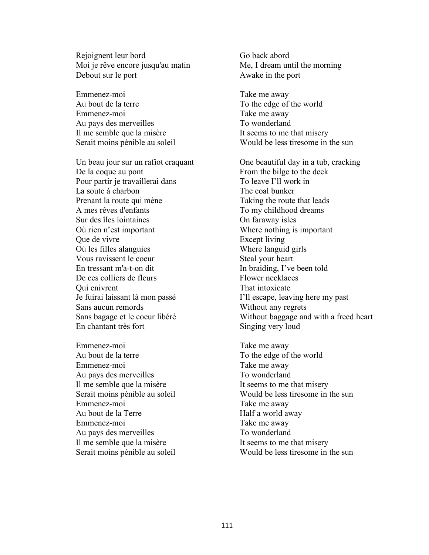Rejoignent leur bord Moi je rêve encore jusqu'au matin Debout sur le port

Emmenez-moi Au bout de la terre Emmenez-moi Au pays des merveilles Il me semble que la misère Serait moins pénible au soleil

Un beau jour sur un rafiot craquant De la coque au pont Pour partir je travaillerai dans La soute à charbon Prenant la route qui mène A mes rêves d'enfants Sur des îles lointaines Où rien n'est important Que de vivre Où les filles alanguies Vous ravissent le coeur En tressant m'a-t-on dit De ces colliers de fleurs Qui enivrent Je fuirai laissant là mon passé Sans aucun remords Sans bagage et le coeur libéré En chantant très fort

Emmenez-moi Au bout de la terre Emmenez-moi Au pays des merveilles Il me semble que la misère Serait moins pénible au soleil Emmenez-moi Au bout de la Terre Emmenez-moi Au pays des merveilles Il me semble que la misère Serait moins pénible au soleil Go back abord Me, I dream until the morning Awake in the port

Take me away To the edge of the world Take me away To wonderland It seems to me that misery Would be less tiresome in the sun

One beautiful day in a tub, cracking From the bilge to the deck To leave I'll work in The coal bunker Taking the route that leads To my childhood dreams On faraway isles Where nothing is important Except living Where languid girls Steal your heart In braiding, I've been told Flower necklaces That intoxicate I'll escape, leaving here my past Without any regrets Without baggage and with a freed heart Singing very loud

Take me away To the edge of the world Take me away To wonderland It seems to me that misery Would be less tiresome in the sun Take me away Half a world away Take me away To wonderland It seems to me that misery Would be less tiresome in the sun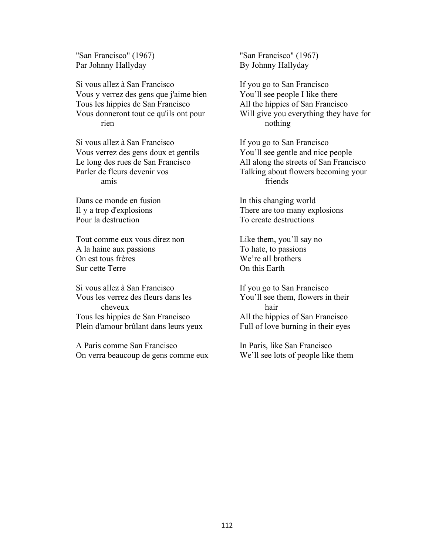"San Francisco" (1967) Par Johnny Hallyday

Si vous allez à San Francisco Vous y verrez des gens que j'aime bien Tous les hippies de San Francisco Vous donneront tout ce qu'ils ont pour rien

Si vous allez à San Francisco Vous verrez des gens doux et gentils Le long des rues de San Francisco Parler de fleurs devenir vos amis

Dans ce monde en fusion Il y a trop d'explosions Pour la destruction

Tout comme eux vous direz non A la haine aux passions On est tous frères Sur cette Terre

Si vous allez à San Francisco Vous les verrez des fleurs dans les cheveux Tous les hippies de San Francisco Plein d'amour brûlant dans leurs yeux

A Paris comme San Francisco On verra beaucoup de gens comme eux "San Francisco" (1967) By Johnny Hallyday

If you go to San Francisco You'll see people I like there All the hippies of San Francisco Will give you everything they have for nothing

If you go to San Francisco You'll see gentle and nice people All along the streets of San Francisco Talking about flowers becoming your friends

In this changing world There are too many explosions To create destructions

Like them, you'll say no To hate, to passions We're all brothers On this Earth

If you go to San Francisco You'll see them, flowers in their hair All the hippies of San Francisco Full of love burning in their eyes

In Paris, like San Francisco We'll see lots of people like them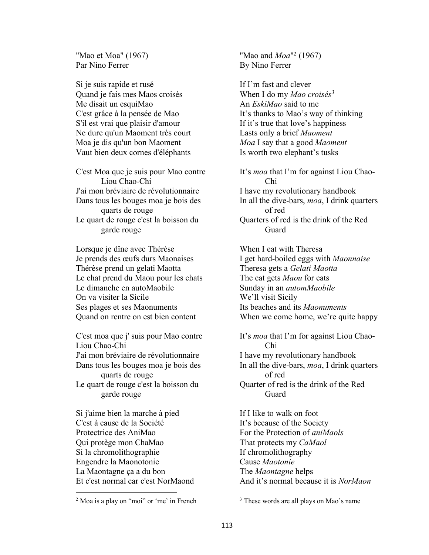"Mao et Moa" (1967) Par Nino Ferrer

Si je suis rapide et rusé Quand je fais mes Maos croisés Me disait un esquiMao C'est grâce à la pensée de Mao S'il est vrai que plaisir d'amour Ne dure qu'un Maoment très court Moa je dis qu'un bon Maoment Vaut bien deux cornes d'éléphants

C'est Moa que je suis pour Mao contre Liou Chao-Chi J'ai mon bréviaire de révolutionnaire Dans tous les bouges moa je bois des quarts de rouge Le quart de rouge c'est la boisson du garde rouge

Lorsque je dîne avec Thérèse Je prends des œufs durs Maonaises Thérèse prend un gelati Maotta Le chat prend du Maou pour les chats Le dimanche en autoMaobile On va visiter la Sicile Ses plages et ses Maonuments Quand on rentre on est bien content

C'est moa que j' suis pour Mao contre Liou Chao-Chi J'ai mon bréviaire de révolutionnaire Dans tous les bouges moa je bois des quarts de rouge Le quart de rouge c'est la boisson du garde rouge

Si j'aime bien la marche à pied C'est à cause de la Société Protectrice des AniMao Qui protège mon ChaMao Si la chromolithographie Engendre la Maonotonie La Maontagne ça a du bon Et c'est normal car c'est NorMaond

<u>.</u>

"Mao and *Moa*"2 (1967) By Nino Ferrer

If I'm fast and clever When I do my *Mao croisés3* An *EskiMao* said to me It's thanks to Mao's way of thinking If it's true that love's happiness Lasts only a brief *Maoment Moa* I say that a good *Maoment* Is worth two elephant's tusks

It's *moa* that I'm for against Liou Chao-Chi I have my revolutionary handbook In all the dive-bars, *moa*, I drink quarters of red Quarters of red is the drink of the Red Guard

When I eat with Theresa I get hard-boiled eggs with *Maonnaise* Theresa gets a *Gelati Maotta* The cat gets *Maou* for cats Sunday in an *automMaobile* We'll visit Sicily Its beaches and its *Maonuments* When we come home, we're quite happy

It's *moa* that I'm for against Liou Chao-Chi I have my revolutionary handbook In all the dive-bars, *moa*, I drink quarters of red Quarter of red is the drink of the Red Guard

If I like to walk on foot It's because of the Society For the Protection of *aniMaols* That protects my *CaMaol* If chromolithography Cause *Maotonie* The *Maontagne* helps And it's normal because it is *NorMaon*

<sup>3</sup> These words are all plays on Mao's name

<sup>2</sup> Moa is a play on "moi" or 'me' in French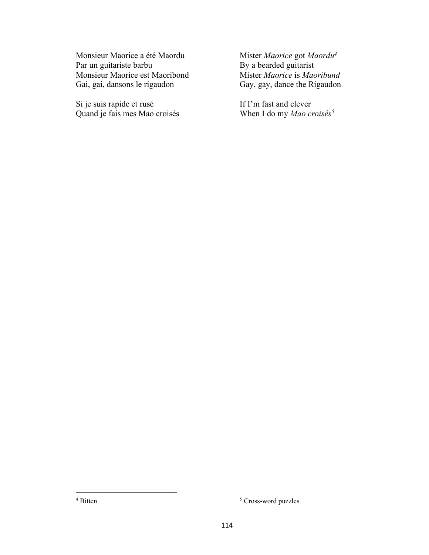Monsieur Maorice a été Maordu Par un guitariste barbu Monsieur Maorice est Maoribond Gai, gai, dansons le rigaudon

Si je suis rapide et rusé Quand je fais mes Mao croisés Mister *Maorice* got *Maordu4* By a bearded guitarist Mister *Maorice* is *Maoribund* Gay, gay, dance the Rigaudon

If I'm fast and clever When I do my *Mao croisés*<sup>5</sup>

<u>.</u>

<sup>4</sup> Bitten

<sup>5</sup> Cross-word puzzles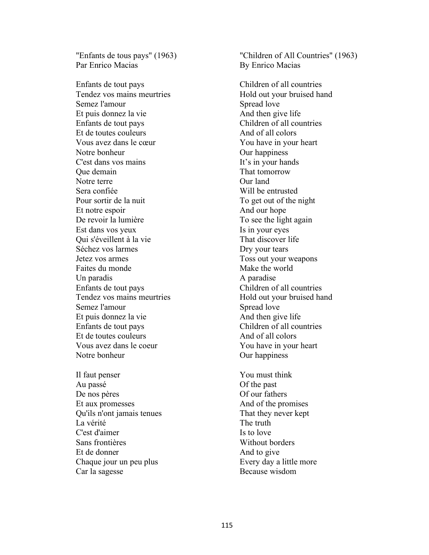"Enfants de tous pays" (1963) Par Enrico Macias

Enfants de tout pays Tendez vos mains meurtries Semez l'amour Et puis donnez la vie Enfants de tout pays Et de toutes couleurs Vous avez dans le cœur Notre bonheur C'est dans vos mains Que demain Notre terre Sera confiée Pour sortir de la nuit Et notre espoir De revoir la lumière Est dans vos yeux Qui s'éveillent à la vie Séchez vos larmes Jetez vos armes Faites du monde Un paradis Enfants de tout pays Tendez vos mains meurtries Semez l'amour Et puis donnez la vie Enfants de tout pays Et de toutes couleurs Vous avez dans le coeur Notre bonheur

Il faut penser Au passé De nos pères Et aux promesses Qu'ils n'ont jamais tenues La vérité C'est d'aimer Sans frontières Et de donner Chaque jour un peu plus Car la sagesse

"Children of All Countries" (1963) By Enrico Macias Children of all countries Hold out your bruised hand Spread love And then give life Children of all countries And of all colors You have in your heart Our happiness It's in your hands That tomorrow Our land Will be entrusted To get out of the night And our hope To see the light again Is in your eyes That discover life Dry your tears Toss out your weapons Make the world A paradise Children of all countries Hold out your bruised hand Spread love And then give life Children of all countries And of all colors You have in your heart Our happiness You must think

Of the past Of our fathers And of the promises That they never kept The truth Is to love Without borders And to give Every day a little more Because wisdom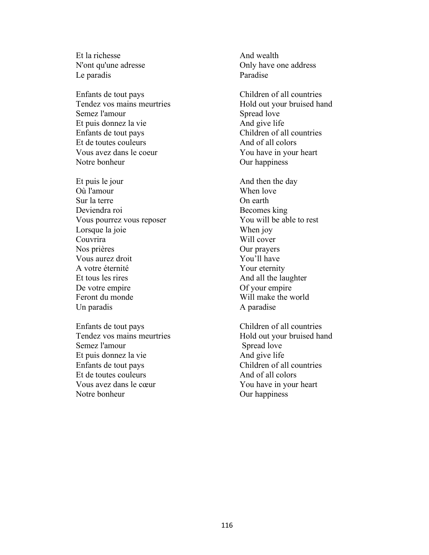Et la richesse N'ont qu'une adresse Le paradis

Enfants de tout pays Tendez vos mains meurtries Semez l'amour Et puis donnez la vie Enfants de tout pays Et de toutes couleurs Vous avez dans le coeur Notre bonheur

Et puis le jour Où l'amour Sur la terre Deviendra roi Vous pourrez vous reposer Lorsque la joie Couvrira Nos prières Vous aurez droit A votre éternité Et tous les rires De votre empire Feront du monde Un paradis

Enfants de tout pays Tendez vos mains meurtries Semez l'amour Et puis donnez la vie Enfants de tout pays Et de toutes couleurs Vous avez dans le cœur Notre bonheur

And wealth Only have one address Paradise

Children of all countries Hold out your bruised hand Spread love And give life Children of all countries And of all colors You have in your heart Our happiness

And then the day When love On earth Becomes king You will be able to rest When joy Will cover Our prayers You'll have Your eternity And all the laughter Of your empire Will make the world A paradise

Children of all countries Hold out your bruised hand Spread love And give life Children of all countries And of all colors You have in your heart Our happiness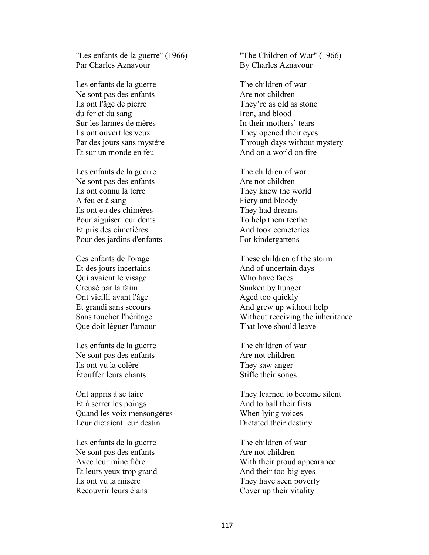"Les enfants de la guerre" (1966) Par Charles Aznavour

Les enfants de la guerre Ne sont pas des enfants Ils ont l'âge de pierre du fer et du sang Sur les larmes de mères Ils ont ouvert les yeux Par des jours sans mystère Et sur un monde en feu

Les enfants de la guerre Ne sont pas des enfants Ils ont connu la terre A feu et à sang Ils ont eu des chimères Pour aiguiser leur dents Et pris des cimetières Pour des jardins d'enfants

Ces enfants de l'orage Et des jours incertains Qui avaient le visage Creusé par la faim Ont vieilli avant l'âge Et grandi sans secours Sans toucher l'héritage Que doit léguer l'amour

Les enfants de la guerre Ne sont pas des enfants Ils ont vu la colère Étouffer leurs chants

Ont appris à se taire Et à serrer les poings Quand les voix mensongères Leur dictaient leur destin

Les enfants de la guerre Ne sont pas des enfants Avec leur mine fière Et leurs yeux trop grand Ils ont vu la misère Recouvrir leurs élans

"The Children of War" (1966) By Charles Aznavour

The children of war Are not children They're as old as stone Iron, and blood In their mothers' tears They opened their eyes Through days without mystery And on a world on fire

The children of war Are not children They knew the world Fiery and bloody They had dreams To help them teethe And took cemeteries For kindergartens

These children of the storm And of uncertain days Who have faces Sunken by hunger Aged too quickly And grew up without help Without receiving the inheritance That love should leave

The children of war Are not children They saw anger Stifle their songs

They learned to become silent And to ball their fists When lying voices Dictated their destiny

The children of war Are not children With their proud appearance And their too-big eyes They have seen poverty Cover up their vitality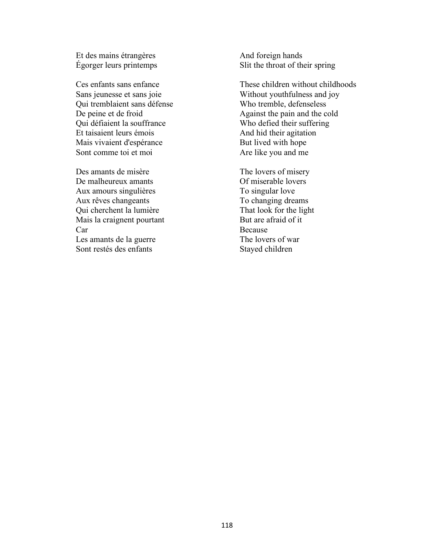Et des mains étrangères Égorger leurs printemps

Ces enfants sans enfance Sans jeunesse et sans joie Qui tremblaient sans défense De peine et de froid Qui défiaient la souffrance Et taisaient leurs émois Mais vivaient d'espérance Sont comme toi et moi

Des amants de misère De malheureux amants Aux amours singulières Aux rêves changeants Qui cherchent la lumière Mais la craignent pourtant Car Les amants de la guerre

Sont restés des enfants

And foreign hands Slit the throat of their spring

These children without childhoods Without youthfulness and joy Who tremble, defenseless Against the pain and the cold Who defied their suffering And hid their agitation But lived with hope Are like you and me

The lovers of misery Of miserable lovers To singular love To changing dreams That look for the light But are afraid of it Because The lovers of war Stayed children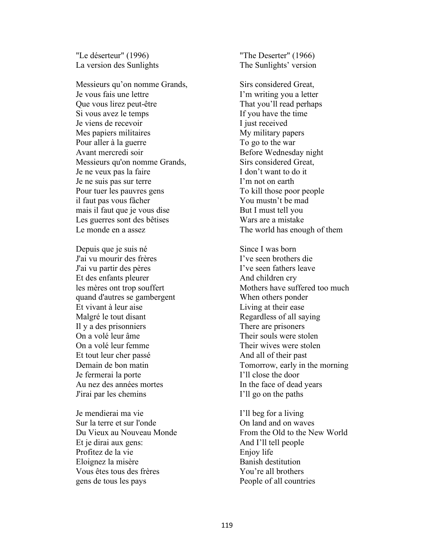"Le déserteur" (1996) La version des Sunlights

Messieurs qu'on nomme Grands, Je vous fais une lettre Que vous lirez peut-être Si vous avez le temps Je viens de recevoir Mes papiers militaires Pour aller à la guerre Avant mercredi soir Messieurs qu'on nomme Grands, Je ne veux pas la faire Je ne suis pas sur terre Pour tuer les pauvres gens il faut pas vous fâcher mais il faut que je vous dise Les guerres sont des bêtises Le monde en a assez

Depuis que je suis né J'ai vu mourir des frères J'ai vu partir des pères Et des enfants pleurer les mères ont trop souffert quand d'autres se gambergent Et vivant à leur aise Malgré le tout disant Il y a des prisonniers On a volé leur âme On a volé leur femme Et tout leur cher passé Demain de bon matin Je fermerai la porte Au nez des années mortes J'irai par les chemins

Je mendierai ma vie Sur la terre et sur l'onde Du Vieux au Nouveau Monde Et je dirai aux gens: Profitez de la vie Eloignez la misère Vous êtes tous des frères gens de tous les pays

"The Deserter" (1966) The Sunlights' version

Sirs considered Great, I'm writing you a letter That you'll read perhaps If you have the time I just received My military papers To go to the war Before Wednesday night Sirs considered Great, I don't want to do it I'm not on earth To kill those poor people You mustn't be mad But I must tell you Wars are a mistake The world has enough of them

Since I was born I've seen brothers die I've seen fathers leave And children cry Mothers have suffered too much When others ponder Living at their ease Regardless of all saying There are prisoners Their souls were stolen Their wives were stolen And all of their past Tomorrow, early in the morning I'll close the door In the face of dead years I'll go on the paths

I'll beg for a living On land and on waves From the Old to the New World And I'll tell people Enjoy life Banish destitution You're all brothers People of all countries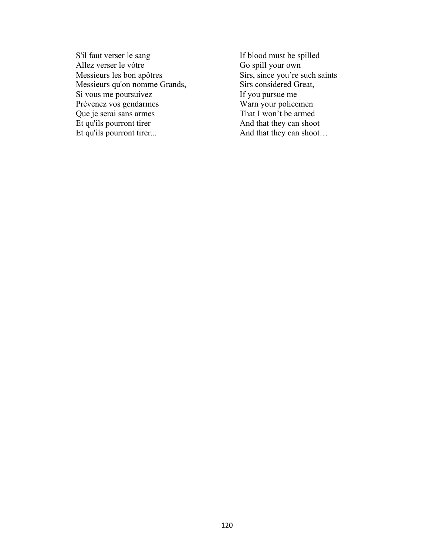S'il faut verser le sang Allez verser le vôtre Messieurs les bon apôtres Messieurs qu'on nomme Grands, Si vous me poursuivez Prévenez vos gendarmes Que je serai sans armes Et qu'ils pourront tirer Et qu'ils pourront tirer...

If blood must be spilled Go spill your own Sirs, since you're such saints Sirs considered Great, If you pursue me Warn your policemen That I won't be armed And that they can shoot And that they can shoot…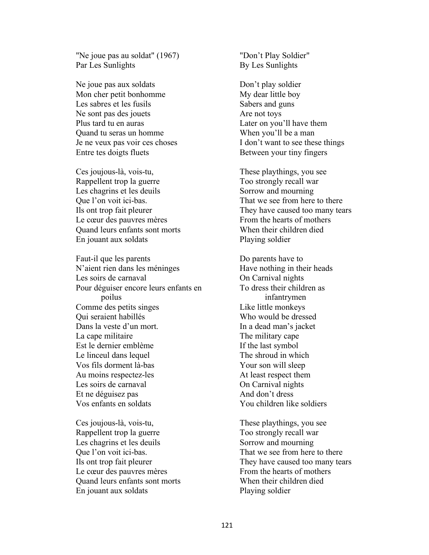"Ne joue pas au soldat" (1967) Par Les Sunlights

Ne joue pas aux soldats Mon cher petit bonhomme Les sabres et les fusils Ne sont pas des jouets Plus tard tu en auras Quand tu seras un homme Je ne veux pas voir ces choses Entre tes doigts fluets

Ces joujous-là, vois-tu, Rappellent trop la guerre Les chagrins et les deuils Que l'on voit ici-bas. Ils ont trop fait pleurer Le cœur des pauvres mères Quand leurs enfants sont morts En jouant aux soldats

Faut-il que les parents N'aient rien dans les méninges Les soirs de carnaval Pour déguiser encore leurs enfants en poilus Comme des petits singes Qui seraient habillés Dans la veste d'un mort. La cape militaire Est le dernier emblème Le linceul dans lequel Vos fils dorment là-bas Au moins respectez-les Les soirs de carnaval Et ne déguisez pas Vos enfants en soldats

Ces joujous-là, vois-tu, Rappellent trop la guerre Les chagrins et les deuils Que l'on voit ici-bas. Ils ont trop fait pleurer Le cœur des pauvres mères Quand leurs enfants sont morts En jouant aux soldats

"Don't Play Soldier" By Les Sunlights

Don't play soldier My dear little boy Sabers and guns Are not toys Later on you'll have them When you'll be a man I don't want to see these things Between your tiny fingers

These playthings, you see Too strongly recall war Sorrow and mourning That we see from here to there They have caused too many tears From the hearts of mothers When their children died Playing soldier

Do parents have to Have nothing in their heads On Carnival nights To dress their children as infantrymen Like little monkeys Who would be dressed In a dead man's jacket The military cape If the last symbol The shroud in which Your son will sleep At least respect them On Carnival nights And don't dress You children like soldiers

These playthings, you see Too strongly recall war Sorrow and mourning That we see from here to there They have caused too many tears From the hearts of mothers When their children died Playing soldier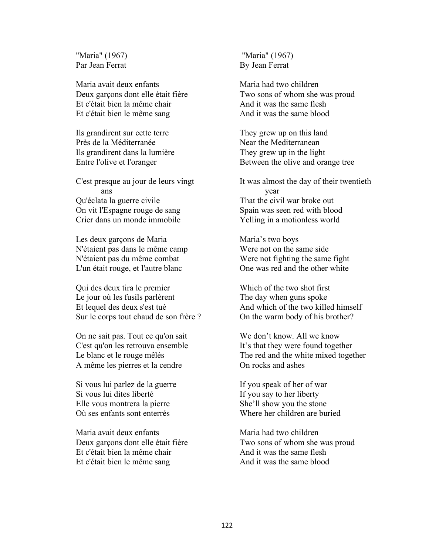"Maria" (1967) Par Jean Ferrat

Maria avait deux enfants Deux garçons dont elle était fière Et c'était bien la même chair Et c'était bien le même sang

Ils grandirent sur cette terre Près de la Méditerranée Ils grandirent dans la lumière Entre l'olive et l'oranger

C'est presque au jour de leurs vingt ans Qu'éclata la guerre civile On vit l'Espagne rouge de sang Crier dans un monde immobile

Les deux garçons de Maria N'étaient pas dans le même camp N'étaient pas du même combat L'un était rouge, et l'autre blanc

Qui des deux tira le premier Le jour où les fusils parlèrent Et lequel des deux s'est tué Sur le corps tout chaud de son frère ?

On ne sait pas. Tout ce qu'on sait C'est qu'on les retrouva ensemble Le blanc et le rouge mêlés A même les pierres et la cendre

Si vous lui parlez de la guerre Si vous lui dites liberté Elle vous montrera la pierre Où ses enfants sont enterrés

Maria avait deux enfants Deux garçons dont elle était fière Et c'était bien la même chair Et c'était bien le même sang

"Maria" (1967) By Jean Ferrat

Maria had two children Two sons of whom she was proud And it was the same flesh And it was the same blood

They grew up on this land Near the Mediterranean They grew up in the light Between the olive and orange tree

It was almost the day of their twentieth year That the civil war broke out Spain was seen red with blood Yelling in a motionless world

Maria's two boys Were not on the same side Were not fighting the same fight One was red and the other white

Which of the two shot first The day when guns spoke And which of the two killed himself On the warm body of his brother?

We don't know. All we know It's that they were found together The red and the white mixed together On rocks and ashes

If you speak of her of war If you say to her liberty She'll show you the stone Where her children are buried

Maria had two children Two sons of whom she was proud And it was the same flesh And it was the same blood